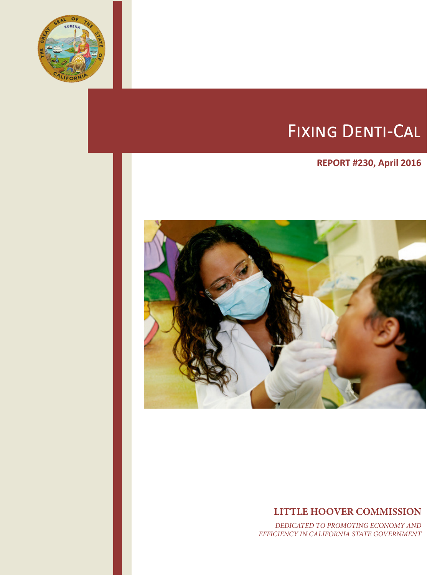

# Fixing Denti-Cal

# **REPORT #230, April 2016**



# **LITTLE HOOVER COMMISSION**

*DEDICATED TO PROMOTING ECONOMY AND EFFICIENCY IN CALIFORNIA STATE GOVERNMENT*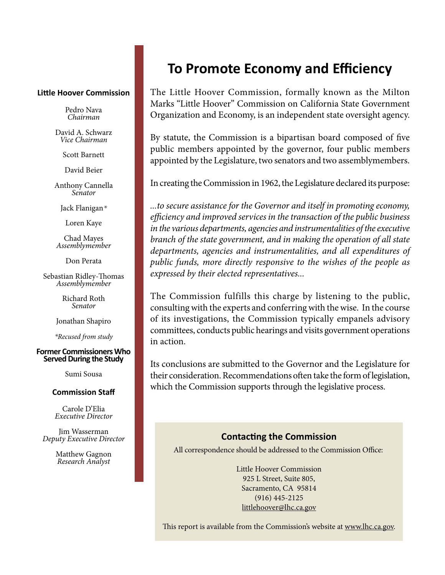#### **Little Hoover Commission**

Pedro Nava *Chairman*

David A. Schwarz *Vice Chairman*

Scott Barnett

David Beier

Anthony Cannella *Senator*

Jack Flanigan*\**

Loren Kaye

Chad Mayes *Assemblymember*

Don Perata

Sebastian Ridley-Thomas *Assemblymember*

Richard Roth *Senator*

Jonathan Shapiro

*\*Recused from study*

#### **Former Commissioners Who Served During the Study**

Sumi Sousa

#### **Commission Staff**

Carole D'Elia *Executive Director*

Jim Wasserman *Deputy Executive Director* 

> Matthew Gagnon *Research Analyst*

# **To Promote Economy and Efficiency**

The Little Hoover Commission, formally known as the Milton Marks "Little Hoover" Commission on California State Government Organization and Economy, is an independent state oversight agency.

By statute, the Commission is a bipartisan board composed of five public members appointed by the governor, four public members appointed by the Legislature, two senators and two assemblymembers.

In creating the Commission in 1962, the Legislature declared its purpose:

*...to secure assistance for the Governor and itself in promoting economy, efficiency and improved services in the transaction of the public business in the various departments, agencies and instrumentalities of the executive branch of the state government, and in making the operation of all state departments, agencies and instrumentalities, and all expenditures of public funds, more directly responsive to the wishes of the people as expressed by their elected representatives...*

The Commission fulfills this charge by listening to the public, consulting with the experts and conferring with the wise. In the course of its investigations, the Commission typically empanels advisory committees, conducts public hearings and visits government operations in action.

Its conclusions are submitted to the Governor and the Legislature for their consideration. Recommendations often take the form of legislation, which the Commission supports through the legislative process.

#### **Contacting the Commission**

All correspondence should be addressed to the Commission Office:

Little Hoover Commission 925 L Street, Suite 805, Sacramento, CA 95814 (916) 445-2125 littlehoover@lhc.ca.gov

This report is available from the Commission's website at www.lhc.ca.gov.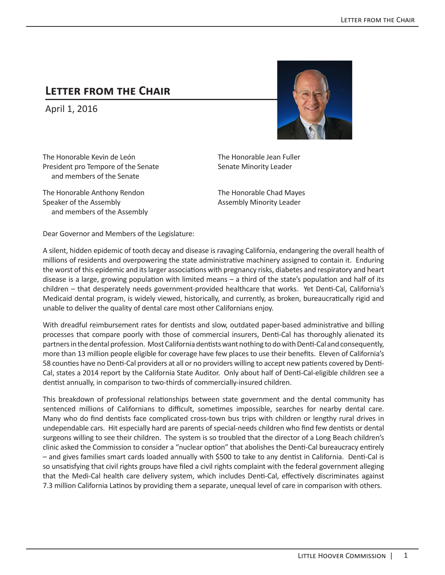# **Letter from the Chair**

April 1, 2016



The Honorable Kevin de León President pro Tempore of the Senate and members of the Senate

The Honorable Anthony Rendon Speaker of the Assembly and members of the Assembly

The Honorable Jean Fuller Senate Minority Leader

The Honorable Chad Mayes Assembly Minority Leader

Dear Governor and Members of the Legislature:

A silent, hidden epidemic of tooth decay and disease is ravaging California, endangering the overall health of millions of residents and overpowering the state administrative machinery assigned to contain it. Enduring the worst of this epidemic and its larger associations with pregnancy risks, diabetes and respiratory and heart disease is a large, growing population with limited means – a third of the state's population and half of its children – that desperately needs government-provided healthcare that works. Yet Denti-Cal, California's Medicaid dental program, is widely viewed, historically, and currently, as broken, bureaucratically rigid and unable to deliver the quality of dental care most other Californians enjoy.

With dreadful reimbursement rates for dentists and slow, outdated paper-based administrative and billing processes that compare poorly with those of commercial insurers, Denti-Cal has thoroughly alienated its partners in the dental profession. Most California dentists want nothing to do with Denti-Cal and consequently, more than 13 million people eligible for coverage have few places to use their benefits. Eleven of California's 58 counties have no Denti-Cal providers at all or no providers willing to accept new patients covered by Denti-Cal, states a 2014 report by the California State Auditor. Only about half of Denti-Cal-eligible children see a dentist annually, in comparison to two-thirds of commercially-insured children.

This breakdown of professional relationships between state government and the dental community has sentenced millions of Californians to difficult, sometimes impossible, searches for nearby dental care. Many who do find dentists face complicated cross-town bus trips with children or lengthy rural drives in undependable cars. Hit especially hard are parents of special-needs children who find few dentists or dental surgeons willing to see their children. The system is so troubled that the director of a Long Beach children's clinic asked the Commission to consider a "nuclear option" that abolishes the Denti-Cal bureaucracy entirely – and gives families smart cards loaded annually with \$500 to take to any dentist in California. Denti-Cal is so unsatisfying that civil rights groups have filed a civil rights complaint with the federal government alleging that the Medi-Cal health care delivery system, which includes Denti-Cal, effectively discriminates against 7.3 million California Latinos by providing them a separate, unequal level of care in comparison with others.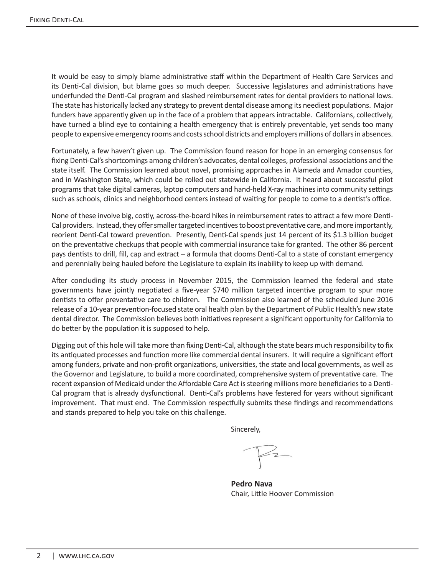It would be easy to simply blame administrative staff within the Department of Health Care Services and its Denti-Cal division, but blame goes so much deeper. Successive legislatures and administrations have underfunded the Denti-Cal program and slashed reimbursement rates for dental providers to national lows. The state has historically lacked any strategy to prevent dental disease among its neediest populations. Major funders have apparently given up in the face of a problem that appears intractable. Californians, collectively, have turned a blind eye to containing a health emergency that is entirely preventable, yet sends too many people to expensive emergency rooms and costs school districts and employers millions of dollars in absences.

Fortunately, a few haven't given up. The Commission found reason for hope in an emerging consensus for fixing Denti-Cal's shortcomings among children's advocates, dental colleges, professional associations and the state itself. The Commission learned about novel, promising approaches in Alameda and Amador counties, and in Washington State, which could be rolled out statewide in California. It heard about successful pilot programs that take digital cameras, laptop computers and hand-held X-ray machines into community settings such as schools, clinics and neighborhood centers instead of waiting for people to come to a dentist's office.

None of these involve big, costly, across-the-board hikes in reimbursement rates to attract a few more Denti-Cal providers. Instead, they offer smaller targeted incentives to boost preventative care, and more importantly, reorient Denti-Cal toward prevention. Presently, Denti-Cal spends just 14 percent of its \$1.3 billion budget on the preventative checkups that people with commercial insurance take for granted. The other 86 percent pays dentists to drill, fill, cap and extract – a formula that dooms Denti-Cal to a state of constant emergency and perennially being hauled before the Legislature to explain its inability to keep up with demand.

After concluding its study process in November 2015, the Commission learned the federal and state governments have jointly negotiated a five-year \$740 million targeted incentive program to spur more dentists to offer preventative care to children. The Commission also learned of the scheduled June 2016 release of a 10-year prevention-focused state oral health plan by the Department of Public Health's new state dental director. The Commission believes both initiatives represent a significant opportunity for California to do better by the population it is supposed to help.

Digging out of this hole will take more than fixing Denti-Cal, although the state bears much responsibility to fix its antiquated processes and function more like commercial dental insurers. It will require a significant effort among funders, private and non-profit organizations, universities, the state and local governments, as well as the Governor and Legislature, to build a more coordinated, comprehensive system of preventative care. The recent expansion of Medicaid under the Affordable Care Act is steering millions more beneficiaries to a Denti-Cal program that is already dysfunctional. Denti-Cal's problems have festered for years without significant improvement. That must end. The Commission respectfully submits these findings and recommendations and stands prepared to help you take on this challenge.

Sincerely,

**Pedro Nava** Chair, Little Hoover Commission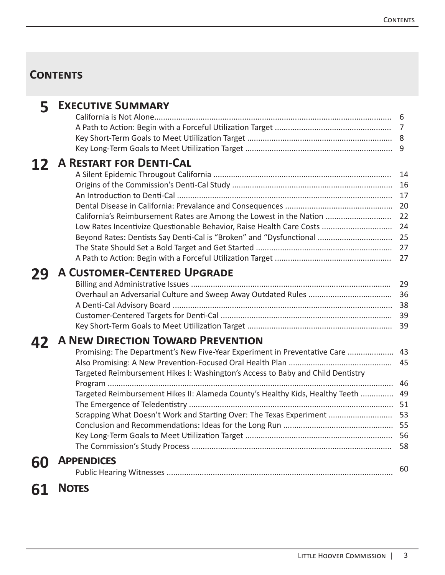# **Contents**

| 5. | <b>EXECUTIVE SUMMARY</b>                                                        |    |
|----|---------------------------------------------------------------------------------|----|
|    |                                                                                 | 6  |
|    |                                                                                 |    |
|    |                                                                                 |    |
|    |                                                                                 |    |
| 12 | <b>A RESTART FOR DENTI-CAL</b>                                                  |    |
|    |                                                                                 | 14 |
|    |                                                                                 | 16 |
|    |                                                                                 | 17 |
|    |                                                                                 |    |
|    | California's Reimbursement Rates are Among the Lowest in the Nation             | 22 |
|    | Low Rates Incentivize Questionable Behavior, Raise Health Care Costs            | 24 |
|    |                                                                                 |    |
|    |                                                                                 | 27 |
|    |                                                                                 |    |
| 29 | <b>A CUSTOMER-CENTERED UPGRADE</b>                                              |    |
|    |                                                                                 | 29 |
|    |                                                                                 | 36 |
|    |                                                                                 | 38 |
|    |                                                                                 | 39 |
|    |                                                                                 | 39 |
| 42 | <b>A NEW DIRECTION TOWARD PREVENTION</b>                                        |    |
|    | Promising: The Department's New Five-Year Experiment in Preventative Care       | 43 |
|    |                                                                                 | 45 |
|    | Targeted Reimbursement Hikes I: Washington's Access to Baby and Child Dentistry |    |
|    |                                                                                 | 46 |
|    | Targeted Reimbursement Hikes II: Alameda County's Healthy Kids, Healthy Teeth   | 49 |
|    |                                                                                 |    |
|    | Scrapping What Doesn't Work and Starting Over: The Texas Experiment  53         |    |
|    |                                                                                 |    |
|    |                                                                                 |    |
|    |                                                                                 | 58 |
| 60 | <b>APPENDICES</b>                                                               |    |
|    |                                                                                 | 60 |
|    | <b>NOTES</b>                                                                    |    |
| 61 |                                                                                 |    |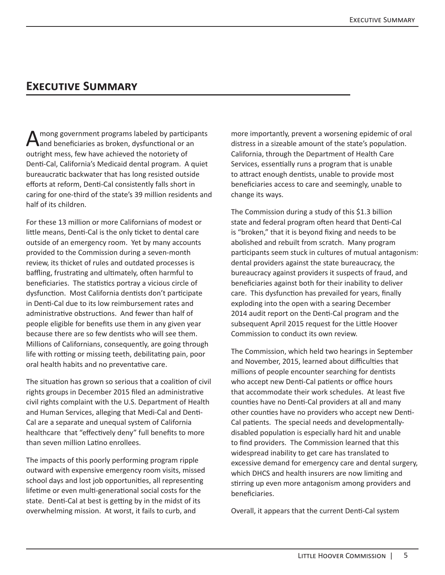# **Executive Summary**

A mong government programs labeled by participants<br>
and beneficiaries as broken, dysfunctional or an outright mess, few have achieved the notoriety of Denti-Cal, California's Medicaid dental program. A quiet bureaucratic backwater that has long resisted outside efforts at reform, Denti-Cal consistently falls short in caring for one-third of the state's 39 million residents and half of its children.

For these 13 million or more Californians of modest or little means, Denti-Cal is the only ticket to dental care outside of an emergency room. Yet by many accounts provided to the Commission during a seven-month review, its thicket of rules and outdated processes is baffling, frustrating and ultimately, often harmful to beneficiaries. The statistics portray a vicious circle of dysfunction. Most California dentists don't participate in Denti-Cal due to its low reimbursement rates and administrative obstructions. And fewer than half of people eligible for benefits use them in any given year because there are so few dentists who will see them. Millions of Californians, consequently, are going through life with rotting or missing teeth, debilitating pain, poor oral health habits and no preventative care.

The situation has grown so serious that a coalition of civil rights groups in December 2015 filed an administrative civil rights complaint with the U.S. Department of Health and Human Services, alleging that Medi-Cal and Denti-Cal are a separate and unequal system of California healthcare that "effectively deny" full benefits to more than seven million Latino enrollees.

The impacts of this poorly performing program ripple outward with expensive emergency room visits, missed school days and lost job opportunities, all representing lifetime or even multi-generational social costs for the state. Denti-Cal at best is getting by in the midst of its overwhelming mission. At worst, it fails to curb, and

more importantly, prevent a worsening epidemic of oral distress in a sizeable amount of the state's population. California, through the Department of Health Care Services, essentially runs a program that is unable to attract enough dentists, unable to provide most beneficiaries access to care and seemingly, unable to change its ways.

The Commission during a study of this \$1.3 billion state and federal program often heard that Denti-Cal is "broken," that it is beyond fixing and needs to be abolished and rebuilt from scratch. Many program participants seem stuck in cultures of mutual antagonism: dental providers against the state bureaucracy, the bureaucracy against providers it suspects of fraud, and beneficiaries against both for their inability to deliver care. This dysfunction has prevailed for years, finally exploding into the open with a searing December 2014 audit report on the Denti-Cal program and the subsequent April 2015 request for the Little Hoover Commission to conduct its own review.

The Commission, which held two hearings in September and November, 2015, learned about difficulties that millions of people encounter searching for dentists who accept new Denti-Cal patients or office hours that accommodate their work schedules. At least five counties have no Denti-Cal providers at all and many other counties have no providers who accept new Denti-Cal patients. The special needs and developmentallydisabled population is especially hard hit and unable to find providers. The Commission learned that this widespread inability to get care has translated to excessive demand for emergency care and dental surgery, which DHCS and health insurers are now limiting and stirring up even more antagonism among providers and beneficiaries.

Overall, it appears that the current Denti-Cal system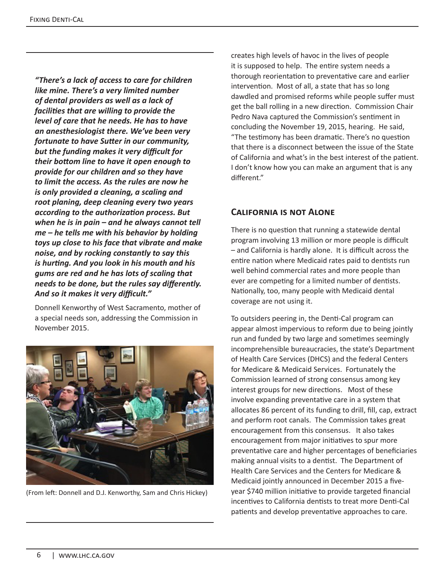*"There's a lack of access to care for children like mine. There's a very limited number of dental providers as well as a lack of facilities that are willing to provide the level of care that he needs. He has to have an anesthesiologist there. We've been very fortunate to have Sutter in our community, but the funding makes it very difficult for their bottom line to have it open enough to provide for our children and so they have to limit the access. As the rules are now he is only provided a cleaning, a scaling and root planing, deep cleaning every two years according to the authorization process. But when he is in pain – and he always cannot tell me – he tells me with his behavior by holding toys up close to his face that vibrate and make noise, and by rocking constantly to say this is hurting. And you look in his mouth and his gums are red and he has lots of scaling that needs to be done, but the rules say differently. And so it makes it very difficult."*

Donnell Kenworthy of West Sacramento, mother of a special needs son, addressing the Commission in November 2015.



(From left: Donnell and D.J. Kenworthy, Sam and Chris Hickey)

creates high levels of havoc in the lives of people it is supposed to help. The entire system needs a thorough reorientation to preventative care and earlier intervention. Most of all, a state that has so long dawdled and promised reforms while people suffer must get the ball rolling in a new direction.Commission Chair Pedro Nava captured the Commission's sentiment in concluding the November 19, 2015, hearing. He said, "The testimony has been dramatic. There's no question that there is a disconnect between the issue of the State of California and what's in the best interest of the patient. I don't know how you can make an argument that is any different."

#### **California is not Alone**

There is no question that running a statewide dental program involving 13 million or more people is difficult – and California is hardly alone. It is difficult across the entire nation where Medicaid rates paid to dentists run well behind commercial rates and more people than ever are competing for a limited number of dentists. Nationally, too, many people with Medicaid dental coverage are not using it.

To outsiders peering in, the Denti-Cal program can appear almost impervious to reform due to being jointly run and funded by two large and sometimes seemingly incomprehensible bureaucracies, the state's Department of Health Care Services (DHCS) and the federal Centers for Medicare & Medicaid Services. Fortunately the Commission learned of strong consensus among key interest groups for new directions. Most of these involve expanding preventative care in a system that allocates 86 percent of its funding to drill, fill, cap, extract and perform root canals. The Commission takes great encouragement from this consensus. It also takes encouragement from major initiatives to spur more preventative care and higher percentages of beneficiaries making annual visits to a dentist. The Department of Health Care Services and the Centers for Medicare & Medicaid jointly announced in December 2015 a fiveyear \$740 million initiative to provide targeted financial incentives to California dentists to treat more Denti-Cal patients and develop preventative approaches to care.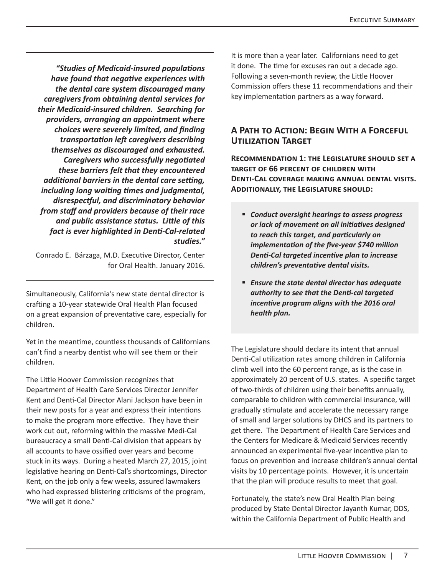*"Studies of Medicaid-insured populations have found that negative experiences with the dental care system discouraged many caregivers from obtaining dental services for their Medicaid-insured children. Searching for providers, arranging an appointment where choices were severely limited, and finding transportation left caregivers describing themselves as discouraged and exhausted. Caregivers who successfully negotiated these barriers felt that they encountered additional barriers in the dental care setting, including long waiting times and judgmental, disrespectful, and discriminatory behavior from staff and providers because of their race and public assistance status. Little of this fact is ever highlighted in Denti-Cal-related studies."*

Conrado E. Bárzaga, M.D. Executive Director, Center for Oral Health. January 2016.

Simultaneously, California's new state dental director is crafting a 10-year statewide Oral Health Plan focused on a great expansion of preventative care, especially for children.

Yet in the meantime, countless thousands of Californians can't find a nearby dentist who will see them or their children.

The Little Hoover Commission recognizes that Department of Health Care Services Director Jennifer Kent and Denti-Cal Director Alani Jackson have been in their new posts for a year and express their intentions to make the program more effective. They have their work cut out, reforming within the massive Medi-Cal bureaucracy a small Denti-Cal division that appears by all accounts to have ossified over years and become stuck in its ways. During a heated March 27, 2015, joint legislative hearing on Denti-Cal's shortcomings, Director Kent, on the job only a few weeks, assured lawmakers who had expressed blistering criticisms of the program, "We will get it done."

It is more than a year later. Californians need to get it done. The time for excuses ran out a decade ago. Following a seven-month review, the Little Hoover Commission offers these 11 recommendations and their key implementation partners as a way forward.

#### **A Path to Action: Begin With a Forceful Utilization Target**

**Recommendation 1: the Legislature should set a target of 66 percent of children with Denti-Cal coverage making annual dental visits. Additionally, the Legislature should:** 

- *Conduct oversight hearings to assess progress or lack of movement on all initiatives designed to reach this target, and particularly on implementation of the five-year \$740 million Denti-Cal targeted incentive plan to increase children's preventative dental visits.*
- *Ensure the state dental director has adequate authority to see that the Denti-cal targeted incentive program aligns with the 2016 oral health plan.*

The Legislature should declare its intent that annual Denti-Cal utilization rates among children in California climb well into the 60 percent range, as is the case in approximately 20 percent of U.S. states.A specific target of two-thirds of children using their benefits annually, comparable to children with commercial insurance, will gradually stimulate and accelerate the necessary range of small and larger solutions by DHCS and its partners to get there. The Department of Health Care Services and the Centers for Medicare & Medicaid Services recently announced an experimental five-year incentive plan to focus on prevention and increase children's annual dental visits by 10 percentage points. However, it is uncertain that the plan will produce results to meet that goal.

Fortunately, the state's new Oral Health Plan being produced by State Dental Director Jayanth Kumar, DDS, within the California Department of Public Health and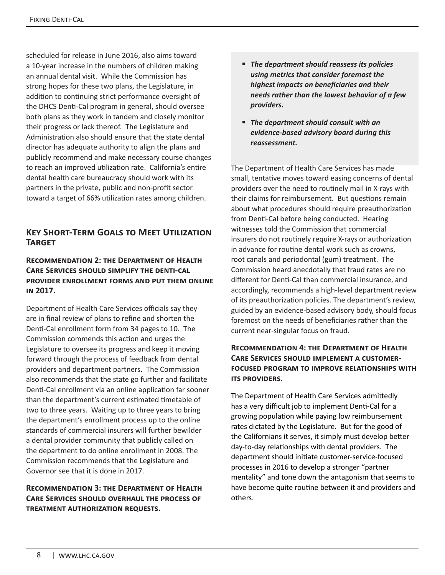scheduled for release in June 2016, also aims toward a 10-year increase in the numbers of children making an annual dental visit. While the Commission has strong hopes for these two plans, the Legislature, in addition to continuing strict performance oversight of the DHCS Denti-Cal program in general, should oversee both plans as they work in tandem and closely monitor their progress or lack thereof. The Legislature and Administration also should ensure that the state dental director has adequate authority to align the plans and publicly recommend and make necessary course changes to reach an improved utilization rate. California's entire dental health care bureaucracy should work with its partners in the private, public and non-profit sector toward a target of 66% utilization rates among children.

### **Key Short-Term Goals to Meet Utilization Target**

#### **Recommendation 2: the Department of Health Care Services should simplify the denti-cal provider enrollment forms and put them online in 2017.**

Department of Health Care Services officials say they are in final review of plans to refine and shorten the Denti-Cal enrollment form from 34 pages to 10. The Commission commends this action and urges the Legislature to oversee its progress and keep it moving forward through the process of feedback from dental providers and department partners. The Commission also recommends that the state go further and facilitate Denti-Cal enrollment via an online application far sooner than the department's current estimated timetable of two to three years. Waiting up to three years to bring the department's enrollment process up to the online standards of commercial insurers will further bewilder a dental provider community that publicly called on the department to do online enrollment in 2008. The Commission recommends that the Legislature and Governor see that it is done in 2017.

#### **Recommendation 3: the Department of Health Care Services should overhaul the process of treatment authorization requests.**

- *The department should reassess its policies using metrics that consider foremost the highest impacts on beneficiaries and their needs rather than the lowest behavior of a few providers.*
- *The department should consult with an evidence-based advisory board during this reassessment.*

The Department of Health Care Services has made small, tentative moves toward easing concerns of dental providers over the need to routinely mail in X-rays with their claims for reimbursement. But questions remain about what procedures should require preauthorization from Denti-Cal before being conducted. Hearing witnesses told the Commission that commercial insurers do not routinely require X-rays or authorization in advance for routine dental work such as crowns, root canals and periodontal (gum) treatment. The Commission heard anecdotally that fraud rates are no different for Denti-Cal than commercial insurance, and accordingly, recommends a high-level department review of its preauthorization policies. The department's review, guided by an evidence-based advisory body, should focus foremost on the needs of beneficiaries rather than the current near-singular focus on fraud.

#### **Recommendation 4: the Department of Health Care Services should implement a customerfocused program to improve relationships with ITS PROVIDERS.**

The Department of Health Care Services admittedly has a very difficult job to implement Denti-Cal for a growing population while paying low reimbursement rates dictated by the Legislature. But for the good of the Californians it serves, it simply must develop better day-to-day relationships with dental providers. The department should initiate customer-service-focused processes in 2016 to develop a stronger "partner mentality" and tone down the antagonism that seems to have become quite routine between it and providers and others.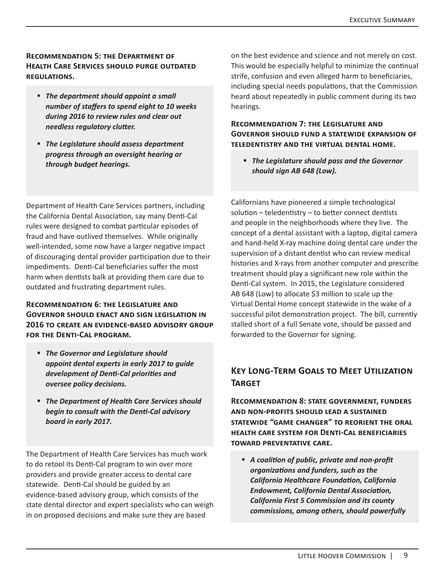#### **Recommendation 5: the Department of Health Care Services should purge outdated regulations.**

- *The department should appoint a small number of staffers to spend eight to 10 weeks during 2016 to review rules and clear out needless regulatory clutter.*
- *The Legislature should assess department progress through an oversight hearing or through budget hearings.*

Department of Health Care Services partners, including the California Dental Association, say many Denti-Cal rules were designed to combat particular episodes of fraud and have outlived themselves. While originally well-intended, some now have a larger negative impact of discouraging dental provider participation due to their impediments. Denti-Cal beneficiaries suffer the most harm when dentists balk at providing them care due to outdated and frustrating department rules.

#### **Recommendation 6: the Legislature and Governor should enact and sign legislation in 2016 to create an evidence-based advisory group for the Denti-Cal program.**

- *The Governor and Legislature should appoint dental experts in early 2017 to guide development of Denti-Cal priorities and oversee policy decisions.*
- *The Department of Health Care Services should begin to consult with the Denti-Cal advisory board in early 2017.*

The Department of Health Care Services has much work to do retool its Denti-Cal program to win over more providers and provide greater access to dental care statewide. Denti-Cal should be guided by an evidence-based advisory group, which consists of the state dental director and expert specialists who can weigh in on proposed decisions and make sure they are based

on the best evidence and science and not merely on cost. This would be especially helpful to minimize the continual strife, confusion and even alleged harm to beneficiaries, including special needs populations, that the Commission heard about repeatedly in public comment during its two hearings.

#### **Recommendation 7: the Legislature and Governor should fund a statewide expansion of teledentistry and the virtual dental home.**

 *The Legislature should pass and the Governor should sign AB 648 (Low).* 

Californians have pioneered a simple technological solution – teledentistry – to better connect dentists and people in the neighborhoods where they live. The concept of a dental assistant with a laptop, digital camera and hand-held X-ray machine doing dental care under the supervision of a distant dentist who can review medical histories and X-rays from another computer and prescribe treatment should play a significant new role within the Denti-Cal system. In 2015, the Legislature considered AB 648 (Low) to allocate \$3 million to scale up the Virtual Dental Home concept statewide in the wake of a successful pilot demonstration project. The bill, currently stalled short of a full Senate vote, should be passed and forwarded to the Governor for signing.

## **Key Long-Term Goals to Meet Utilization Target**

**Recommendation 8: state government, funders and non-profits should lead a sustained statewide "game changer" to reorient the oral health care system for Denti-Cal beneficiaries toward preventative care.**

 *A coalition of public, private and non-profit organizations and funders, such as the California Healthcare Foundation, California Endowment, California Dental Association, California First 5 Commission and its county commissions, among others, should powerfully*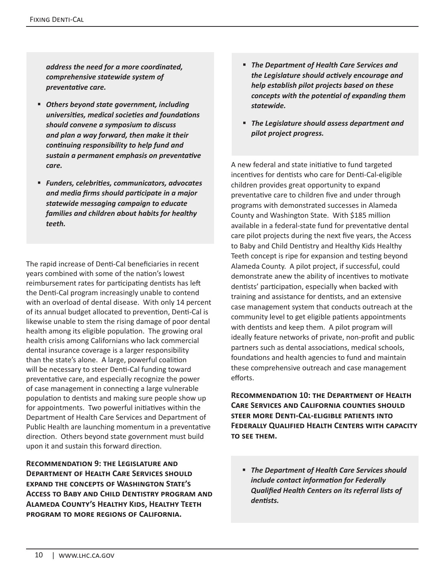*address the need for a more coordinated, comprehensive statewide system of preventative care.*

- *Others beyond state government, including universities, medical societies and foundations should convene a symposium to discuss and plan a way forward, then make it their continuing responsibility to help fund and sustain a permanent emphasis on preventative care.*
- *Funders, celebrities, communicators, advocates and media firms should participate in a major statewide messaging campaign to educate families and children about habits for healthy teeth.*

The rapid increase of Denti-Cal beneficiaries in recent years combined with some of the nation's lowest reimbursement rates for participating dentists has left the Denti-Cal program increasingly unable to contend with an overload of dental disease. With only 14 percent of its annual budget allocated to prevention, Denti-Cal is likewise unable to stem the rising damage of poor dental health among its eligible population. The growing oral health crisis among Californians who lack commercial dental insurance coverage is a larger responsibility than the state's alone. A large, powerful coalition will be necessary to steer Denti-Cal funding toward preventative care, and especially recognize the power of case management in connecting a large vulnerable population to dentists and making sure people show up for appointments. Two powerful initiatives within the Department of Health Care Services and Department of Public Health are launching momentum in a preventative direction. Others beyond state government must build upon it and sustain this forward direction.

**Recommendation 9: the Legislature and Department of Health Care Services should expand the concepts of Washington State's Access to Baby and Child Dentistry program and Alameda County's Healthy Kids, Healthy Teeth program to more regions of California.**

- *The Department of Health Care Services and the Legislature should actively encourage and help establish pilot projects based on these concepts with the potential of expanding them statewide.*
- *The Legislature should assess department and pilot project progress.*

A new federal and state initiative to fund targeted incentives for dentists who care for Denti-Cal-eligible children provides great opportunity to expand preventative care to children five and under through programs with demonstrated successes in Alameda County and Washington State. With \$185 million available in a federal-state fund for preventative dental care pilot projects during the next five years, the Access to Baby and Child Dentistry and Healthy Kids Healthy Teeth concept is ripe for expansion and testing beyond Alameda County. A pilot project, if successful, could demonstrate anew the ability of incentives to motivate dentists' participation, especially when backed with training and assistance for dentists, and an extensive case management system that conducts outreach at the community level to get eligible patients appointments with dentists and keep them. A pilot program will ideally feature networks of private, non-profit and public partners such as dental associations, medical schools, foundations and health agencies to fund and maintain these comprehensive outreach and case management efforts.

**Recommendation 10: the Department of Health Care Services and California counties should steer more Denti-Cal-eligible patients into Federally Qualified Health Centers with capacity to see them.** 

 *The Department of Health Care Services should include contact information for Federally Qualified Health Centers on its referral lists of dentists.*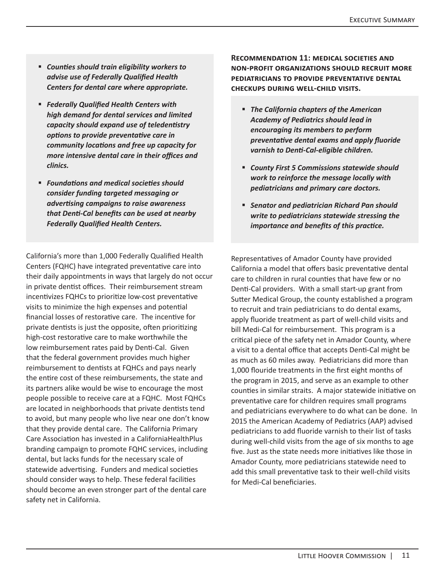- *Counties should train eligibility workers to advise use of Federally Qualified Health Centers for dental care where appropriate.*
- *Federally Qualified Health Centers with high demand for dental services and limited capacity should expand use of teledentistry options to provide preventative care in community locations and free up capacity for more intensive dental care in their offices and clinics.*
- *Foundations and medical societies should consider funding targeted messaging or advertising campaigns to raise awareness that Denti-Cal benefits can be used at nearby Federally Qualified Health Centers.*

California's more than 1,000 Federally Qualified Health Centers (FQHC) have integrated preventative care into their daily appointments in ways that largely do not occur in private dentist offices. Their reimbursement stream incentivizes FQHCs to prioritize low-cost preventative visits to minimize the high expenses and potential financial losses of restorative care. The incentive for private dentists is just the opposite, often prioritizing high-cost restorative care to make worthwhile the low reimbursement rates paid by Denti-Cal. Given that the federal government provides much higher reimbursement to dentists at FQHCs and pays nearly the entire cost of these reimbursements, the state and its partners alike would be wise to encourage the most people possible to receive care at a FQHC. Most FQHCs are located in neighborhoods that private dentists tend to avoid, but many people who live near one don't know that they provide dental care. The California Primary Care Association has invested in a CaliforniaHealthPlus branding campaign to promote FQHC services, including dental, but lacks funds for the necessary scale of statewide advertising. Funders and medical societies should consider ways to help. These federal facilities should become an even stronger part of the dental care safety net in California.

**Recommendation 11: medical societies and non-profit organizations should recruit more pediatricians to provide preventative dental checkups during well-child visits.** 

- *The California chapters of the American Academy of Pediatrics should lead in encouraging its members to perform preventative dental exams and apply fluoride varnish to Denti-Cal-eligible children.*
- *County First 5 Commissions statewide should work to reinforce the message locally with pediatricians and primary care doctors.*
- *Senator and pediatrician Richard Pan should write to pediatricians statewide stressing the importance and benefits of this practice.*

Representatives of Amador County have provided California a model that offers basic preventative dental care to children in rural counties that have few or no Denti-Cal providers. With a small start-up grant from Sutter Medical Group, the county established a program to recruit and train pediatricians to do dental exams, apply fluoride treatment as part of well-child visits and bill Medi-Cal for reimbursement. This program is a critical piece of the safety net in Amador County, where a visit to a dental office that accepts Denti-Cal might be as much as 60 miles away. Pediatricians did more than 1,000 flouride treatments in the first eight months of the program in 2015, and serve as an example to other counties in similar straits. A major statewide initiative on preventative care for children requires small programs and pediatricians everywhere to do what can be done. In 2015 the American Academy of Pediatrics (AAP) advised pediatricians to add fluoride varnish to their list of tasks during well-child visits from the age of six months to age five. Just as the state needs more initiatives like those in Amador County, more pediatricians statewide need to add this small preventative task to their well-child visits for Medi-Cal beneficiaries.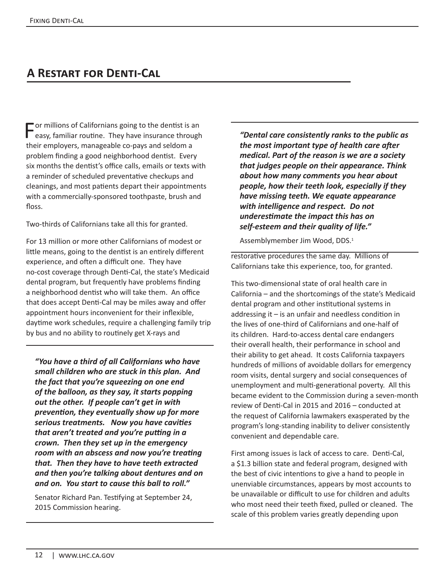# **A Restart for Denti-Cal**

For millions of Californians going to the dentist is an easy, familiar routine. They have insurance through their employers, manageable co-pays and seldom a problem finding a good neighborhood dentist. Every six months the dentist's office calls, emails or texts with a reminder of scheduled preventative checkups and cleanings, and most patients depart their appointments with a commercially-sponsored toothpaste, brush and floss.

Two-thirds of Californians take all this for granted.

For 13 million or more other Californians of modest or little means, going to the dentist is an entirely different experience, and often a difficult one. They have no-cost coverage through Denti-Cal, the state's Medicaid dental program, but frequently have problems finding a neighborhood dentist who will take them. An office that does accept Denti-Cal may be miles away and offer appointment hours inconvenient for their inflexible, daytime work schedules, require a challenging family trip by bus and no ability to routinely get X-rays and

*"You have a third of all Californians who have small children who are stuck in this plan. And the fact that you're squeezing on one end of the balloon, as they say, it starts popping out the other. If people can't get in with prevention, they eventually show up for more serious treatments. Now you have cavities that aren't treated and you're putting in a crown. Then they set up in the emergency room with an abscess and now you're treating that. Then they have to have teeth extracted and then you're talking about dentures and on and on. You start to cause this ball to roll."*

Senator Richard Pan. Testifying at September 24, 2015 Commission hearing.

*"Dental care consistently ranks to the public as the most important type of health care after medical. Part of the reason is we are a society that judges people on their appearance. Think about how many comments you hear about people, how their teeth look, especially if they have missing teeth. We equate appearance with intelligence and respect. Do not underestimate the impact this has on self-esteem and their quality of life."* 

Assemblymember Jim Wood, DDS.<sup>1</sup>

restorative procedures the same day. Millions of Californians take this experience, too, for granted.

This two-dimensional state of oral health care in California – and the shortcomings of the state's Medicaid dental program and other institutional systems in addressing it  $-$  is an unfair and needless condition in the lives of one-third of Californians and one-half of its children. Hard-to-access dental care endangers their overall health, their performance in school and their ability to get ahead. It costs California taxpayers hundreds of millions of avoidable dollars for emergency room visits, dental surgery and social consequences of unemployment and multi-generational poverty. All this became evident to the Commission during a seven-month review of Denti-Cal in 2015 and 2016 – conducted at the request of California lawmakers exasperated by the program's long-standing inability to deliver consistently convenient and dependable care.

First among issues is lack of access to care. Denti-Cal, a \$1.3 billion state and federal program, designed with the best of civic intentions to give a hand to people in unenviable circumstances, appears by most accounts to be unavailable or difficult to use for children and adults who most need their teeth fixed, pulled or cleaned. The scale of this problem varies greatly depending upon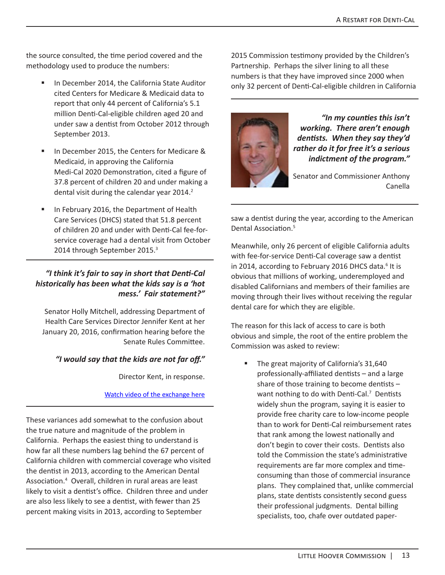the source consulted, the time period covered and the methodology used to produce the numbers:

- In December 2014, the California State Auditor cited Centers for Medicare & Medicaid data to report that only 44 percent of California's 5.1 million Denti-Cal-eligible children aged 20 and under saw a dentist from October 2012 through September 2013.
- In December 2015, the Centers for Medicare & Medicaid, in approving the California Medi-Cal 2020 Demonstration, cited a figure of 37.8 percent of children 20 and under making a dental visit during the calendar year 2014.<sup>2</sup>
- In February 2016, the Department of Health Care Services (DHCS) stated that 51.8 percent of children 20 and under with Denti-Cal fee-forservice coverage had a dental visit from October 2014 through September 2015.<sup>3</sup>

#### *"I think it's fair to say in short that Denti-Cal historically has been what the kids say is a 'hot mess.' Fair statement?"*

Senator Holly Mitchell, addressing Department of Health Care Services Director Jennifer Kent at her January 20, 2016, confirmation hearing before the Senate Rules Committee.

#### *"I would say that the kids are not far off."*

Director Kent, in response.

#### Watch video of the exchange here

These variances add somewhat to the confusion about the true nature and magnitude of the problem in California. Perhaps the easiest thing to understand is how far all these numbers lag behind the 67 percent of California children with commercial coverage who visited the dentist in 2013, according to the American Dental Association.<sup>4</sup> Overall, children in rural areas are least likely to visit a dentist's office. Children three and under are also less likely to see a dentist, with fewer than 25 percent making visits in 2013, according to September

2015 Commission testimony provided by the Children's Partnership. Perhaps the silver lining to all these numbers is that they have improved since 2000 when only 32 percent of Denti-Cal-eligible children in California



*"In my counties this isn't working. There aren't enough dentists. When they say they'd rather do it for free it's a serious indictment of the program."*

Senator and Commissioner Anthony Canella

saw a dentist during the year, according to the American Dental Association.<sup>5</sup>

Meanwhile, only 26 percent of eligible California adults with fee-for-service Denti-Cal coverage saw a dentist in 2014, according to February 2016 DHCS data.<sup>6</sup> It is obvious that millions of working, underemployed and disabled Californians and members of their families are moving through their lives without receiving the regular dental care for which they are eligible.

The reason for this lack of access to care is both obvious and simple, the root of the entire problem the Commission was asked to review:

 The great majority of California's 31,640 professionally-affiliated dentists – and a large share of those training to become dentists – want nothing to do with Denti-Cal.<sup>7</sup> Dentists widely shun the program, saying it is easier to provide free charity care to low-income people than to work for Denti-Cal reimbursement rates that rank among the lowest nationally and don't begin to cover their costs. Dentists also told the Commission the state's administrative requirements are far more complex and timeconsuming than those of commercial insurance plans. They complained that, unlike commercial plans, state dentists consistently second guess their professional judgments. Dental billing specialists, too, chafe over outdated paper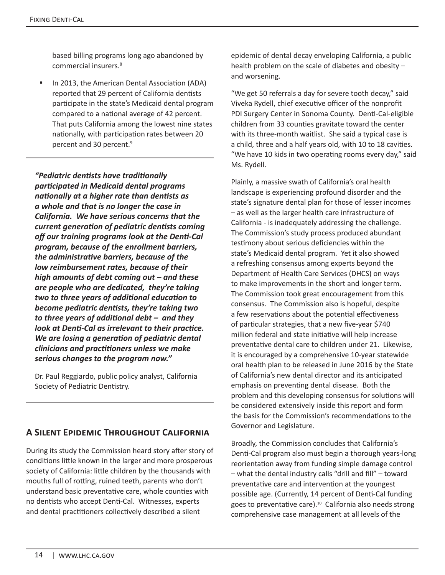based billing programs long ago abandoned by commercial insurers.<sup>8</sup>

 In 2013, the American Dental Association (ADA) reported that 29 percent of California dentists participate in the state's Medicaid dental program compared to a national average of 42 percent. That puts California among the lowest nine states nationally, with participation rates between 20 percent and 30 percent.<sup>9</sup>

*"Pediatric dentists have traditionally participated in Medicaid dental programs nationally at a higher rate than dentists as a whole and that is no longer the case in California. We have serious concerns that the current generation of pediatric dentists coming off our training programs look at the Denti-Cal program, because of the enrollment barriers, the administrative barriers, because of the low reimbursement rates, because of their high amounts of debt coming out – and these are people who are dedicated, they're taking two to three years of additional education to become pediatric dentists, they're taking two to three years of additional debt – and they look at Denti-Cal as irrelevant to their practice. We are losing a generation of pediatric dental clinicians and practitioners unless we make serious changes to the program now."*

Dr. Paul Reggiardo, public policy analyst, California Society of Pediatric Dentistry.

# **A Silent Epidemic Throughout California**

During its study the Commission heard story after story of conditions little known in the larger and more prosperous society of California: little children by the thousands with mouths full of rotting, ruined teeth, parents who don't understand basic preventative care, whole counties with no dentists who accept Denti-Cal. Witnesses, experts and dental practitioners collectively described a silent

epidemic of dental decay enveloping California, a public health problem on the scale of diabetes and obesity – and worsening.

"We get 50 referrals a day for severe tooth decay," said Viveka Rydell, chief executive officer of the nonprofit PDI Surgery Center in Sonoma County. Denti-Cal-eligible children from 33 counties gravitate toward the center with its three-month waitlist. She said a typical case is a child, three and a half years old, with 10 to 18 cavities. "We have 10 kids in two operating rooms every day," said Ms. Rydell.

Plainly, a massive swath of California's oral health landscape is experiencing profound disorder and the state's signature dental plan for those of lesser incomes – as well as the larger health care infrastructure of California - is inadequately addressing the challenge. The Commission's study process produced abundant testimony about serious deficiencies within the state's Medicaid dental program. Yet it also showed a refreshing consensus among experts beyond the Department of Health Care Services (DHCS) on ways to make improvements in the short and longer term. The Commission took great encouragement from this consensus. The Commission also is hopeful, despite a few reservations about the potential effectiveness of particular strategies, that a new five-year \$740 million federal and state initiative will help increase preventative dental care to children under 21. Likewise, it is encouraged by a comprehensive 10-year statewide oral health plan to be released in June 2016 by the State of California's new dental director and its anticipated emphasis on preventing dental disease. Both the problem and this developing consensus for solutions will be considered extensively inside this report and form the basis for the Commission's recommendations to the Governor and Legislature.

Broadly, the Commission concludes that California's Denti-Cal program also must begin a thorough years-long reorientation away from funding simple damage control – what the dental industry calls "drill and fill" – toward preventative care and intervention at the youngest possible age. (Currently, 14 percent of Denti-Cal funding goes to preventative care).<sup>10</sup> California also needs strong comprehensive case management at all levels of the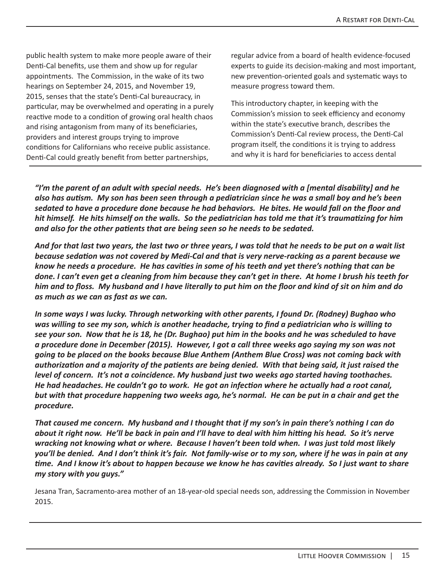public health system to make more people aware of their Denti-Cal benefits, use them and show up for regular appointments. The Commission, in the wake of its two hearings on September 24, 2015, and November 19, 2015, senses that the state's Denti-Cal bureaucracy, in particular, may be overwhelmed and operating in a purely reactive mode to a condition of growing oral health chaos and rising antagonism from many of its beneficiaries, providers and interest groups trying to improve conditions for Californians who receive public assistance. Denti-Cal could greatly benefit from better partnerships,

regular advice from a board of health evidence-focused experts to guide its decision-making and most important, new prevention-oriented goals and systematic ways to measure progress toward them.

This introductory chapter, in keeping with the Commission's mission to seek efficiency and economy within the state's executive branch, describes the Commission's Denti-Cal review process, the Denti-Cal program itself, the conditions it is trying to address and why it is hard for beneficiaries to access dental

*"I'm the parent of an adult with special needs. He's been diagnosed with a [mental disability] and he also has autism. My son has been seen through a pediatrician since he was a small boy and he's been sedated to have a procedure done because he had behaviors. He bites. He would fall on the floor and hit himself. He hits himself on the walls. So the pediatrician has told me that it's traumatizing for him and also for the other patients that are being seen so he needs to be sedated.* 

*And for that last two years, the last two or three years, I was told that he needs to be put on a wait list because sedation was not covered by Medi-Cal and that is very nerve-racking as a parent because we know he needs a procedure. He has cavities in some of his teeth and yet there's nothing that can be done. I can't even get a cleaning from him because they can't get in there. At home I brush his teeth for him and to floss. My husband and I have literally to put him on the floor and kind of sit on him and do as much as we can as fast as we can.* 

*In some ways I was lucky. Through networking with other parents, I found Dr. (Rodney) Bughao who was willing to see my son, which is another headache, trying to find a pediatrician who is willing to see your son. Now that he is 18, he (Dr. Bughao) put him in the books and he was scheduled to have a procedure done in December (2015). However, I got a call three weeks ago saying my son was not going to be placed on the books because Blue Anthem (Anthem Blue Cross) was not coming back with authorization and a majority of the patients are being denied. With that being said, it just raised the level of concern. It's not a coincidence. My husband just two weeks ago started having toothaches. He had headaches. He couldn't go to work. He got an infection where he actually had a root canal, but with that procedure happening two weeks ago, he's normal. He can be put in a chair and get the procedure.* 

*That caused me concern. My husband and I thought that if my son's in pain there's nothing I can do about it right now. He'll be back in pain and I'll have to deal with him hitting his head. So it's nerve wracking not knowing what or where. Because I haven't been told when. I was just told most likely you'll be denied. And I don't think it's fair. Not family-wise or to my son, where if he was in pain at any time. And I know it's about to happen because we know he has cavities already. So I just want to share my story with you guys."*

Jesana Tran, Sacramento-area mother of an 18-year-old special needs son, addressing the Commission in November 2015.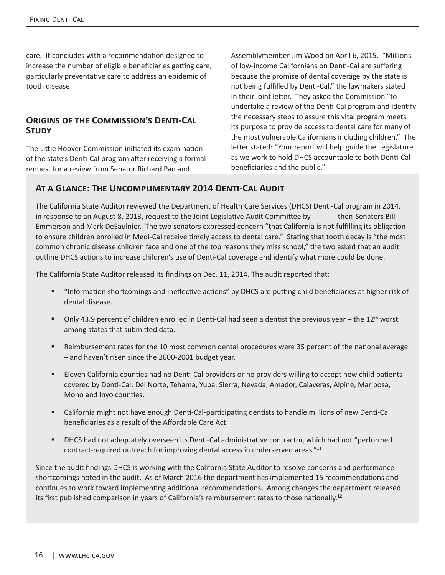care. It concludes with a recommendation designed to increase the number of eligible beneficiaries getting care, particularly preventative care to address an epidemic of tooth disease.

#### **Origins of the Commission's Denti-Cal Study**

The Little Hoover Commission initiated its examination of the state's Denti-Cal program after receiving a formal request for a review from Senator Richard Pan and

Assemblymember Jim Wood on April 6, 2015. "Millions of low-income Californians on Denti-Cal are suffering because the promise of dental coverage by the state is not being fulfilled by Denti-Cal," the lawmakers stated in their joint letter. They asked the Commission "to undertake a review of the Denti-Cal program and identify the necessary steps to assure this vital program meets its purpose to provide access to dental care for many of the most vulnerable Californians including children." The letter stated: "Your report will help guide the Legislature as we work to hold DHCS accountable to both Denti-Cal beneficiaries and the public."

#### **At a Glance: The Uncomplimentary 2014 Denti-Cal Audit**

The California State Auditor reviewed the Department of Health Care Services (DHCS) Denti-Cal program in 2014, in response to an August 8, 2013, request to the Joint Legislative Audit Committee by then-Senators Bill Emmerson and Mark DeSaulnier. The two senators expressed concern "that California is not fulfilling its obligation to ensure children enrolled in Medi-Cal receive timely access to dental care." Stating that tooth decay is "the most common chronic disease children face and one of the top reasons they miss school," the two asked that an audit outline DHCS actions to increase children's use of Denti-Cal coverage and identify what more could be done.

The California State Auditor released its findings on Dec. 11, 2014. The audit reported that:

- "Information shortcomings and ineffective actions" by DHCS are putting child beneficiaries at higher risk of dental disease.
- Only 43.9 percent of children enrolled in Denti-Cal had seen a dentist the previous year the 12<sup>th</sup> worst among states that submitted data.
- Reimbursement rates for the 10 most common dental procedures were 35 percent of the national average – and haven't risen since the 2000-2001 budget year.
- **Eleven California counties had no Denti-Cal providers or no providers willing to accept new child patients** covered by Denti-Cal: Del Norte, Tehama, Yuba, Sierra, Nevada, Amador, Calaveras, Alpine, Mariposa, Mono and Inyo counties.
- California might not have enough Denti-Cal-participating dentists to handle millions of new Denti-Cal beneficiaries as a result of the Affordable Care Act.
- DHCS had not adequately overseen its Denti-Cal administrative contractor, which had not "performed contract-required outreach for improving dental access in underserved areas."<sup>11</sup>

Since the audit findings DHCS is working with the California State Auditor to resolve concerns and performance shortcomings noted in the audit. As of March 2016 the department has implemented 15 recommendations and continues to work toward implementing additional recommendations**.** Among changes the department released its first published comparison in years of California's reimbursement rates to those nationally.**12**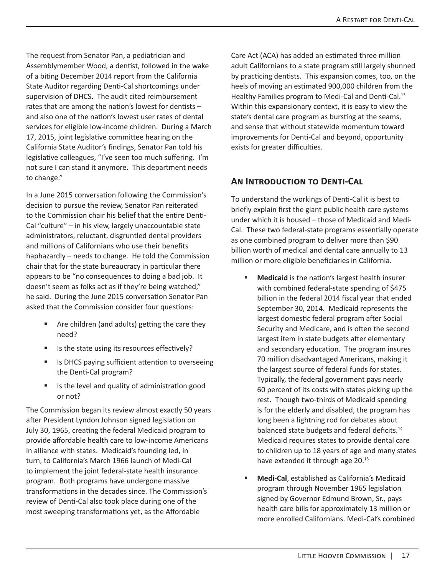The request from Senator Pan, a pediatrician and Assemblymember Wood, a dentist, followed in the wake of a biting December 2014 report from the California State Auditor regarding Denti-Cal shortcomings under supervision of DHCS. The audit cited reimbursement rates that are among the nation's lowest for dentists – and also one of the nation's lowest user rates of dental services for eligible low-income children. During a March 17, 2015, joint legislative committee hearing on the California State Auditor's findings, Senator Pan told his legislative colleagues, "I've seen too much suffering. I'm not sure I can stand it anymore. This department needs to change."

In a June 2015 conversation following the Commission's decision to pursue the review, Senator Pan reiterated to the Commission chair his belief that the entire Denti-Cal "culture" – in his view, largely unaccountable state administrators, reluctant, disgruntled dental providers and millions of Californians who use their benefits haphazardly – needs to change. He told the Commission chair that for the state bureaucracy in particular there appears to be "no consequences to doing a bad job. It doesn't seem as folks act as if they're being watched," he said. During the June 2015 conversation Senator Pan asked that the Commission consider four questions:

- Are children (and adults) getting the care they need?
- Is the state using its resources effectively?
- Is DHCS paying sufficient attention to overseeing the Denti-Cal program?
- Is the level and quality of administration good or not?

The Commission began its review almost exactly 50 years after President Lyndon Johnson signed legislation on July 30, 1965, creating the federal Medicaid program to provide affordable health care to low-income Americans in alliance with states. Medicaid's founding led, in turn, to California's March 1966 launch of Medi-Cal to implement the joint federal-state health insurance program. Both programs have undergone massive transformations in the decades since. The Commission's review of Denti-Cal also took place during one of the most sweeping transformations yet, as the Affordable

Care Act (ACA) has added an estimated three million adult Californians to a state program still largely shunned by practicing dentists. This expansion comes, too, on the heels of moving an estimated 900,000 children from the Healthy Families program to Medi-Cal and Denti-Cal.<sup>13</sup> Within this expansionary context, it is easy to view the state's dental care program as bursting at the seams, and sense that without statewide momentum toward improvements for Denti-Cal and beyond, opportunity exists for greater difficulties.

#### **An Introduction to Denti-Cal**

To understand the workings of Denti-Cal it is best to briefly explain first the giant public health care systems under which it is housed – those of Medicaid and Medi-Cal. These two federal-state programs essentially operate as one combined program to deliver more than \$90 billion worth of medical and dental care annually to 13 million or more eligible beneficiaries in California.

- **Medicaid** is the nation's largest health insurer with combined federal-state spending of \$475 billion in the federal 2014 fiscal year that ended September 30, 2014. Medicaid represents the largest domestic federal program after Social Security and Medicare, and is often the second largest item in state budgets after elementary and secondary education. The program insures 70 million disadvantaged Americans, making it the largest source of federal funds for states. Typically, the federal government pays nearly 60 percent of its costs with states picking up the rest. Though two-thirds of Medicaid spending is for the elderly and disabled, the program has long been a lightning rod for debates about balanced state budgets and federal deficits.<sup>14</sup> Medicaid requires states to provide dental care to children up to 18 years of age and many states have extended it through age 20.<sup>15</sup>
- **Medi-Cal**, established as California's Medicaid program through November 1965 legislation signed by Governor Edmund Brown, Sr., pays health care bills for approximately 13 million or more enrolled Californians. Medi-Cal's combined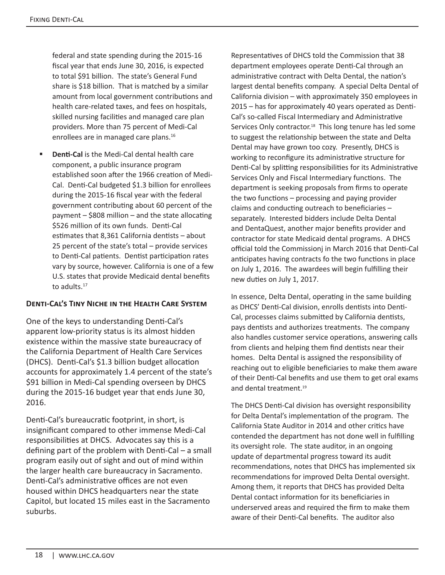federal and state spending during the 2015-16 fiscal year that ends June 30, 2016, is expected to total \$91 billion. The state's General Fund share is \$18 billion. That is matched by a similar amount from local government contributions and health care-related taxes, and fees on hospitals, skilled nursing facilities and managed care plan providers. More than 75 percent of Medi-Cal enrollees are in managed care plans.<sup>16</sup>

 **Denti-Cal** is the Medi-Cal dental health care component, a public insurance program established soon after the 1966 creation of Medi-Cal. Denti-Cal budgeted \$1.3 billion for enrollees during the 2015-16 fiscal year with the federal government contributing about 60 percent of the payment – \$808 million – and the state allocating \$526 million of its own funds. Denti-Cal estimates that 8,361 California dentists – about 25 percent of the state's total – provide services to Denti-Cal patients. Dentist participation rates vary by source, however. California is one of a few U.S. states that provide Medicaid dental benefits to adults.<sup>17</sup>

#### **Denti-Cal's Tiny Niche in the Health Care System**

One of the keys to understanding Denti-Cal's apparent low-priority status is its almost hidden existence within the massive state bureaucracy of the California Department of Health Care Services (DHCS). Denti-Cal's \$1.3 billion budget allocation accounts for approximately 1.4 percent of the state's \$91 billion in Medi-Cal spending overseen by DHCS during the 2015-16 budget year that ends June 30, 2016.

Denti-Cal's bureaucratic footprint, in short, is insignificant compared to other immense Medi-Cal responsibilities at DHCS. Advocates say this is a defining part of the problem with Denti-Cal – a small program easily out of sight and out of mind within the larger health care bureaucracy in Sacramento. Denti-Cal's administrative offices are not even housed within DHCS headquarters near the state Capitol, but located 15 miles east in the Sacramento suburbs.

Representatives of DHCS told the Commission that 38 department employees operate Denti-Cal through an administrative contract with Delta Dental, the nation's largest dental benefits company. A special Delta Dental of California division – with approximately 350 employees in 2015 – has for approximately 40 years operated as Denti-Cal's so-called Fiscal Intermediary and Administrative Services Only contractor.<sup>18</sup> This long tenure has led some to suggest the relationship between the state and Delta Dental may have grown too cozy. Presently, DHCS is working to reconfigure its administrative structure for Denti-Cal by splitting responsibilities for its Administrative Services Only and Fiscal Intermediary functions. The department is seeking proposals from firms to operate the two functions – processing and paying provider claims and conducting outreach to beneficiaries – separately. Interested bidders include Delta Dental and DentaQuest, another major benefits provider and contractor for state Medicaid dental programs. A DHCS official told the Commissionj in March 2016 that Denti-Cal anticipates having contracts fo the two functions in place on July 1, 2016. The awardees will begin fulfilling their new duties on July 1, 2017.

In essence, Delta Dental, operating in the same building as DHCS' Denti-Cal division, enrolls dentists into Denti-Cal, processes claims submitted by California dentists, pays dentists and authorizes treatments. The company also handles customer service operations, answering calls from clients and helping them find dentists near their homes. Delta Dental is assigned the responsibility of reaching out to eligible beneficiaries to make them aware of their Denti-Cal benefits and use them to get oral exams and dental treatment.<sup>19</sup>

The DHCS Denti-Cal division has oversight responsibility for Delta Dental's implementation of the program. The California State Auditor in 2014 and other critics have contended the department has not done well in fulfilling its oversight role. The state auditor, in an ongoing update of departmental progress toward its audit recommendations, notes that DHCS has implemented six recommendations for improved Delta Dental oversight. Among them, it reports that DHCS has provided Delta Dental contact information for its beneficiaries in underserved areas and required the firm to make them aware of their Denti-Cal benefits. The auditor also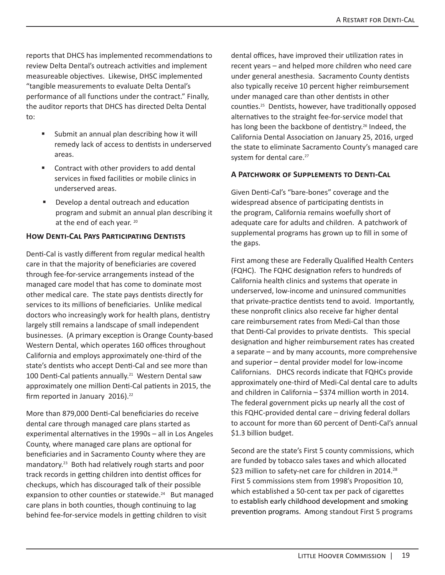reports that DHCS has implemented recommendations to review Delta Dental's outreach activities and implement measureable objectives. Likewise, DHSC implemented "tangible measurements to evaluate Delta Dental's performance of all functions under the contract." Finally, the auditor reports that DHCS has directed Delta Dental to:

- **Submit an annual plan describing how it will** remedy lack of access to dentists in underserved areas.
- **EXECONTRACT CONTRACT META** Contract with other providers to add dental services in fixed facilities or mobile clinics in underserved areas.
- **Develop a dental outreach and education** program and submit an annual plan describing it at the end of each year. 20

#### **How Denti-Cal Pays Participating Dentists**

Denti-Cal is vastly different from regular medical health care in that the majority of beneficiaries are covered through fee-for-service arrangements instead of the managed care model that has come to dominate most other medical care. The state pays dentists directly for services to its millions of beneficiaries. Unlike medical doctors who increasingly work for health plans, dentistry largely still remains a landscape of small independent businesses. (A primary exception is Orange County-based Western Dental, which operates 160 offices throughout California and employs approximately one-third of the state's dentists who accept Denti-Cal and see more than 100 Denti-Cal patients annually.<sup>21</sup> Western Dental saw approximately one million Denti-Cal patients in 2015, the firm reported in January 2016).<sup>22</sup>

More than 879,000 Denti-Cal beneficiaries do receive dental care through managed care plans started as experimental alternatives in the 1990s – all in Los Angeles County, where managed care plans are optional for beneficiaries and in Sacramento County where they are mandatory.23 Both had relatively rough starts and poor track records in getting children into dentist offices for checkups, which has discouraged talk of their possible expansion to other counties or statewide.<sup>24</sup> But managed care plans in both counties, though continuing to lag behind fee-for-service models in getting children to visit

dental offices, have improved their utilization rates in recent years – and helped more children who need care under general anesthesia. Sacramento County dentists also typically receive 10 percent higher reimbursement under managed care than other dentists in other counties.25 Dentists, however, have traditionally opposed alternatives to the straight fee-for-service model that has long been the backbone of dentistry.<sup>26</sup> Indeed, the California Dental Association on January 25, 2016, urged the state to eliminate Sacramento County's managed care system for dental care.<sup>27</sup>

#### **A Patchwork of Supplements to Denti-Cal**

Given Denti-Cal's "bare-bones" coverage and the widespread absence of participating dentists in the program, California remains woefully short of adequate care for adults and children. A patchwork of supplemental programs has grown up to fill in some of the gaps.

First among these are Federally Qualified Health Centers (FQHC). The FQHC designation refers to hundreds of California health clinics and systems that operate in underserved, low-income and uninsured communities that private-practice dentists tend to avoid. Importantly, these nonprofit clinics also receive far higher dental care reimbursement rates from Medi-Cal than those that Denti-Cal provides to private dentists. This special designation and higher reimbursement rates has created a separate – and by many accounts, more comprehensive and superior – dental provider model for low-income Californians. DHCS records indicate that FQHCs provide approximately one-third of Medi-Cal dental care to adults and children in California – \$374 million worth in 2014. The federal government picks up nearly all the cost of this FQHC-provided dental care – driving federal dollars to account for more than 60 percent of Denti-Cal's annual \$1.3 billion budget.

Second are the state's First 5 county commissions, which are funded by tobacco sales taxes and which allocated \$23 million to safety-net care for children in 2014.<sup>28</sup> First 5 commissions stem from 1998's Proposition 10, which established a 50-cent tax per pack of cigarettes to establish early childhood development and smoking prevention programs. Among standout First 5 programs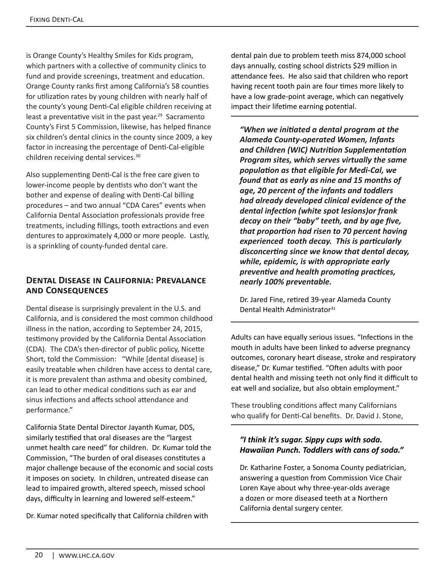is Orange County's Healthy Smiles for Kids program, which partners with a collective of community clinics to fund and provide screenings, treatment and education. Orange County ranks first among California's 58 counties for utilization rates by young children with nearly half of the county's young Denti-Cal eligible children receiving at least a preventative visit in the past year.<sup>29</sup> Sacramento County's First 5 Commission, likewise, has helped finance six children's dental clinics in the county since 2009, a key factor in increasing the percentage of Denti-Cal-eligible children receiving dental services.30

Also supplementing Denti-Cal is the free care given to lower-income people by dentists who don't want the bother and expense of dealing with Denti-Cal billing procedures – and two annual "CDA Cares" events when California Dental Association professionals provide free treatments, including fillings, tooth extractions and even dentures to approximately 4,000 or more people. Lastly, is a sprinkling of county-funded dental care.

#### **Dental Disease in California: Prevalance and Consequences**

Dental disease is surprisingly prevalent in the U.S. and California, and is considered the most common childhood illness in the nation, according to September 24, 2015, testimony provided by the California Dental Association (CDA). The CDA's then-director of public policy, Nicette Short, told the Commission: "While [dental disease] is easily treatable when children have access to dental care, it is more prevalent than asthma and obesity combined, can lead to other medical conditions such as ear and sinus infections and affects school attendance and performance."

California State Dental Director Jayanth Kumar, DDS, similarly testified that oral diseases are the "largest unmet health care need" for children. Dr. Kumar told the Commission, "The burden of oral diseases constitutes a major challenge because of the economic and social costs it imposes on society. In children, untreated disease can lead to impaired growth, altered speech, missed school days, difficulty in learning and lowered self-esteem."

Dr. Kumar noted specifically that California children with

dental pain due to problem teeth miss 874,000 school days annually, costing school districts \$29 million in attendance fees. He also said that children who report having recent tooth pain are four times more likely to have a low grade-point average, which can negatively impact their lifetime earning potential.

*"When we initiated a dental program at the Alameda County-operated Women, Infants and Children (WIC) Nutrition Supplementation Program sites, which serves virtually the same population as that eligible for Medi-Cal, we found that as early as nine and 15 months of age, 20 percent of the infants and toddlers had already developed clinical evidence of the dental infection (white spot lesions)or frank decay on their "baby" teeth, and by age five, that proportion had risen to 70 percent having experienced tooth decay. This is particularly disconcerting since we know that dental decay, while, epidemic, is with appropriate early preventive and health promoting practices, nearly 100% preventable.* 

Dr. Jared Fine, retired 39-year Alameda County Dental Health Administrator<sup>31</sup>

Adults can have equally serious issues. "Infections in the mouth in adults have been linked to adverse pregnancy outcomes, coronary heart disease, stroke and respiratory disease," Dr. Kumar testified. "Often adults with poor dental health and missing teeth not only find it difficult to eat well and socialize, but also obtain employment."

These troubling conditions affect many Californians who qualify for Denti-Cal benefits. Dr. David J. Stone,

#### *"I think it's sugar. Sippy cups with soda. Hawaiian Punch. Toddlers with cans of soda."*

Dr. Katharine Foster, a Sonoma County pediatrician, answering a question from Commission Vice Chair Loren Kaye about why three-year-olds average a dozen or more diseased teeth at a Northern California dental surgery center.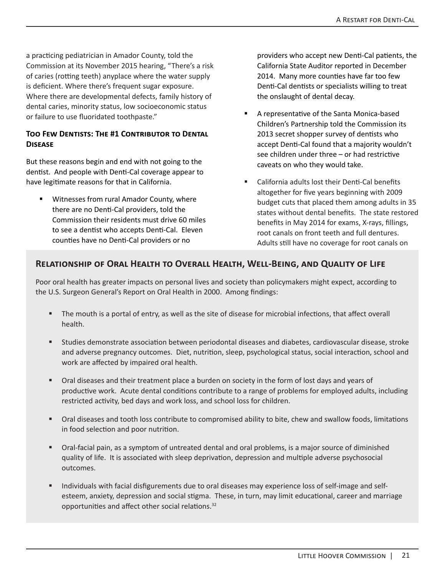a practicing pediatrician in Amador County, told the Commission at its November 2015 hearing, "There's a risk of caries (rotting teeth) anyplace where the water supply is deficient. Where there's frequent sugar exposure. Where there are developmental defects, family history of dental caries, minority status, low socioeconomic status or failure to use fluoridated toothpaste."

#### **Too Few Dentists: The #1 Contributor to Dental Disease**

But these reasons begin and end with not going to the dentist. And people with Denti-Cal coverage appear to have legitimate reasons for that in California.

 Witnesses from rural Amador County, where there are no Denti-Cal providers, told the Commission their residents must drive 60 miles to see a dentist who accepts Denti-Cal. Eleven counties have no Denti-Cal providers or no

providers who accept new Denti-Cal patients, the California State Auditor reported in December 2014. Many more counties have far too few Denti-Cal dentists or specialists willing to treat the onslaught of dental decay.

- A representative of the Santa Monica-based Children's Partnership told the Commission its 2013 secret shopper survey of dentists who accept Denti-Cal found that a majority wouldn't see children under three – or had restrictive caveats on who they would take.
- California adults lost their Denti-Cal benefits altogether for five years beginning with 2009 budget cuts that placed them among adults in 35 states without dental benefits. The state restored benefits in May 2014 for exams, X-rays, fillings, root canals on front teeth and full dentures. Adults still have no coverage for root canals on

#### **Relationship of Oral Health to Overall Health, Well-Being, and Quality of Life**

Poor oral health has greater impacts on personal lives and society than policymakers might expect, according to the U.S. Surgeon General's Report on Oral Health in 2000. Among findings:

- The mouth is a portal of entry, as well as the site of disease for microbial infections, that affect overall health.
- Studies demonstrate association between periodontal diseases and diabetes, cardiovascular disease, stroke and adverse pregnancy outcomes. Diet, nutrition, sleep, psychological status, social interaction, school and work are affected by impaired oral health.
- Oral diseases and their treatment place a burden on society in the form of lost days and years of productive work. Acute dental conditions contribute to a range of problems for employed adults, including restricted activity, bed days and work loss, and school loss for children.
- Oral diseases and tooth loss contribute to compromised ability to bite, chew and swallow foods, limitations in food selection and poor nutrition.
- Oral-facial pain, as a symptom of untreated dental and oral problems, is a major source of diminished quality of life. It is associated with sleep deprivation, depression and multiple adverse psychosocial outcomes.
- Individuals with facial disfigurements due to oral diseases may experience loss of self-image and selfesteem, anxiety, depression and social stigma. These, in turn, may limit educational, career and marriage opportunities and affect other social relations.32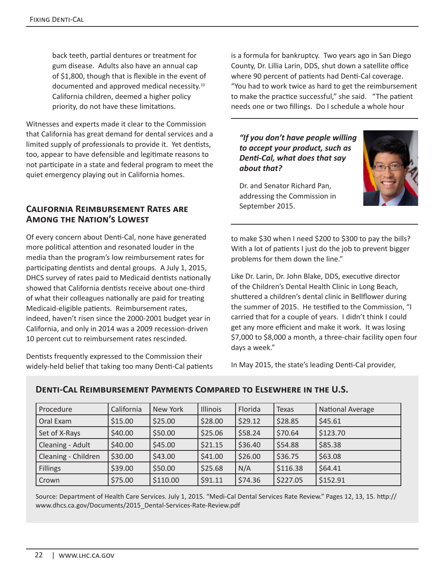back teeth, partial dentures or treatment for gum disease. Adults also have an annual cap of \$1,800, though that is flexible in the event of documented and approved medical necessity.33 California children, deemed a higher policy priority, do not have these limitations.

Witnesses and experts made it clear to the Commission that California has great demand for dental services and a limited supply of professionals to provide it. Yet dentists, too, appear to have defensible and legitimate reasons to not participate in a state and federal program to meet the quiet emergency playing out in California homes.

#### **California Reimbursement Rates are Among the Nation's Lowest**

Of every concern about Denti-Cal, none have generated more political attention and resonated louder in the media than the program's low reimbursement rates for participating dentists and dental groups. A July 1, 2015, DHCS survey of rates paid to Medicaid dentists nationally showed that California dentists receive about one-third of what their colleagues nationally are paid for treating Medicaid-eligible patients. Reimbursement rates, indeed, haven't risen since the 2000-2001 budget year in California, and only in 2014 was a 2009 recession-driven 10 percent cut to reimbursement rates rescinded.

Dentists frequently expressed to the Commission their widely-held belief that taking too many Denti-Cal patients is a formula for bankruptcy. Two years ago in San Diego County, Dr. Lillia Larin, DDS, shut down a satellite office where 90 percent of patients had Denti-Cal coverage. "You had to work twice as hard to get the reimbursement to make the practice successful," she said. "The patient needs one or two fillings. Do I schedule a whole hour

*"If you don't have people willing to accept your product, such as Denti-Cal, what does that say about that?*



Dr. and Senator Richard Pan, addressing the Commission in September 2015.

to make \$30 when I need \$200 to \$300 to pay the bills? With a lot of patients I just do the job to prevent bigger problems for them down the line."

Like Dr. Larin, Dr. John Blake, DDS, executive director of the Children's Dental Health Clinic in Long Beach, shuttered a children's dental clinic in Bellflower during the summer of 2015. He testified to the Commission, "I carried that for a couple of years. I didn't think I could get any more efficient and make it work. It was losing \$7,000 to \$8,000 a month, a three-chair facility open four days a week."

In May 2015, the state's leading Denti-Cal provider,

| Procedure           | California | New York | Illinois | Florida | <b>Texas</b> | <b>National Average</b> |
|---------------------|------------|----------|----------|---------|--------------|-------------------------|
| Oral Exam           | \$15.00    | \$25.00  | \$28.00  | \$29.12 | \$28.85      | \$45.61                 |
| Set of X-Rays       | \$40.00    | \$50.00  | \$25.06  | \$58.24 | \$70.64      | \$123.70                |
| Cleaning - Adult    | \$40.00    | \$45.00  | \$21.15  | \$36.40 | \$54.88      | \$85.38                 |
| Cleaning - Children | \$30.00    | \$43.00  | \$41.00  | \$26.00 | \$36.75      | \$63.08                 |
| <b>Fillings</b>     | \$39.00    | \$50.00  | \$25.68  | N/A     | \$116.38     | \$64.41                 |
| Crown               | \$75.00    | \$110.00 | \$91.11  | \$74.36 | \$227.05     | \$152.91                |

#### **Denti-Cal Reimbursement Payments Compared to Elsewhere in the U.S.**

Source: Department of Health Care Services. July 1, 2015. "Medi-Cal Dental Services Rate Review." Pages 12, 13, 15. http:// www.dhcs.ca.gov/Documents/2015\_Dental-Services-Rate-Review.pdf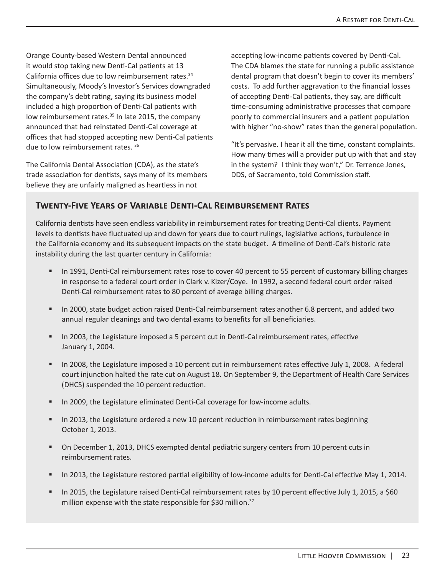Orange County-based Western Dental announced it would stop taking new Denti-Cal patients at 13 California offices due to low reimbursement rates.<sup>34</sup> Simultaneously, Moody's Investor's Services downgraded the company's debt rating, saying its business model included a high proportion of Denti-Cal patients with low reimbursement rates.<sup>35</sup> In late 2015, the company announced that had reinstated Denti-Cal coverage at offices that had stopped accepting new Denti-Cal patients due to low reimbursement rates. 36

The California Dental Association (CDA), as the state's trade association for dentists, says many of its members believe they are unfairly maligned as heartless in not

accepting low-income patients covered by Denti-Cal. The CDA blames the state for running a public assistance dental program that doesn't begin to cover its members' costs. To add further aggravation to the financial losses of accepting Denti-Cal patients, they say, are difficult time-consuming administrative processes that compare poorly to commercial insurers and a patient population with higher "no-show" rates than the general population.

"It's pervasive. I hear it all the time, constant complaints. How many times will a provider put up with that and stay in the system? I think they won't," Dr. Terrence Jones, DDS, of Sacramento, told Commission staff.

#### **Twenty-Five Years of Variable Denti-Cal Reimbursement Rates**

California dentists have seen endless variability in reimbursement rates for treating Denti-Cal clients. Payment levels to dentists have fluctuated up and down for years due to court rulings, legislative actions, turbulence in the California economy and its subsequent impacts on the state budget. A timeline of Denti-Cal's historic rate instability during the last quarter century in California:

- In 1991, Denti-Cal reimbursement rates rose to cover 40 percent to 55 percent of customary billing charges in response to a federal court order in Clark v. Kizer/Coye. In 1992, a second federal court order raised Denti-Cal reimbursement rates to 80 percent of average billing charges.
- In 2000, state budget action raised Denti-Cal reimbursement rates another 6.8 percent, and added two annual regular cleanings and two dental exams to benefits for all beneficiaries.
- In 2003, the Legislature imposed a 5 percent cut in Denti-Cal reimbursement rates, effective January 1, 2004.
- In 2008, the Legislature imposed a 10 percent cut in reimbursement rates effective July 1, 2008. A federal court injunction halted the rate cut on August 18. On September 9, the Department of Health Care Services (DHCS) suspended the 10 percent reduction.
- In 2009, the Legislature eliminated Denti-Cal coverage for low-income adults.
- In 2013, the Legislature ordered a new 10 percent reduction in reimbursement rates beginning October 1, 2013.
- On December 1, 2013, DHCS exempted dental pediatric surgery centers from 10 percent cuts in reimbursement rates.
- In 2013, the Legislature restored partial eligibility of low-income adults for Denti-Cal effective May 1, 2014.
- In 2015, the Legislature raised Denti-Cal reimbursement rates by 10 percent effective July 1, 2015, a \$60 million expense with the state responsible for \$30 million.<sup>37</sup>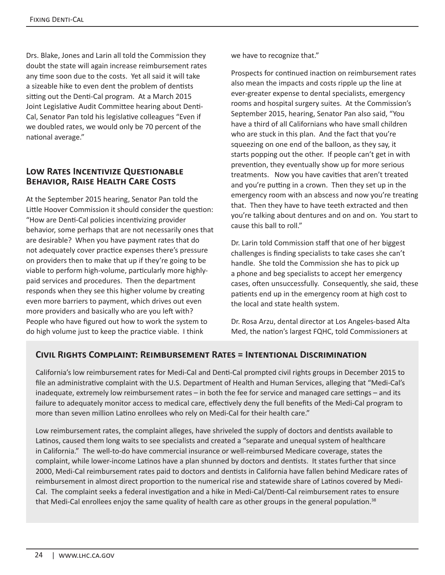Drs. Blake, Jones and Larin all told the Commission they doubt the state will again increase reimbursement rates any time soon due to the costs. Yet all said it will take a sizeable hike to even dent the problem of dentists sitting out the Denti-Cal program. At a March 2015 Joint Legislative Audit Committee hearing about Denti-Cal, Senator Pan told his legislative colleagues "Even if we doubled rates, we would only be 70 percent of the national average."

### **Low Rates Incentivize Questionable Behavior, Raise Health Care Costs**

At the September 2015 hearing, Senator Pan told the Little Hoover Commission it should consider the question: "How are Denti-Cal policies incentivizing provider behavior, some perhaps that are not necessarily ones that are desirable? When you have payment rates that do not adequately cover practice expenses there's pressure on providers then to make that up if they're going to be viable to perform high-volume, particularly more highlypaid services and procedures. Then the department responds when they see this higher volume by creating even more barriers to payment, which drives out even more providers and basically who are you left with? People who have figured out how to work the system to do high volume just to keep the practice viable. I think

we have to recognize that."

Prospects for continued inaction on reimbursement rates also mean the impacts and costs ripple up the line at ever-greater expense to dental specialists, emergency rooms and hospital surgery suites. At the Commission's September 2015, hearing, Senator Pan also said, "You have a third of all Californians who have small children who are stuck in this plan. And the fact that you're squeezing on one end of the balloon, as they say, it starts popping out the other. If people can't get in with prevention, they eventually show up for more serious treatments. Now you have cavities that aren't treated and you're putting in a crown. Then they set up in the emergency room with an abscess and now you're treating that. Then they have to have teeth extracted and then you're talking about dentures and on and on. You start to cause this ball to roll."

Dr. Larin told Commission staff that one of her biggest challenges is finding specialists to take cases she can't handle. She told the Commission she has to pick up a phone and beg specialists to accept her emergency cases, often unsuccessfully. Consequently, she said, these patients end up in the emergency room at high cost to the local and state health system.

Dr. Rosa Arzu, dental director at Los Angeles-based Alta Med, the nation's largest FQHC, told Commissioners at

#### **Civil Rights Complaint: Reimbursement Rates = Intentional Discrimination**

California's low reimbursement rates for Medi-Cal and Denti-Cal prompted civil rights groups in December 2015 to file an administrative complaint with the U.S. Department of Health and Human Services, alleging that "Medi-Cal's inadequate, extremely low reimbursement rates – in both the fee for service and managed care settings – and its failure to adequately monitor access to medical care, effectively deny the full benefits of the Medi-Cal program to more than seven million Latino enrollees who rely on Medi-Cal for their health care."

Low reimbursement rates, the complaint alleges, have shriveled the supply of doctors and dentists available to Latinos, caused them long waits to see specialists and created a "separate and unequal system of healthcare in California." The well-to-do have commercial insurance or well-reimbursed Medicare coverage, states the complaint, while lower-income Latinos have a plan shunned by doctors and dentists. It states further that since 2000, Medi-Cal reimbursement rates paid to doctors and dentists in California have fallen behind Medicare rates of reimbursement in almost direct proportion to the numerical rise and statewide share of Latinos covered by Medi-Cal. The complaint seeks a federal investigation and a hike in Medi-Cal/Denti-Cal reimbursement rates to ensure that Medi-Cal enrollees enjoy the same quality of health care as other groups in the general population.<sup>38</sup>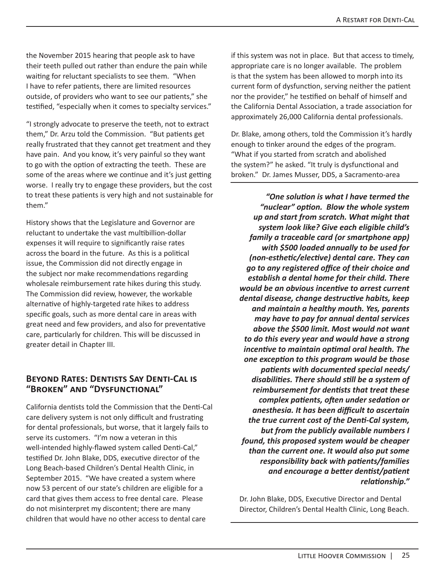the November 2015 hearing that people ask to have their teeth pulled out rather than endure the pain while waiting for reluctant specialists to see them. "When I have to refer patients, there are limited resources outside, of providers who want to see our patients," she testified, "especially when it comes to specialty services."

"I strongly advocate to preserve the teeth, not to extract them," Dr. Arzu told the Commission. "But patients get really frustrated that they cannot get treatment and they have pain. And you know, it's very painful so they want to go with the option of extracting the teeth. These are some of the areas where we continue and it's just getting worse. I really try to engage these providers, but the cost to treat these patients is very high and not sustainable for them."

History shows that the Legislature and Governor are reluctant to undertake the vast multibillion-dollar expenses it will require to significantly raise rates across the board in the future. As this is a political issue, the Commission did not directly engage in the subject nor make recommendations regarding wholesale reimbursement rate hikes during this study. The Commission did review, however, the workable alternative of highly-targeted rate hikes to address specific goals, such as more dental care in areas with great need and few providers, and also for preventative care, particularly for children. This will be discussed in greater detail in Chapter III.

#### **Beyond Rates: Dentists Say Denti-Cal is "Broken" and "Dysfunctional"**

California dentists told the Commission that the Denti-Cal care delivery system is not only difficult and frustrating for dental professionals, but worse, that it largely fails to serve its customers. "I'm now a veteran in this well-intended highly-flawed system called Denti-Cal," testified Dr. John Blake, DDS, executive director of the Long Beach-based Children's Dental Health Clinic, in September 2015. "We have created a system where now 53 percent of our state's children are eligible for a card that gives them access to free dental care. Please do not misinterpret my discontent; there are many children that would have no other access to dental care

if this system was not in place. But that access to timely, appropriate care is no longer available. The problem is that the system has been allowed to morph into its current form of dysfunction, serving neither the patient nor the provider," he testified on behalf of himself and the California Dental Association, a trade association for approximately 26,000 California dental professionals.

Dr. Blake, among others, told the Commission it's hardly enough to tinker around the edges of the program. "What if you started from scratch and abolished the system?" he asked. "It truly is dysfunctional and broken." Dr. James Musser, DDS, a Sacramento-area

*"One solution is what I have termed the "nuclear" option. Blow the whole system up and start from scratch. What might that system look like? Give each eligible child's family a traceable card (or smartphone app) with \$500 loaded annually to be used for (non-esthetic/elective) dental care. They can go to any registered office of their choice and establish a dental home for their child. There would be an obvious incentive to arrest current dental disease, change destructive habits, keep and maintain a healthy mouth. Yes, parents may have to pay for annual dental services above the \$500 limit. Most would not want to do this every year and would have a strong incentive to maintain optimal oral health. The one exception to this program would be those patients with documented special needs/ disabilities. There should still be a system of reimbursement for dentists that treat these complex patients, often under sedation or anesthesia. It has been difficult to ascertain the true current cost of the Denti-Cal system, but from the publicly available numbers I found, this proposed system would be cheaper than the current one. It would also put some responsibility back with patients/families and encourage a better dentist/patient relationship."* 

Dr. John Blake, DDS, Executive Director and Dental Director, Children's Dental Health Clinic, Long Beach.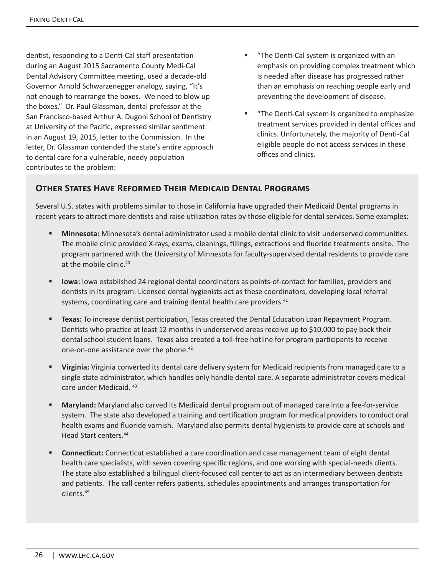dentist, responding to a Denti-Cal staff presentation during an August 2015 Sacramento County Medi-Cal Dental Advisory Committee meeting, used a decade-old Governor Arnold Schwarzenegger analogy, saying, "It's not enough to rearrange the boxes. We need to blow up the boxes." Dr. Paul Glassman, dental professor at the San Francisco-based Arthur A. Dugoni School of Dentistry at University of the Pacific, expressed similar sentiment in an August 19, 2015, letter to the Commission. In the letter, Dr. Glassman contended the state's entire approach to dental care for a vulnerable, needy population contributes to the problem:

- **"** "The Denti-Cal system is organized with an emphasis on providing complex treatment which is needed after disease has progressed rather than an emphasis on reaching people early and preventing the development of disease.
- "The Denti-Cal system is organized to emphasize treatment services provided in dental offices and clinics. Unfortunately, the majority of Denti-Cal eligible people do not access services in these offices and clinics.

# **Other States Have Reformed Their Medicaid Dental Programs**

Several U.S. states with problems similar to those in California have upgraded their Medicaid Dental programs in recent years to attract more dentists and raise utilization rates by those eligible for dental services. Some examples:

- **Minnesota:** Minnesota's dental administrator used a mobile dental clinic to visit underserved communities. The mobile clinic provided X-rays, exams, cleanings, fillings, extractions and fluoride treatments onsite. The program partnered with the University of Minnesota for faculty-supervised dental residents to provide care at the mobile clinic.<sup>40</sup>
- **Iowa:** Iowa established 24 regional dental coordinators as points-of-contact for families, providers and dentists in its program. Licensed dental hygienists act as these coordinators, developing local referral systems, coordinating care and training dental health care providers.<sup>41</sup>
- **Texas:** To increase dentist participation, Texas created the Dental Education Loan Repayment Program. Dentists who practice at least 12 months in underserved areas receive up to \$10,000 to pay back their dental school student loans. Texas also created a toll-free hotline for program participants to receive one-on-one assistance over the phone.<sup>42</sup>
- **Virginia:** Virginia converted its dental care delivery system for Medicaid recipients from managed care to a single state administrator, which handles only handle dental care. A separate administrator covers medical care under Medicaid. <sup>43</sup>
- **Maryland:** Maryland also carved its Medicaid dental program out of managed care into a fee-for-service system. The state also developed a training and certification program for medical providers to conduct oral health exams and fluoride varnish. Maryland also permits dental hygienists to provide care at schools and Head Start centers.<sup>44</sup>
- **Connecticut:** Connecticut established a care coordination and case management team of eight dental health care specialists, with seven covering specific regions, and one working with special-needs clients. The state also established a bilingual client-focused call center to act as an intermediary between dentists and patients. The call center refers patients, schedules appointments and arranges transportation for clients.45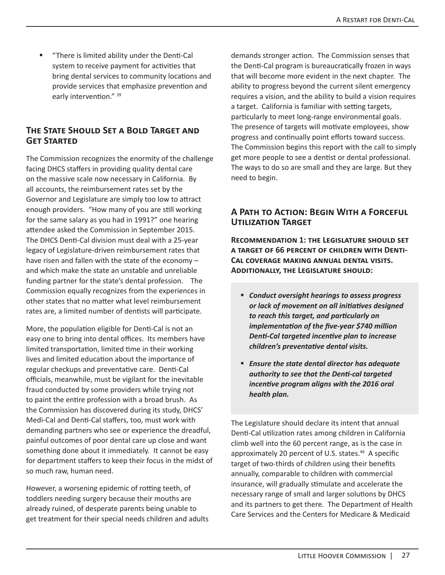"There is limited ability under the Denti-Cal system to receive payment for activities that bring dental services to community locations and provide services that emphasize prevention and early intervention." <sup>39</sup>

#### **The State Should Set a Bold Target and Get Started**

The Commission recognizes the enormity of the challenge facing DHCS staffers in providing quality dental care on the massive scale now necessary in California. By all accounts, the reimbursement rates set by the Governor and Legislature are simply too low to attract enough providers. "How many of you are still working for the same salary as you had in 1991?" one hearing attendee asked the Commission in September 2015. The DHCS Denti-Cal division must deal with a 25-year legacy of Legislature-driven reimbursement rates that have risen and fallen with the state of the economy – and which make the state an unstable and unreliable funding partner for the state's dental profession. The Commission equally recognizes from the experiences in other states that no matter what level reimbursement rates are, a limited number of dentists will participate.

More, the population eligible for Denti-Cal is not an easy one to bring into dental offices. Its members have limited transportation, limited time in their working lives and limited education about the importance of regular checkups and preventative care. Denti-Cal officials, meanwhile, must be vigilant for the inevitable fraud conducted by some providers while trying not to paint the entire profession with a broad brush. As the Commission has discovered during its study, DHCS' Medi-Cal and Denti-Cal staffers, too, must work with demanding partners who see or experience the dreadful, painful outcomes of poor dental care up close and want something done about it immediately. It cannot be easy for department staffers to keep their focus in the midst of so much raw, human need.

However, a worsening epidemic of rotting teeth, of toddlers needing surgery because their mouths are already ruined, of desperate parents being unable to get treatment for their special needs children and adults demands stronger action. The Commission senses that the Denti-Cal program is bureaucratically frozen in ways that will become more evident in the next chapter. The ability to progress beyond the current silent emergency requires a vision, and the ability to build a vision requires a target. California is familiar with setting targets, particularly to meet long-range environmental goals. The presence of targets will motivate employees, show progress and continually point efforts toward success. The Commission begins this report with the call to simply get more people to see a dentist or dental professional. The ways to do so are small and they are large. But they need to begin.

#### **A Path to Action: Begin With a Forceful Utilization Target**

**Recommendation 1: the Legislature should set a target of 66 percent of children with Denti-Cal coverage making annual dental visits. Additionally, the Legislature should:** 

- *Conduct oversight hearings to assess progress or lack of movement on all initiatives designed to reach this target, and particularly on implementation of the five-year \$740 million Denti-Cal targeted incentive plan to increase children's preventative dental visits.*
- *Ensure the state dental director has adequate authority to see that the Denti-cal targeted incentive program aligns with the 2016 oral health plan.*

The Legislature should declare its intent that annual Denti-Cal utilization rates among children in California climb well into the 60 percent range, as is the case in approximately 20 percent of U.S. states.<sup>46</sup> A specific target of two-thirds of children using their benefits annually, comparable to children with commercial insurance, will gradually stimulate and accelerate the necessary range of small and larger solutions by DHCS and its partners to get there. The Department of Health Care Services and the Centers for Medicare & Medicaid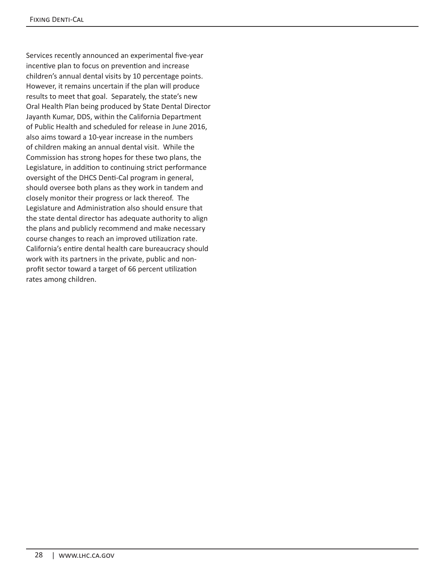Services recently announced an experimental five-year incentive plan to focus on prevention and increase children's annual dental visits by 10 percentage points. However, it remains uncertain if the plan will produce results to meet that goal. Separately, the state's new Oral Health Plan being produced by State Dental Director Jayanth Kumar, DDS, within the California Department of Public Health and scheduled for release in June 2016, also aims toward a 10-year increase in the numbers of children making an annual dental visit. While the Commission has strong hopes for these two plans, the Legislature, in addition to continuing strict performance oversight of the DHCS Denti-Cal program in general, should oversee both plans as they work in tandem and closely monitor their progress or lack thereof. The Legislature and Administration also should ensure that the state dental director has adequate authority to align the plans and publicly recommend and make necessary course changes to reach an improved utilization rate. California's entire dental health care bureaucracy should work with its partners in the private, public and nonprofit sector toward a target of 66 percent utilization rates among children.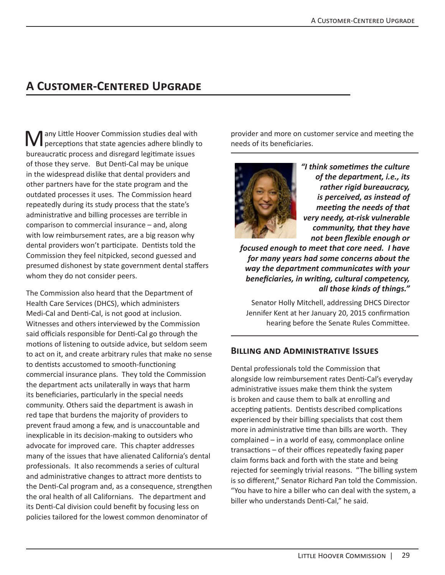# **A Customer-Centered Upgrade**

**M** any Little Hoover Commission studies deal with perceptions that state agencies adhere blindly to bureaucratic process and disregard legitimate issues of those they serve. But Denti-Cal may be unique in the widespread dislike that dental providers and other partners have for the state program and the outdated processes it uses. The Commission heard repeatedly during its study process that the state's administrative and billing processes are terrible in comparison to commercial insurance – and, along with low reimbursement rates, are a big reason why dental providers won't participate. Dentists told the Commission they feel nitpicked, second guessed and presumed dishonest by state government dental staffers whom they do not consider peers.

The Commission also heard that the Department of Health Care Services (DHCS), which administers Medi-Cal and Denti-Cal, is not good at inclusion. Witnesses and others interviewed by the Commission said officials responsible for Denti-Cal go through the motions of listening to outside advice, but seldom seem to act on it, and create arbitrary rules that make no sense to dentists accustomed to smooth-functioning commercial insurance plans. They told the Commission the department acts unilaterally in ways that harm its beneficiaries, particularly in the special needs community. Others said the department is awash in red tape that burdens the majority of providers to prevent fraud among a few, and is unaccountable and inexplicable in its decision-making to outsiders who advocate for improved care. This chapter addresses many of the issues that have alienated California's dental professionals. It also recommends a series of cultural and administrative changes to attract more dentists to the Denti-Cal program and, as a consequence, strengthen the oral health of all Californians. The department and its Denti-Cal division could benefit by focusing less on policies tailored for the lowest common denominator of

provider and more on customer service and meeting the needs of its beneficiaries.



*"I think sometimes the culture of the department, i.e., its rather rigid bureaucracy, is perceived, as instead of meeting the needs of that very needy, at-risk vulnerable community, that they have not been flexible enough or* 

*focused enough to meet that core need. I have for many years had some concerns about the way the department communicates with your beneficiaries, in writing, cultural competency, all those kinds of things."*

Senator Holly Mitchell, addressing DHCS Director Jennifer Kent at her January 20, 2015 confirmation hearing before the Senate Rules Committee.

#### **Billing and Administrative Issues**

Dental professionals told the Commission that alongside low reimbursement rates Denti-Cal's everyday administrative issues make them think the system is broken and cause them to balk at enrolling and accepting patients. Dentists described complications experienced by their billing specialists that cost them more in administrative time than bills are worth. They complained – in a world of easy, commonplace online transactions – of their offices repeatedly faxing paper claim forms back and forth with the state and being rejected for seemingly trivial reasons. "The billing system is so different," Senator Richard Pan told the Commission. "You have to hire a biller who can deal with the system, a biller who understands Denti-Cal," he said.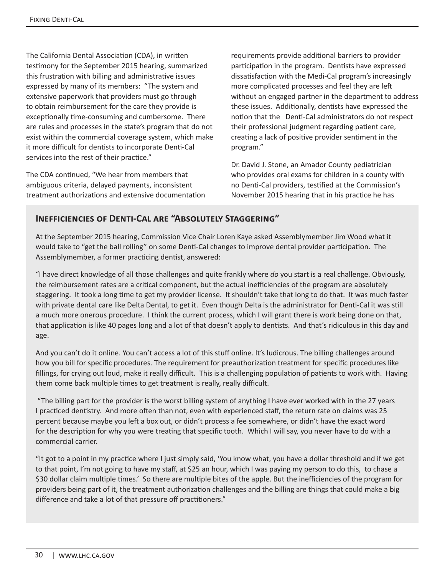The California Dental Association (CDA), in written testimony for the September 2015 hearing, summarized this frustration with billing and administrative issues expressed by many of its members: "The system and extensive paperwork that providers must go through to obtain reimbursement for the care they provide is exceptionally time-consuming and cumbersome. There are rules and processes in the state's program that do not exist within the commercial coverage system, which make it more difficult for dentists to incorporate Denti-Cal services into the rest of their practice."

The CDA continued, "We hear from members that ambiguous criteria, delayed payments, inconsistent treatment authorizations and extensive documentation requirements provide additional barriers to provider participation in the program. Dentists have expressed dissatisfaction with the Medi-Cal program's increasingly more complicated processes and feel they are left without an engaged partner in the department to address these issues. Additionally, dentists have expressed the notion that the Denti-Cal administrators do not respect their professional judgment regarding patient care, creating a lack of positive provider sentiment in the program."

Dr. David J. Stone, an Amador County pediatrician who provides oral exams for children in a county with no Denti-Cal providers, testified at the Commission's November 2015 hearing that in his practice he has

## **Inefficiencies of Denti-Cal are "Absolutely Staggering"**

At the September 2015 hearing, Commission Vice Chair Loren Kaye asked Assemblymember Jim Wood what it would take to "get the ball rolling" on some Denti-Cal changes to improve dental provider participation. The Assemblymember, a former practicing dentist, answered:

"I have direct knowledge of all those challenges and quite frankly where *do* you start is a real challenge. Obviously, the reimbursement rates are a critical component, but the actual inefficiencies of the program are absolutely staggering. It took a long time to get my provider license. It shouldn't take that long to do that. It was much faster with private dental care like Delta Dental, to get it. Even though Delta is the administrator for Denti-Cal it was still a much more onerous procedure. I think the current process, which I will grant there is work being done on that, that application is like 40 pages long and a lot of that doesn't apply to dentists. And that's ridiculous in this day and age.

And you can't do it online. You can't access a lot of this stuff online. It's ludicrous. The billing challenges around how you bill for specific procedures. The requirement for preauthorization treatment for specific procedures like fillings, for crying out loud, make it really difficult. This is a challenging population of patients to work with. Having them come back multiple times to get treatment is really, really difficult.

 "The billing part for the provider is the worst billing system of anything I have ever worked with in the 27 years I practiced dentistry. And more often than not, even with experienced staff, the return rate on claims was 25 percent because maybe you left a box out, or didn't process a fee somewhere, or didn't have the exact word for the description for why you were treating that specific tooth. Which I will say, you never have to do with a commercial carrier.

"It got to a point in my practice where I just simply said, 'You know what, you have a dollar threshold and if we get to that point, I'm not going to have my staff, at \$25 an hour, which I was paying my person to do this, to chase a \$30 dollar claim multiple times.' So there are multiple bites of the apple. But the inefficiencies of the program for providers being part of it, the treatment authorization challenges and the billing are things that could make a big difference and take a lot of that pressure off practitioners."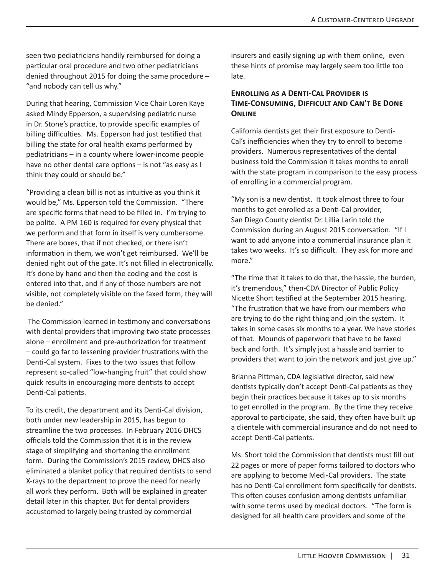seen two pediatricians handily reimbursed for doing a particular oral procedure and two other pediatricians denied throughout 2015 for doing the same procedure – "and nobody can tell us why."

During that hearing, Commission Vice Chair Loren Kaye asked Mindy Epperson, a supervising pediatric nurse in Dr. Stone's practice, to provide specific examples of billing difficulties. Ms. Epperson had just testified that billing the state for oral health exams performed by pediatricians – in a county where lower-income people have no other dental care options – is not "as easy as I think they could or should be."

"Providing a clean bill is not as intuitive as you think it would be," Ms. Epperson told the Commission. "There are specific forms that need to be filled in. I'm trying to be polite. A PM 160 is required for every physical that we perform and that form in itself is very cumbersome. There are boxes, that if not checked, or there isn't information in them, we won't get reimbursed. We'll be denied right out of the gate. It's not filled in electronically. It's done by hand and then the coding and the cost is entered into that, and if any of those numbers are not visible, not completely visible on the faxed form, they will be denied."

 The Commission learned in testimony and conversations with dental providers that improving two state processes alone – enrollment and pre-authorization for treatment – could go far to lessening provider frustrations with the Denti-Cal system. Fixes to the two issues that follow represent so-called "low-hanging fruit" that could show quick results in encouraging more dentists to accept Denti-Cal patients.

To its credit, the department and its Denti-Cal division, both under new leadership in 2015, has begun to streamline the two processes. In February 2016 DHCS officials told the Commission that it is in the review stage of simplifying and shortening the enrollment form. During the Commission's 2015 review, DHCS also eliminated a blanket policy that required dentists to send X-rays to the department to prove the need for nearly all work they perform. Both will be explained in greater detail later in this chapter. But for dental providers accustomed to largely being trusted by commercial

insurers and easily signing up with them online, even these hints of promise may largely seem too little too late.

#### **Enrolling as a Denti-Cal Provider is Time-Consuming, Difficult and Can't Be Done Online**

California dentists get their first exposure to Denti-Cal's inefficiencies when they try to enroll to become providers. Numerous representatives of the dental business told the Commission it takes months to enroll with the state program in comparison to the easy process of enrolling in a commercial program.

"My son is a new dentist. It took almost three to four months to get enrolled as a Denti-Cal provider, San Diego County dentist Dr. Lillia Larin told the Commission during an August 2015 conversation. "If I want to add anyone into a commercial insurance plan it takes two weeks. It's so difficult. They ask for more and more."

"The time that it takes to do that, the hassle, the burden, it's tremendous," then-CDA Director of Public Policy Nicette Short testified at the September 2015 hearing. "The frustration that we have from our members who are trying to do the right thing and join the system. It takes in some cases six months to a year. We have stories of that. Mounds of paperwork that have to be faxed back and forth. It's simply just a hassle and barrier to providers that want to join the network and just give up."

Brianna Pittman, CDA legislative director, said new dentists typically don't accept Denti-Cal patients as they begin their practices because it takes up to six months to get enrolled in the program. By the time they receive approval to participate, she said, they often have built up a clientele with commercial insurance and do not need to accept Denti-Cal patients.

Ms. Short told the Commission that dentists must fill out 22 pages or more of paper forms tailored to doctors who are applying to become Medi-Cal providers. The state has no Denti-Cal enrollment form specifically for dentists. This often causes confusion among dentists unfamiliar with some terms used by medical doctors. "The form is designed for all health care providers and some of the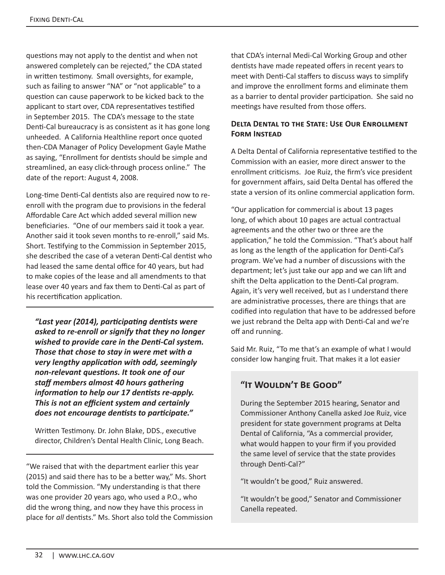questions may not apply to the dentist and when not answered completely can be rejected," the CDA stated in written testimony. Small oversights, for example, such as failing to answer "NA" or "not applicable" to a question can cause paperwork to be kicked back to the applicant to start over, CDA representatives testified in September 2015. The CDA's message to the state Denti-Cal bureaucracy is as consistent as it has gone long unheeded. A California Healthline report once quoted then-CDA Manager of Policy Development Gayle Mathe as saying, "Enrollment for dentists should be simple and streamlined, an easy click-through process online." The date of the report: August 4, 2008.

Long-time Denti-Cal dentists also are required now to reenroll with the program due to provisions in the federal Affordable Care Act which added several million new beneficiaries. "One of our members said it took a year. Another said it took seven months to re-enroll," said Ms. Short. Testifying to the Commission in September 2015, she described the case of a veteran Denti-Cal dentist who had leased the same dental office for 40 years, but had to make copies of the lease and all amendments to that lease over 40 years and fax them to Denti-Cal as part of his recertification application.

*"Last year (2014), participating dentists were asked to re-enroll or signify that they no longer wished to provide care in the Denti-Cal system. Those that chose to stay in were met with a very lengthy application with odd, seemingly non-relevant questions. It took one of our staff members almost 40 hours gathering information to help our 17 dentists re-apply. This is not an efficient system and certainly does not encourage dentists to participate."*

Written Testimony. Dr. John Blake, DDS., executive director, Children's Dental Health Clinic, Long Beach.

"We raised that with the department earlier this year (2015) and said there has to be a better way," Ms. Short told the Commission. "My understanding is that there was one provider 20 years ago, who used a P.O., who did the wrong thing, and now they have this process in place for *all* dentists." Ms. Short also told the Commission that CDA's internal Medi-Cal Working Group and other dentists have made repeated offers in recent years to meet with Denti-Cal staffers to discuss ways to simplify and improve the enrollment forms and eliminate them as a barrier to dental provider participation. She said no meetings have resulted from those offers.

#### **Delta Dental to the State: Use Our Enrollment Form Instead**

A Delta Dental of California representative testified to the Commission with an easier, more direct answer to the enrollment criticisms. Joe Ruiz, the firm's vice president for government affairs, said Delta Dental has offered the state a version of its online commercial application form.

"Our application for commercial is about 13 pages long, of which about 10 pages are actual contractual agreements and the other two or three are the application," he told the Commission. "That's about half as long as the length of the application for Denti-Cal's program. We've had a number of discussions with the department; let's just take our app and we can lift and shift the Delta application to the Denti-Cal program. Again, it's very well received, but as I understand there are administrative processes, there are things that are codified into regulation that have to be addressed before we just rebrand the Delta app with Denti-Cal and we're off and running.

Said Mr. Ruiz, "To me that's an example of what I would consider low hanging fruit. That makes it a lot easier

# **"It Wouldn't Be Good"**

During the September 2015 hearing, Senator and Commissioner Anthony Canella asked Joe Ruiz, vice president for state government programs at Delta Dental of California, "As a commercial provider, what would happen to your firm if you provided the same level of service that the state provides through Denti-Cal?"

"It wouldn't be good," Ruiz answered.

"It wouldn't be good," Senator and Commissioner Canella repeated.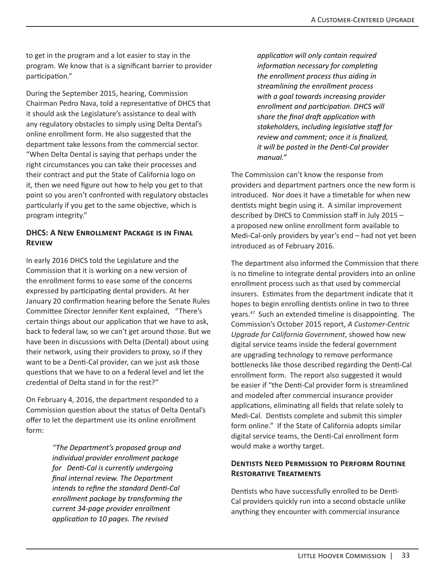to get in the program and a lot easier to stay in the program. We know that is a significant barrier to provider participation."

During the September 2015, hearing, Commission Chairman Pedro Nava, told a representative of DHCS that it should ask the Legislature's assistance to deal with any regulatory obstacles to simply using Delta Dental's online enrollment form. He also suggested that the department take lessons from the commercial sector. "When Delta Dental is saying that perhaps under the right circumstances you can take their processes and their contract and put the State of California logo on it, then we need figure out how to help you get to that point so you aren't confronted with regulatory obstacles particularly if you get to the same objective, which is program integrity."

#### **DHCS: A New Enrollment Package is in Final Review**

In early 2016 DHCS told the Legislature and the Commission that it is working on a new version of the enrollment forms to ease some of the concerns expressed by participating dental providers. At her January 20 confirmation hearing before the Senate Rules Committee Director Jennifer Kent explained, "There's certain things about our application that we have to ask, back to federal law, so we can't get around those. But we have been in discussions with Delta (Dental) about using their network, using their providers to proxy, so if they want to be a Denti-Cal provider, can we just ask those questions that we have to on a federal level and let the credential of Delta stand in for the rest?"

On February 4, 2016, the department responded to a Commission question about the status of Delta Dental's offer to let the department use its online enrollment form:

> *"The Department's proposed group and individual provider enrollment package for Denti-Cal is currently undergoing final internal review. The Department intends to refine the standard Denti-Cal enrollment package by transforming the current 34-page provider enrollment application to 10 pages. The revised*

*application will only contain required information necessary for completing the enrollment process thus aiding in streamlining the enrollment process with a goal towards increasing provider enrollment and participation. DHCS will share the final draft application with stakeholders, including legislative staff for review and comment; once it is finalized, it will be posted in the Denti-Cal provider manual."*

The Commission can't know the response from providers and department partners once the new form is introduced. Nor does it have a timetable for when new dentists might begin using it. A similar improvement described by DHCS to Commission staff in July 2015 – a proposed new online enrollment form available to Medi-Cal-only providers by year's end – had not yet been introduced as of February 2016.

The department also informed the Commission that there is no timeline to integrate dental providers into an online enrollment process such as that used by commercial insurers. Estimates from the department indicate that it hopes to begin enrolling dentists online in two to three years.47 Such an extended timeline is disappointing. The Commission's October 2015 report, *A Customer-Centric Upgrade for California Government*, showed how new digital service teams inside the federal government are upgrading technology to remove performance bottlenecks like those described regarding the Denti-Cal enrollment form. The report also suggested it would be easier if "the Denti-Cal provider form is streamlined and modeled after commercial insurance provider applications, eliminating all fields that relate solely to Medi-Cal. Dentists complete and submit this simpler form online." If the State of California adopts similar digital service teams, the Denti-Cal enrollment form would make a worthy target.

#### **Dentists Need Permission to Perform Routine Restorative Treatments**

Dentists who have successfully enrolled to be Denti-Cal providers quickly run into a second obstacle unlike anything they encounter with commercial insurance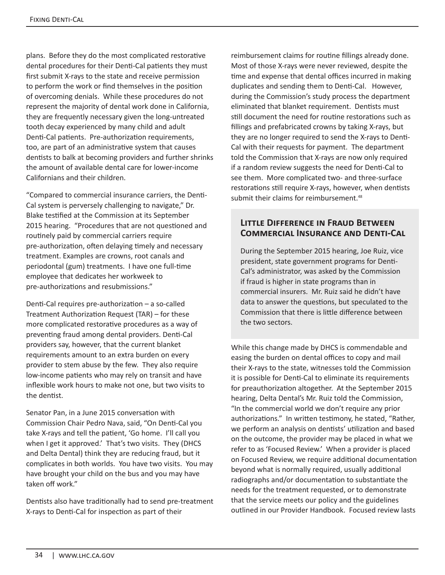plans. Before they do the most complicated restorative dental procedures for their Denti-Cal patients they must first submit X-rays to the state and receive permission to perform the work or find themselves in the position of overcoming denials. While these procedures do not represent the majority of dental work done in California, they are frequently necessary given the long-untreated tooth decay experienced by many child and adult Denti-Cal patients. Pre-authorization requirements, too, are part of an administrative system that causes dentists to balk at becoming providers and further shrinks the amount of available dental care for lower-income Californians and their children.

"Compared to commercial insurance carriers, the Denti-Cal system is perversely challenging to navigate," Dr. Blake testified at the Commission at its September 2015 hearing. "Procedures that are not questioned and routinely paid by commercial carriers require pre-authorization, often delaying timely and necessary treatment. Examples are crowns, root canals and periodontal (gum) treatments. I have one full-time employee that dedicates her workweek to pre-authorizations and resubmissions."

Denti-Cal requires pre-authorization – a so-called Treatment Authorization Request (TAR) – for these more complicated restorative procedures as a way of preventing fraud among dental providers. Denti-Cal providers say, however, that the current blanket requirements amount to an extra burden on every provider to stem abuse by the few. They also require low-income patients who may rely on transit and have inflexible work hours to make not one, but two visits to the dentist.

Senator Pan, in a June 2015 conversation with Commission Chair Pedro Nava, said, "On Denti-Cal you take X-rays and tell the patient, 'Go home. I'll call you when I get it approved.' That's two visits. They (DHCS and Delta Dental) think they are reducing fraud, but it complicates in both worlds. You have two visits. You may have brought your child on the bus and you may have taken off work."

Dentists also have traditionally had to send pre-treatment X-rays to Denti-Cal for inspection as part of their

reimbursement claims for routine fillings already done. Most of those X-rays were never reviewed, despite the time and expense that dental offices incurred in making duplicates and sending them to Denti-Cal. However, during the Commission's study process the department eliminated that blanket requirement. Dentists must still document the need for routine restorations such as fillings and prefabricated crowns by taking X-rays, but they are no longer required to send the X-rays to Denti-Cal with their requests for payment. The department told the Commission that X-rays are now only required if a random review suggests the need for Denti-Cal to see them. More complicated two- and three-surface restorations still require X-rays, however, when dentists submit their claims for reimbursement.<sup>48</sup>

#### **Little Difference in Fraud Between Commercial Insurance and Denti-Cal**

During the September 2015 hearing, Joe Ruiz, vice president, state government programs for Denti-Cal's administrator, was asked by the Commission if fraud is higher in state programs than in commercial insurers. Mr. Ruiz said he didn't have data to answer the questions, but speculated to the Commission that there is little difference between the two sectors.

While this change made by DHCS is commendable and easing the burden on dental offices to copy and mail their X-rays to the state, witnesses told the Commission it is possible for Denti-Cal to eliminate its requirements for preauthorization altogether. At the September 2015 hearing, Delta Dental's Mr. Ruiz told the Commission, "In the commercial world we don't require any prior authorizations." In written testimony, he stated, "Rather, we perform an analysis on dentists' utilization and based on the outcome, the provider may be placed in what we refer to as 'Focused Review.' When a provider is placed on Focused Review, we require additional documentation beyond what is normally required, usually additional radiographs and/or documentation to substantiate the needs for the treatment requested, or to demonstrate that the service meets our policy and the guidelines outlined in our Provider Handbook. Focused review lasts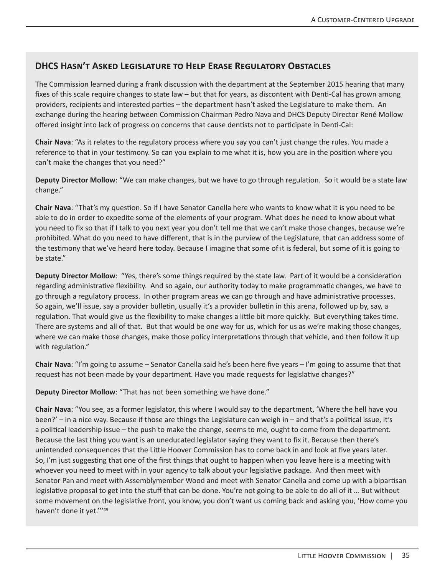#### **DHCS Hasn't Asked Legislature to Help Erase Regulatory Obstacles**

The Commission learned during a frank discussion with the department at the September 2015 hearing that many fixes of this scale require changes to state law – but that for years, as discontent with Denti-Cal has grown among providers, recipients and interested parties – the department hasn't asked the Legislature to make them. An exchange during the hearing between Commission Chairman Pedro Nava and DHCS Deputy Director René Mollow offered insight into lack of progress on concerns that cause dentists not to participate in Denti-Cal:

**Chair Nava**: "As it relates to the regulatory process where you say you can't just change the rules. You made a reference to that in your testimony. So can you explain to me what it is, how you are in the position where you can't make the changes that you need?"

**Deputy Director Mollow**: "We can make changes, but we have to go through regulation. So it would be a state law change."

**Chair Nava**: "That's my question. So if I have Senator Canella here who wants to know what it is you need to be able to do in order to expedite some of the elements of your program. What does he need to know about what you need to fix so that if I talk to you next year you don't tell me that we can't make those changes, because we're prohibited. What do you need to have different, that is in the purview of the Legislature, that can address some of the testimony that we've heard here today. Because I imagine that some of it is federal, but some of it is going to be state."

**Deputy Director Mollow**: "Yes, there's some things required by the state law. Part of it would be a consideration regarding administrative flexibility. And so again, our authority today to make programmatic changes, we have to go through a regulatory process. In other program areas we can go through and have administrative processes. So again, we'll issue, say a provider bulletin, usually it's a provider bulletin in this arena, followed up by, say, a regulation. That would give us the flexibility to make changes a little bit more quickly. But everything takes time. There are systems and all of that. But that would be one way for us, which for us as we're making those changes, where we can make those changes, make those policy interpretations through that vehicle, and then follow it up with regulation."

**Chair Nava**: "I'm going to assume – Senator Canella said he's been here five years – I'm going to assume that that request has not been made by your department. Have you made requests for legislative changes?"

**Deputy Director Mollow**: "That has not been something we have done."

**Chair Nava**: "You see, as a former legislator, this where I would say to the department, 'Where the hell have you been?' – in a nice way. Because if those are things the Legislature can weigh in – and that's a political issue, it's a political leadership issue – the push to make the change, seems to me, ought to come from the department. Because the last thing you want is an uneducated legislator saying they want to fix it. Because then there's unintended consequences that the Little Hoover Commission has to come back in and look at five years later. So, I'm just suggesting that one of the first things that ought to happen when you leave here is a meeting with whoever you need to meet with in your agency to talk about your legislative package. And then meet with Senator Pan and meet with Assemblymember Wood and meet with Senator Canella and come up with a bipartisan legislative proposal to get into the stuff that can be done. You're not going to be able to do all of it … But without some movement on the legislative front, you know, you don't want us coming back and asking you, 'How come you haven't done it yet.'''49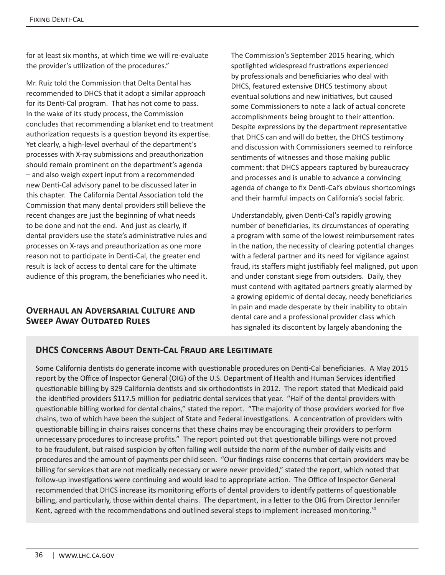for at least six months, at which time we will re-evaluate the provider's utilization of the procedures."

Mr. Ruiz told the Commission that Delta Dental has recommended to DHCS that it adopt a similar approach for its Denti-Cal program. That has not come to pass. In the wake of its study process, the Commission concludes that recommending a blanket end to treatment authorization requests is a question beyond its expertise. Yet clearly, a high-level overhaul of the department's processes with X-ray submissions and preauthorization should remain prominent on the department's agenda – and also weigh expert input from a recommended new Denti-Cal advisory panel to be discussed later in this chapter. The California Dental Association told the Commission that many dental providers still believe the recent changes are just the beginning of what needs to be done and not the end. And just as clearly, if dental providers use the state's administrative rules and processes on X-rays and preauthorization as one more reason not to participate in Denti-Cal, the greater end result is lack of access to dental care for the ultimate audience of this program, the beneficiaries who need it.

#### **Overhaul an Adversarial Culture and SWEEP AWAY OUTDATED RULES**

The Commission's September 2015 hearing, which spotlighted widespread frustrations experienced by professionals and beneficiaries who deal with DHCS, featured extensive DHCS testimony about eventual solutions and new initiatives, but caused some Commissioners to note a lack of actual concrete accomplishments being brought to their attention. Despite expressions by the department representative that DHCS can and will do better, the DHCS testimony and discussion with Commissioners seemed to reinforce sentiments of witnesses and those making public comment: that DHCS appears captured by bureaucracy and processes and is unable to advance a convincing agenda of change to fix Denti-Cal's obvious shortcomings and their harmful impacts on California's social fabric.

Understandably, given Denti-Cal's rapidly growing number of beneficiaries, its circumstances of operating a program with some of the lowest reimbursement rates in the nation, the necessity of clearing potential changes with a federal partner and its need for vigilance against fraud, its staffers might justifiably feel maligned, put upon and under constant siege from outsiders. Daily, they must contend with agitated partners greatly alarmed by a growing epidemic of dental decay, needy beneficiaries in pain and made desperate by their inability to obtain dental care and a professional provider class which has signaled its discontent by largely abandoning the

# **DHCS Concerns About Denti-Cal Fraud are Legitimate**

Some California dentists do generate income with questionable procedures on Denti-Cal beneficiaries. A May 2015 report by the Office of Inspector General (OIG) of the U.S. Department of Health and Human Services identified questionable billing by 329 California dentists and six orthodontists in 2012. The report stated that Medicaid paid the identified providers \$117.5 million for pediatric dental services that year. "Half of the dental providers with questionable billing worked for dental chains," stated the report. "The majority of those providers worked for five chains, two of which have been the subject of State and Federal investigations. A concentration of providers with questionable billing in chains raises concerns that these chains may be encouraging their providers to perform unnecessary procedures to increase profits." The report pointed out that questionable billings were not proved to be fraudulent, but raised suspicion by often falling well outside the norm of the number of daily visits and procedures and the amount of payments per child seen. "Our findings raise concerns that certain providers may be billing for services that are not medically necessary or were never provided," stated the report, which noted that follow-up investigations were continuing and would lead to appropriate action. The Office of Inspector General recommended that DHCS increase its monitoring efforts of dental providers to identify patterns of questionable billing, and particularly, those within dental chains. The department, in a letter to the OIG from Director Jennifer Kent, agreed with the recommendations and outlined several steps to implement increased monitoring.<sup>50</sup>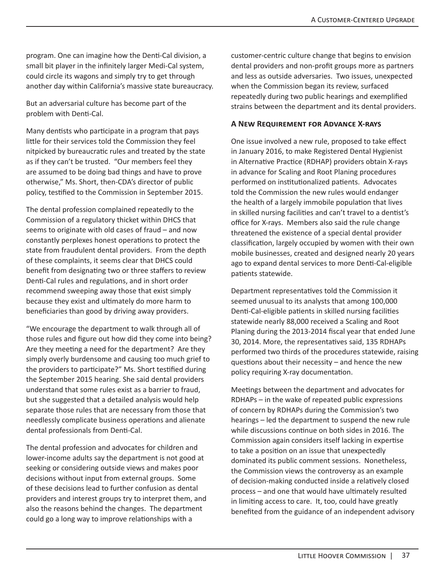program. One can imagine how the Denti-Cal division, a small bit player in the infinitely larger Medi-Cal system, could circle its wagons and simply try to get through another day within California's massive state bureaucracy.

But an adversarial culture has become part of the problem with Denti-Cal.

Many dentists who participate in a program that pays little for their services told the Commission they feel nitpicked by bureaucratic rules and treated by the state as if they can't be trusted. "Our members feel they are assumed to be doing bad things and have to prove otherwise," Ms. Short, then-CDA's director of public policy, testified to the Commission in September 2015.

The dental profession complained repeatedly to the Commission of a regulatory thicket within DHCS that seems to originate with old cases of fraud – and now constantly perplexes honest operations to protect the state from fraudulent dental providers. From the depth of these complaints, it seems clear that DHCS could benefit from designating two or three staffers to review Denti-Cal rules and regulations, and in short order recommend sweeping away those that exist simply because they exist and ultimately do more harm to beneficiaries than good by driving away providers.

"We encourage the department to walk through all of those rules and figure out how did they come into being? Are they meeting a need for the department? Are they simply overly burdensome and causing too much grief to the providers to participate?" Ms. Short testified during the September 2015 hearing. She said dental providers understand that some rules exist as a barrier to fraud, but she suggested that a detailed analysis would help separate those rules that are necessary from those that needlessly complicate business operations and alienate dental professionals from Denti-Cal.

The dental profession and advocates for children and lower-income adults say the department is not good at seeking or considering outside views and makes poor decisions without input from external groups. Some of these decisions lead to further confusion as dental providers and interest groups try to interpret them, and also the reasons behind the changes. The department could go a long way to improve relationships with a

customer-centric culture change that begins to envision dental providers and non-profit groups more as partners and less as outside adversaries. Two issues, unexpected when the Commission began its review, surfaced repeatedly during two public hearings and exemplified strains between the department and its dental providers.

#### **A New Requirement for Advance X-rays**

One issue involved a new rule, proposed to take effect in January 2016, to make Registered Dental Hygienist in Alternative Practice (RDHAP) providers obtain X-rays in advance for Scaling and Root Planing procedures performed on institutionalized patients. Advocates told the Commission the new rules would endanger the health of a largely immobile population that lives in skilled nursing facilities and can't travel to a dentist's office for X-rays. Members also said the rule change threatened the existence of a special dental provider classification, largely occupied by women with their own mobile businesses, created and designed nearly 20 years ago to expand dental services to more Denti-Cal-eligible patients statewide.

Department representatives told the Commission it seemed unusual to its analysts that among 100,000 Denti-Cal-eligible patients in skilled nursing facilities statewide nearly 88,000 received a Scaling and Root Planing during the 2013-2014 fiscal year that ended June 30, 2014. More, the representatives said, 135 RDHAPs performed two thirds of the procedures statewide, raising questions about their necessity – and hence the new policy requiring X-ray documentation.

Meetings between the department and advocates for RDHAPs – in the wake of repeated public expressions of concern by RDHAPs during the Commission's two hearings – led the department to suspend the new rule while discussions continue on both sides in 2016. The Commission again considers itself lacking in expertise to take a position on an issue that unexpectedly dominated its public comment sessions. Nonetheless, the Commission views the controversy as an example of decision-making conducted inside a relatively closed process – and one that would have ultimately resulted in limiting access to care. It, too, could have greatly benefited from the guidance of an independent advisory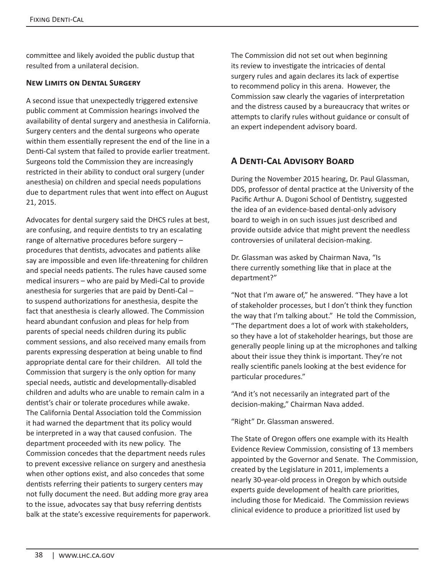committee and likely avoided the public dustup that resulted from a unilateral decision.

#### **New Limits on Dental Surgery**

A second issue that unexpectedly triggered extensive public comment at Commission hearings involved the availability of dental surgery and anesthesia in California. Surgery centers and the dental surgeons who operate within them essentially represent the end of the line in a Denti-Cal system that failed to provide earlier treatment. Surgeons told the Commission they are increasingly restricted in their ability to conduct oral surgery (under anesthesia) on children and special needs populations due to department rules that went into effect on August 21, 2015.

Advocates for dental surgery said the DHCS rules at best, are confusing, and require dentists to try an escalating range of alternative procedures before surgery – procedures that dentists, advocates and patients alike say are impossible and even life-threatening for children and special needs patients. The rules have caused some medical insurers – who are paid by Medi-Cal to provide anesthesia for surgeries that are paid by Denti-Cal – to suspend authorizations for anesthesia, despite the fact that anesthesia is clearly allowed. The Commission heard abundant confusion and pleas for help from parents of special needs children during its public comment sessions, and also received many emails from parents expressing desperation at being unable to find appropriate dental care for their children. All told the Commission that surgery is the only option for many special needs, autistic and developmentally-disabled children and adults who are unable to remain calm in a dentist's chair or tolerate procedures while awake. The California Dental Association told the Commission it had warned the department that its policy would be interpreted in a way that caused confusion. The department proceeded with its new policy. The Commission concedes that the department needs rules to prevent excessive reliance on surgery and anesthesia when other options exist, and also concedes that some dentists referring their patients to surgery centers may not fully document the need. But adding more gray area to the issue, advocates say that busy referring dentists balk at the state's excessive requirements for paperwork. The Commission did not set out when beginning its review to investigate the intricacies of dental surgery rules and again declares its lack of expertise to recommend policy in this arena. However, the Commission saw clearly the vagaries of interpretation and the distress caused by a bureaucracy that writes or attempts to clarify rules without guidance or consult of an expert independent advisory board.

# **A Denti-Cal Advisory Board**

During the November 2015 hearing, Dr. Paul Glassman, DDS, professor of dental practice at the University of the Pacific Arthur A. Dugoni School of Dentistry, suggested the idea of an evidence-based dental-only advisory board to weigh in on such issues just described and provide outside advice that might prevent the needless controversies of unilateral decision-making.

Dr. Glassman was asked by Chairman Nava, "Is there currently something like that in place at the department?"

"Not that I'm aware of," he answered. "They have a lot of stakeholder processes, but I don't think they function the way that I'm talking about." He told the Commission, "The department does a lot of work with stakeholders, so they have a lot of stakeholder hearings, but those are generally people lining up at the microphones and talking about their issue they think is important. They're not really scientific panels looking at the best evidence for particular procedures."

"And it's not necessarily an integrated part of the decision-making," Chairman Nava added.

"Right" Dr. Glassman answered.

The State of Oregon offers one example with its Health Evidence Review Commission, consisting of 13 members appointed by the Governor and Senate.The Commission, created by the Legislature in 2011, implements a nearly 30-year-old process in Oregon by which outside experts guide development of health care priorities, including those for Medicaid. The Commission reviews clinical evidence to produce a prioritized list used by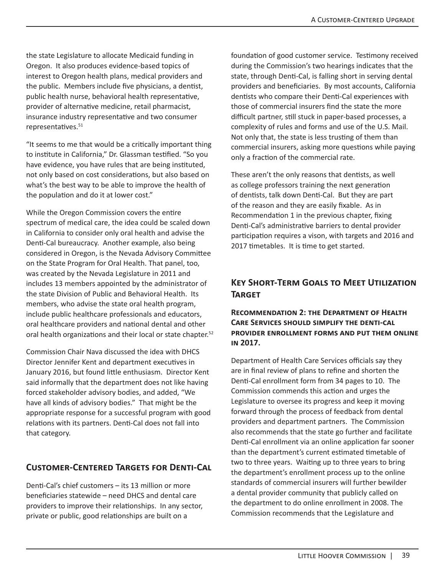the state Legislature to allocate Medicaid funding in Oregon. It also produces evidence-based topics of interest to Oregon health plans, medical providers and the public. Members include five physicians, a dentist, public health nurse, behavioral health representative, provider of alternative medicine, retail pharmacist, insurance industry representative and two consumer representatives.<sup>51</sup>

"It seems to me that would be a critically important thing to institute in California," Dr. Glassman testified. "So you have evidence, you have rules that are being instituted, not only based on cost considerations, but also based on what's the best way to be able to improve the health of the population and do it at lower cost."

While the Oregon Commission covers the entire spectrum of medical care, the idea could be scaled down in California to consider only oral health and advise the Denti-Cal bureaucracy. Another example, also being considered in Oregon, is the Nevada Advisory Committee on the State Program for Oral Health. That panel, too, was created by the Nevada Legislature in 2011 and includes 13 members appointed by the administrator of the state Division of Public and Behavioral Health. Its members, who advise the state oral health program, include public healthcare professionals and educators, oral healthcare providers and national dental and other oral health organizations and their local or state chapter.<sup>52</sup>

Commission Chair Nava discussed the idea with DHCS Director Jennifer Kent and department executives in January 2016, but found little enthusiasm. Director Kent said informally that the department does not like having forced stakeholder advisory bodies, and added, "We have all kinds of advisory bodies." That might be the appropriate response for a successful program with good relations with its partners. Denti-Cal does not fall into that category.

#### **Customer-Centered Targets for Denti-Cal**

Denti-Cal's chief customers – its 13 million or more beneficiaries statewide – need DHCS and dental care providers to improve their relationships. In any sector, private or public, good relationships are built on a

foundation of good customer service. Testimony received during the Commission's two hearings indicates that the state, through Denti-Cal, is falling short in serving dental providers and beneficiaries. By most accounts, California dentists who compare their Denti-Cal experiences with those of commercial insurers find the state the more difficult partner, still stuck in paper-based processes, a complexity of rules and forms and use of the U.S. Mail. Not only that, the state is less trusting of them than commercial insurers, asking more questions while paying only a fraction of the commercial rate.

These aren't the only reasons that dentists, as well as college professors training the next generation of dentists, talk down Denti-Cal. But they are part of the reason and they are easily fixable. As in Recommendation 1 in the previous chapter, fixing Denti-Cal's administrative barriers to dental provider participation requires a vison, with targets and 2016 and 2017 timetables. It is time to get started.

# **Key Short-Term Goals to Meet Utilization Target**

#### **Recommendation 2: the Department of Health Care Services should simplify the denti-cal provider enrollment forms and put them online in 2017.**

Department of Health Care Services officials say they are in final review of plans to refine and shorten the Denti-Cal enrollment form from 34 pages to 10. The Commission commends this action and urges the Legislature to oversee its progress and keep it moving forward through the process of feedback from dental providers and department partners. The Commission also recommends that the state go further and facilitate Denti-Cal enrollment via an online application far sooner than the department's current estimated timetable of two to three years. Waiting up to three years to bring the department's enrollment process up to the online standards of commercial insurers will further bewilder a dental provider community that publicly called on the department to do online enrollment in 2008. The Commission recommends that the Legislature and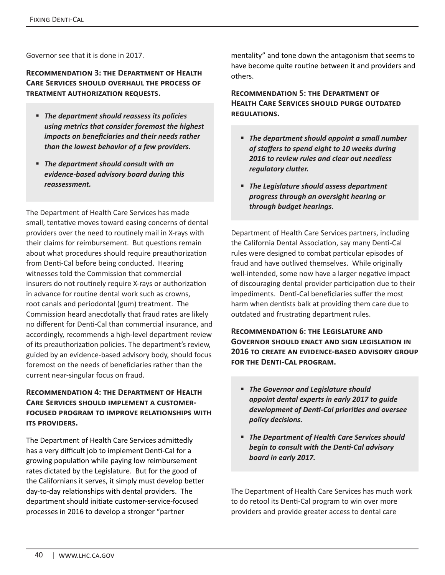Governor see that it is done in 2017.

**Recommendation 3: the Department of Health Care Services should overhaul the process of treatment authorization requests.** 

- *The department should reassess its policies using metrics that consider foremost the highest impacts on beneficiaries and their needs rather than the lowest behavior of a few providers.*
- *The department should consult with an evidence-based advisory board during this reassessment.*

The Department of Health Care Services has made small, tentative moves toward easing concerns of dental providers over the need to routinely mail in X-rays with their claims for reimbursement. But questions remain about what procedures should require preauthorization from Denti-Cal before being conducted. Hearing witnesses told the Commission that commercial insurers do not routinely require X-rays or authorization in advance for routine dental work such as crowns, root canals and periodontal (gum) treatment. The Commission heard anecdotally that fraud rates are likely no different for Denti-Cal than commercial insurance, and accordingly, recommends a high-level department review of its preauthorization policies. The department's review, guided by an evidence-based advisory body, should focus foremost on the needs of beneficiaries rather than the current near-singular focus on fraud.

#### **Recommendation 4: the Department of Health Care Services should implement a customerfocused program to improve relationships with ITS PROVIDERS.**

The Department of Health Care Services admittedly has a very difficult job to implement Denti-Cal for a growing population while paying low reimbursement rates dictated by the Legislature. But for the good of the Californians it serves, it simply must develop better day-to-day relationships with dental providers. The department should initiate customer-service-focused processes in 2016 to develop a stronger "partner

mentality" and tone down the antagonism that seems to have become quite routine between it and providers and others.

#### **Recommendation 5: the Department of Health Care Services should purge outdated regulations.**

- *The department should appoint a small number of staffers to spend eight to 10 weeks during 2016 to review rules and clear out needless regulatory clutter.*
- *The Legislature should assess department progress through an oversight hearing or through budget hearings.*

Department of Health Care Services partners, including the California Dental Association, say many Denti-Cal rules were designed to combat particular episodes of fraud and have outlived themselves. While originally well-intended, some now have a larger negative impact of discouraging dental provider participation due to their impediments. Denti-Cal beneficiaries suffer the most harm when dentists balk at providing them care due to outdated and frustrating department rules.

**Recommendation 6: the Legislature and Governor should enact and sign legislation in 2016 to create an evidence-based advisory group for the Denti-Cal program.**

- *The Governor and Legislature should appoint dental experts in early 2017 to guide development of Denti-Cal priorities and oversee policy decisions.*
- *The Department of Health Care Services should begin to consult with the Denti-Cal advisory board in early 2017.*

The Department of Health Care Services has much work to do retool its Denti-Cal program to win over more providers and provide greater access to dental care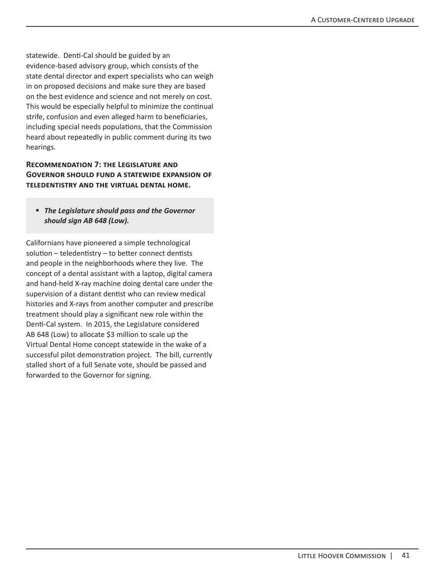statewide. Denti-Cal should be guided by an evidence-based advisory group, which consists of the state dental director and expert specialists who can weigh in on proposed decisions and make sure they are based on the best evidence and science and not merely on cost. This would be especially helpful to minimize the continual strife, confusion and even alleged harm to beneficiaries, including special needs populations, that the Commission heard about repeatedly in public comment during its two hearings.

#### **Recommendation 7: the Legislature and Governor should fund a statewide expansion of teledentistry and the virtual dental home.**

#### *The Legislature should pass and the Governor should sign AB 648 (Low).*

Californians have pioneered a simple technological solution – teledentistry – to better connect dentists and people in the neighborhoods where they live. The concept of a dental assistant with a laptop, digital camera and hand-held X-ray machine doing dental care under the supervision of a distant dentist who can review medical histories and X-rays from another computer and prescribe treatment should play a significant new role within the Denti-Cal system. In 2015, the Legislature considered AB 648 (Low) to allocate \$3 million to scale up the Virtual Dental Home concept statewide in the wake of a successful pilot demonstration project. The bill, currently stalled short of a full Senate vote, should be passed and forwarded to the Governor for signing.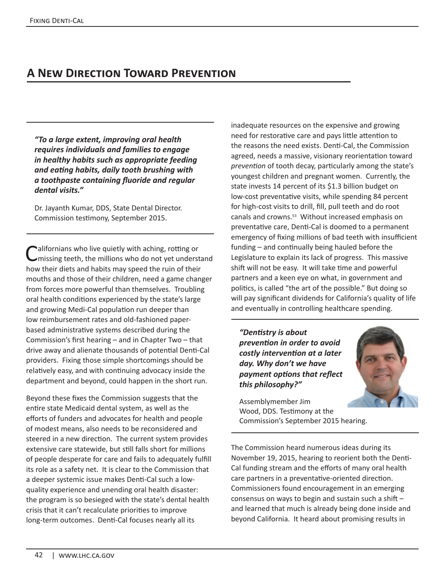# **A New Direction Toward Prevention**

*"To a large extent, improving oral health requires individuals and families to engage in healthy habits such as appropriate feeding and eating habits, daily tooth brushing with a toothpaste containing fluoride and regular dental visits."*

Dr. Jayanth Kumar, DDS, State Dental Director. Commission testimony, September 2015.

**Californians who live quietly with aching, rotting or** Comissing teeth, the millions who do not yet understand how their diets and habits may speed the ruin of their mouths and those of their children, need a game changer from forces more powerful than themselves. Troubling oral health conditions experienced by the state's large and growing Medi-Cal population run deeper than low reimbursement rates and old-fashioned paperbased administrative systems described during the Commission's first hearing – and in Chapter Two – that drive away and alienate thousands of potential Denti-Cal providers. Fixing those simple shortcomings should be relatively easy, and with continuing advocacy inside the department and beyond, could happen in the short run.

Beyond these fixes the Commission suggests that the entire state Medicaid dental system, as well as the efforts of funders and advocates for health and people of modest means, also needs to be reconsidered and steered in a new direction. The current system provides extensive care statewide, but still falls short for millions of people desperate for care and fails to adequately fulfill its role as a safety net. It is clear to the Commission that a deeper systemic issue makes Denti-Cal such a lowquality experience and unending oral health disaster: the program is so besieged with the state's dental health crisis that it can't recalculate priorities to improve long-term outcomes. Denti-Cal focuses nearly all its

inadequate resources on the expensive and growing need for restorative care and pays little attention to the reasons the need exists. Denti-Cal, the Commission agreed, needs a massive, visionary reorientation toward *prevention* of tooth decay, particularly among the state's youngest children and pregnant women. Currently, the state invests 14 percent of its \$1.3 billion budget on low-cost preventative visits, while spending 84 percent for high-cost visits to drill, fill, pull teeth and do root canals and crowns.53 Without increased emphasis on preventative care, Denti-Cal is doomed to a permanent emergency of fixing millions of bad teeth with insufficient funding – and continually being hauled before the Legislature to explain its lack of progress. This massive shift will not be easy. It will take time and powerful partners and a keen eye on what, in government and politics, is called "the art of the possible." But doing so will pay significant dividends for California's quality of life and eventually in controlling healthcare spending.

*"Dentistry is about prevention in order to avoid costly intervention at a later day. Why don't we have payment options that reflect this philosophy?"*

Assemblymember Jim Wood, DDS. Testimony at the Commission's September 2015 hearing.

The Commission heard numerous ideas during its November 19, 2015, hearing to reorient both the Denti-Cal funding stream and the efforts of many oral health care partners in a preventative-oriented direction. Commissioners found encouragement in an emerging consensus on ways to begin and sustain such a shift – and learned that much is already being done inside and beyond California. It heard about promising results in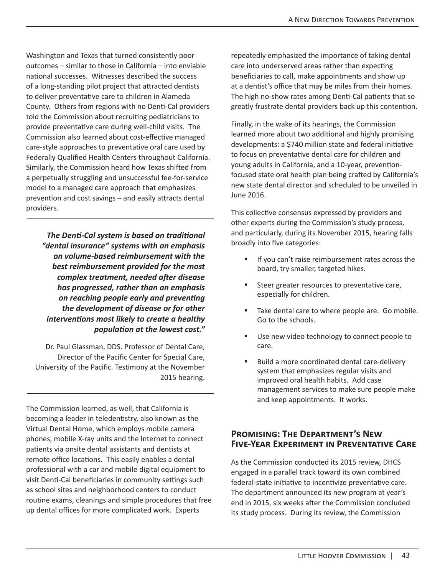Washington and Texas that turned consistently poor outcomes – similar to those in California – into enviable national successes. Witnesses described the success of a long-standing pilot project that attracted dentists to deliver preventative care to children in Alameda County. Others from regions with no Denti-Cal providers told the Commission about recruiting pediatricians to provide preventative care during well-child visits. The Commission also learned about cost-effective managed care-style approaches to preventative oral care used by Federally Qualified Health Centers throughout California. Similarly, the Commission heard how Texas shifted from a perpetually struggling and unsuccessful fee-for-service model to a managed care approach that emphasizes prevention and cost savings – and easily attracts dental providers.

*The Denti‐Cal system is based on traditional "dental insurance" systems with an emphasis on volume-based reimbursement with the best reimbursement provided for the most complex treatment, needed after disease has progressed, rather than an emphasis on reaching people early and preventing the development of disease or for other interventions most likely to create a healthy population at the lowest cost."* 

Dr. Paul Glassman, DDS. Professor of Dental Care, Director of the Pacific Center for Special Care, University of the Pacific. Testimony at the November 2015 hearing.

The Commission learned, as well, that California is becoming a leader in teledentistry, also known as the Virtual Dental Home, which employs mobile camera phones, mobile X-ray units and the Internet to connect patients via onsite dental assistants and dentists at remote office locations. This easily enables a dental professional with a car and mobile digital equipment to visit Denti-Cal beneficiaries in community settings such as school sites and neighborhood centers to conduct routine exams, cleanings and simple procedures that free up dental offices for more complicated work. Experts

repeatedly emphasized the importance of taking dental care into underserved areas rather than expecting beneficiaries to call, make appointments and show up at a dentist's office that may be miles from their homes. The high no-show rates among Denti-Cal patients that so greatly frustrate dental providers back up this contention.

Finally, in the wake of its hearings, the Commission learned more about two additional and highly promising developments: a \$740 million state and federal initiative to focus on preventative dental care for children and young adults in California, and a 10-year, preventionfocused state oral health plan being crafted by California's new state dental director and scheduled to be unveiled in June 2016.

This collective consensus expressed by providers and other experts during the Commission's study process, and particularly, during its November 2015, hearing falls broadly into five categories:

- If you can't raise reimbursement rates across the board, try smaller, targeted hikes.
- Steer greater resources to preventative care, especially for children.
- Take dental care to where people are. Go mobile. Go to the schools.
- Use new video technology to connect people to care.
- Build a more coordinated dental care-delivery system that emphasizes regular visits and improved oral health habits. Add case management services to make sure people make and keep appointments. It works.

#### **Promising: The Department's New Five-Year Experiment in Preventative Care**

As the Commission conducted its 2015 review, DHCS engaged in a parallel track toward its own combined federal-state initiative to incentivize preventative care. The department announced its new program at year's end in 2015, six weeks after the Commission concluded its study process. During its review, the Commission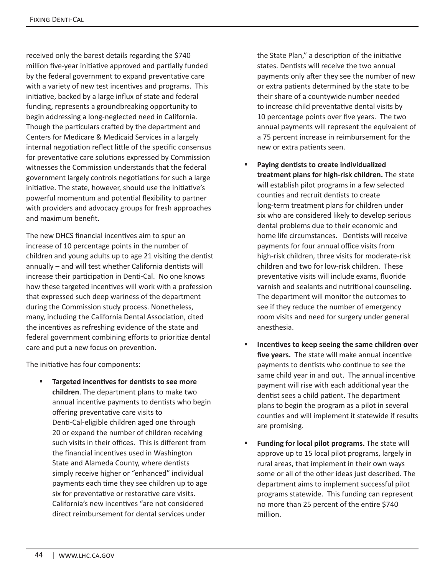received only the barest details regarding the \$740 million five-year initiative approved and partially funded by the federal government to expand preventative care with a variety of new test incentives and programs. This initiative, backed by a large influx of state and federal funding, represents a groundbreaking opportunity to begin addressing a long-neglected need in California. Though the particulars crafted by the department and Centers for Medicare & Medicaid Services in a largely internal negotiation reflect little of the specific consensus for preventative care solutions expressed by Commission witnesses the Commission understands that the federal government largely controls negotiations for such a large initiative. The state, however, should use the initiative's powerful momentum and potential flexibility to partner with providers and advocacy groups for fresh approaches and maximum benefit.

The new DHCS financial incentives aim to spur an increase of 10 percentage points in the number of children and young adults up to age 21 visiting the dentist annually – and will test whether California dentists will increase their participation in Denti-Cal. No one knows how these targeted incentives will work with a profession that expressed such deep wariness of the department during the Commission study process. Nonetheless, many, including the California Dental Association, cited the incentives as refreshing evidence of the state and federal government combining efforts to prioritize dental care and put a new focus on prevention.

The initiative has four components:

 **Targeted incentives for dentists to see more children**. The department plans to make two annual incentive payments to dentists who begin offering preventative care visits to Denti-Cal-eligible children aged one through 20 or expand the number of children receiving such visits in their offices. This is different from the financial incentives used in Washington State and Alameda County, where dentists simply receive higher or "enhanced" individual payments each time they see children up to age six for preventative or restorative care visits. California's new incentives "are not considered direct reimbursement for dental services under

the State Plan," a description of the initiative states. Dentists will receive the two annual payments only after they see the number of new or extra patients determined by the state to be their share of a countywide number needed to increase child preventative dental visits by 10 percentage points over five years. The two annual payments will represent the equivalent of a 75 percent increase in reimbursement for the new or extra patients seen.

- **Paying dentists to create individualized treatment plans for high-risk children.** The state will establish pilot programs in a few selected counties and recruit dentists to create long-term treatment plans for children under six who are considered likely to develop serious dental problems due to their economic and home life circumstances. Dentists will receive payments for four annual office visits from high-risk children, three visits for moderate-risk children and two for low-risk children. These preventative visits will include exams, fluoride varnish and sealants and nutritional counseling. The department will monitor the outcomes to see if they reduce the number of emergency room visits and need for surgery under general anesthesia.
- **Incentives to keep seeing the same children over five years.** The state will make annual incentive payments to dentists who continue to see the same child year in and out. The annual incentive payment will rise with each additional year the dentist sees a child patient. The department plans to begin the program as a pilot in several counties and will implement it statewide if results are promising.
- **Funding for local pilot programs.** The state will approve up to 15 local pilot programs, largely in rural areas, that implement in their own ways some or all of the other ideas just described. The department aims to implement successful pilot programs statewide. This funding can represent no more than 25 percent of the entire \$740 million.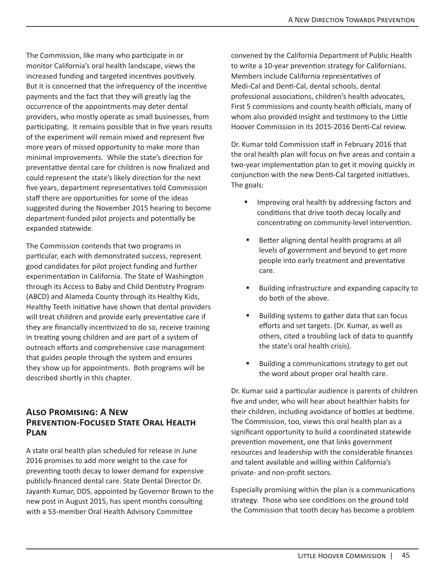The Commission, like many who participate in or monitor California's oral health landscape, views the increased funding and targeted incentives positively. But it is concerned that the infrequency of the incentive payments and the fact that they will greatly lag the occurrence of the appointments may deter dental providers, who mostly operate as small businesses, from participating. It remains possible that in five years results of the experiment will remain mixed and represent five more years of missed opportunity to make more than minimal improvements. While the state's direction for preventative dental care for children is now finalized and could represent the state's likely direction for the next five years, department representatives told Commission staff there are opportunities for some of the ideas suggested during the November 2015 hearing to become department-funded pilot projects and potentially be expanded statewide.

The Commission contends that two programs in particular, each with demonstrated success, represent good candidates for pilot project funding and further experimentation in California. The State of Washington through its Access to Baby and Child Dentistry Program (ABCD) and Alameda County through its Healthy Kids, Healthy Teeth initiative have shown that dental providers will treat children and provide early preventative care if they are financially incentivized to do so, receive training in treating young children and are part of a system of outreach efforts and comprehensive case management that guides people through the system and ensures they show up for appointments. Both programs will be described shortly in this chapter.

#### **Also Promising: A New Prevention-Focused State Oral Health Plan**

A state oral health plan scheduled for release in June 2016 promises to add more weight to the case for preventing tooth decay to lower demand for expensive publicly-financed dental care. State Dental Director Dr. Jayanth Kumar, DDS, appointed by Governor Brown to the new post in August 2015, has spent months consulting with a 53-member Oral Health Advisory Committee

convened by the California Department of Public Health to write a 10-year prevention strategy for Californians. Members include California representatives of Medi-Cal and Denti-Cal, dental schools, dental professional associations, children's health advocates, First 5 commissions and county health officials, many of whom also provided insight and testimony to the Little Hoover Commission in its 2015-2016 Denti-Cal review.

Dr. Kumar told Commission staff in February 2016 that the oral health plan will focus on five areas and contain a two-year implementation plan to get it moving quickly in conjunction with the new Denti-Cal targeted initiatives. The goals:

- Improving oral health by addressing factors and conditions that drive tooth decay locally and concentrating on community-level intervention.
- Better aligning dental health programs at all levels of government and beyond to get more people into early treatment and preventative care.
- **Building infrastructure and expanding capacity to** do both of the above.
- Building systems to gather data that can focus efforts and set targets. (Dr. Kumar, as well as others, cited a troubling lack of data to quantify the state's oral health crisis).
- **Building a communications strategy to get out** the word about proper oral health care.

Dr. Kumar said a particular audience is parents of children five and under, who will hear about healthier habits for their children, including avoidance of bottles at bedtime. The Commission, too, views this oral health plan as a significant opportunity to build a coordinated statewide prevention movement, one that links government resources and leadership with the considerable finances and talent available and willing within California's private- and non-profit sectors.

Especially promising within the plan is a communications strategy. Those who see conditions on the ground told the Commission that tooth decay has become a problem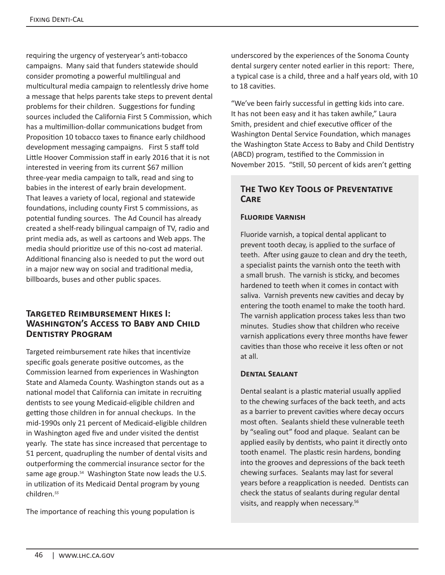requiring the urgency of yesteryear's anti-tobacco campaigns. Many said that funders statewide should consider promoting a powerful multilingual and multicultural media campaign to relentlessly drive home a message that helps parents take steps to prevent dental problems for their children. Suggestions for funding sources included the California First 5 Commission, which has a multimillion-dollar communications budget from Proposition 10 tobacco taxes to finance early childhood development messaging campaigns. First 5 staff told Little Hoover Commission staff in early 2016 that it is not interested in veering from its current \$67 million three-year media campaign to talk, read and sing to babies in the interest of early brain development. That leaves a variety of local, regional and statewide foundations, including county First 5 commissions, as potential funding sources. The Ad Council has already created a shelf-ready bilingual campaign of TV, radio and print media ads, as well as cartoons and Web apps. The media should prioritize use of this no-cost ad material. Additional financing also is needed to put the word out in a major new way on social and traditional media, billboards, buses and other public spaces.

#### **Targeted Reimbursement Hikes I: Washington's Access to Baby and Child Dentistry Program**

Targeted reimbursement rate hikes that incentivize specific goals generate positive outcomes, as the Commission learned from experiences in Washington State and Alameda County. Washington stands out as a national model that California can imitate in recruiting dentists to see young Medicaid-eligible children and getting those children in for annual checkups. In the mid-1990s only 21 percent of Medicaid-eligible children in Washington aged five and under visited the dentist yearly. The state has since increased that percentage to 51 percent, quadrupling the number of dental visits and outperforming the commercial insurance sector for the same age group.<sup>54</sup> Washington State now leads the U.S. in utilization of its Medicaid Dental program by young children.*<sup>55</sup>*

The importance of reaching this young population is

underscored by the experiences of the Sonoma County dental surgery center noted earlier in this report: There, a typical case is a child, three and a half years old, with 10 to 18 cavities.

"We've been fairly successful in getting kids into care. It has not been easy and it has taken awhile," Laura Smith, president and chief executive officer of the Washington Dental Service Foundation, which manages the Washington State Access to Baby and Child Dentistry (ABCD) program, testified to the Commission in November 2015. "Still, 50 percent of kids aren't getting

## **The Two Key Tools of Preventative Care**

## **Fluoride Varnish**

Fluoride varnish, a topical dental applicant to prevent tooth decay, is applied to the surface of teeth. After using gauze to clean and dry the teeth, a specialist paints the varnish onto the teeth with a small brush. The varnish is sticky, and becomes hardened to teeth when it comes in contact with saliva. Varnish prevents new cavities and decay by entering the tooth enamel to make the tooth hard. The varnish application process takes less than two minutes. Studies show that children who receive varnish applications every three months have fewer cavities than those who receive it less often or not at all.

#### **Dental Sealant**

Dental sealant is a plastic material usually applied to the chewing surfaces of the back teeth, and acts as a barrier to prevent cavities where decay occurs most often. Sealants shield these vulnerable teeth by "sealing out" food and plaque. Sealant can be applied easily by dentists, who paint it directly onto tooth enamel. The plastic resin hardens, bonding into the grooves and depressions of the back teeth chewing surfaces. Sealants may last for several years before a reapplication is needed. Dentists can check the status of sealants during regular dental visits, and reapply when necessary.56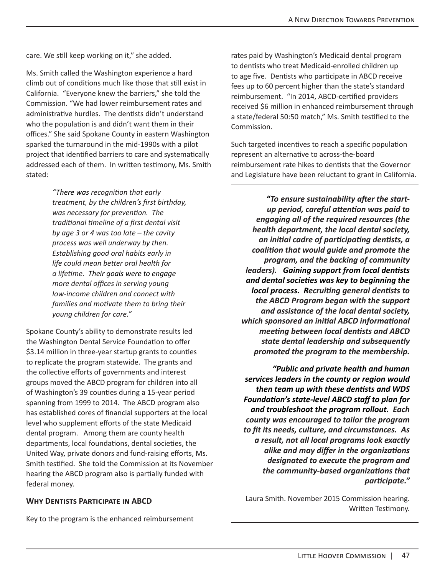care. We still keep working on it," she added.

Ms. Smith called the Washington experience a hard climb out of conditions much like those that still exist in California. "Everyone knew the barriers," she told the Commission. "We had lower reimbursement rates and administrative hurdles. The dentists didn't understand who the population is and didn't want them in their offices." She said Spokane County in eastern Washington sparked the turnaround in the mid-1990s with a pilot project that identified barriers to care and systematically addressed each of them. In written testimony, Ms. Smith stated:

> *"There was recognition that early treatment, by the children's first birthday, was necessary for prevention. The traditional timeline of a first dental visit by age 3 or 4 was too late – the cavity process was well underway by then. Establishing good oral habits early in life could mean better oral health for a lifetime. Their goals were to engage more dental offices in serving young low-income children and connect with families and motivate them to bring their young children for care."*

Spokane County's ability to demonstrate results led the Washington Dental Service Foundation to offer \$3.14 million in three-year startup grants to counties to replicate the program statewide. The grants and the collective efforts of governments and interest groups moved the ABCD program for children into all of Washington's 39 counties during a 15-year period spanning from 1999 to 2014. The ABCD program also has established cores of financial supporters at the local level who supplement efforts of the state Medicaid dental program. Among them are county health departments, local foundations, dental societies, the United Way, private donors and fund-raising efforts, Ms. Smith testified. She told the Commission at its November hearing the ABCD program also is partially funded with federal money.

#### **Why Dentists Participate in ABCD**

Key to the program is the enhanced reimbursement

rates paid by Washington's Medicaid dental program to dentists who treat Medicaid-enrolled children up to age five. Dentists who participate in ABCD receive fees up to 60 percent higher than the state's standard reimbursement. "In 2014, ABCD-certified providers received \$6 million in enhanced reimbursement through a state/federal 50:50 match," Ms. Smith testified to the Commission.

Such targeted incentives to reach a specific population represent an alternative to across-the-board reimbursement rate hikes to dentists that the Governor and Legislature have been reluctant to grant in California.

*"To ensure sustainability after the startup period, careful attention was paid to engaging all of the required resources (the health department, the local dental society, an initial cadre of participating dentists, a coalition that would guide and promote the program, and the backing of community leaders). Gaining support from local dentists and dental societies was key to beginning the local process. Recruiting general dentists to the ABCD Program began with the support and assistance of the local dental society, which sponsored an initial ABCD informational meeting between local dentists and ABCD state dental leadership and subsequently promoted the program to the membership.* 

*"Public and private health and human services leaders in the county or region would then team up with these dentists and WDS Foundation's state-level ABCD staff to plan for and troubleshoot the program rollout. Each county was encouraged to tailor the program to fit its needs, culture, and circumstances. As a result, not all local programs look exactly alike and may differ in the organizations designated to execute the program and the community-based organizations that participate."*

Laura Smith. November 2015 Commission hearing. Written Testimony.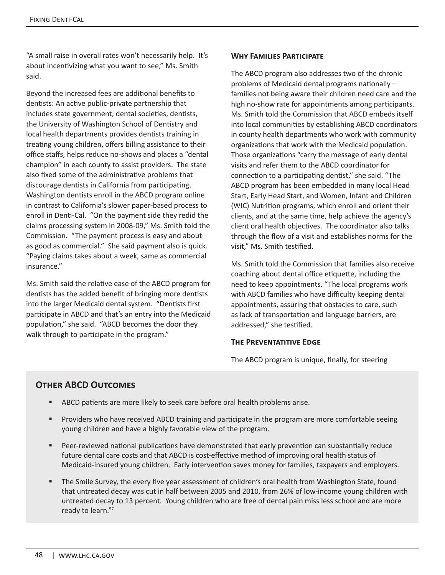"A small raise in overall rates won't necessarily help. It's about incentivizing what you want to see," Ms. Smith said.

Beyond the increased fees are additional benefits to dentists: An active public-private partnership that includes state government, dental societies, dentists, the University of Washington School of Dentistry and local health departments provides dentists training in treating young children, offers billing assistance to their office staffs, helps reduce no-shows and places a "dental champion" in each county to assist providers. The state also fixed some of the administrative problems that discourage dentists in California from participating. Washington dentists enroll in the ABCD program online in contrast to California's slower paper-based process to enroll in Denti-Cal. "On the payment side they redid the claims processing system in 2008-09," Ms. Smith told the Commission. "The payment process is easy and about as good as commercial." She said payment also is quick. "Paying claims takes about a week, same as commercial insurance."

Ms. Smith said the relative ease of the ABCD program for dentists has the added benefit of bringing more dentists into the larger Medicaid dental system. "Dentists first participate in ABCD and that's an entry into the Medicaid population," she said. "ABCD becomes the door they walk through to participate in the program."

#### **Why Families Participate**

The ABCD program also addresses two of the chronic problems of Medicaid dental programs nationally – families not being aware their children need care and the high no-show rate for appointments among participants. Ms. Smith told the Commission that ABCD embeds itself into local communities by establishing ABCD coordinators in county health departments who work with community organizations that work with the Medicaid population. Those organizations "carry the message of early dental visits and refer them to the ABCD coordinator for connection to a participating dentist," she said. "The ABCD program has been embedded in many local Head Start, Early Head Start, and Women, Infant and Children (WIC) Nutrition programs, which enroll and orient their clients, and at the same time, help achieve the agency's client oral health objectives. The coordinator also talks through the flow of a visit and establishes norms for the visit," Ms. Smith testified.

Ms. Smith told the Commission that families also receive coaching about dental office etiquette, including the need to keep appointments. "The local programs work with ABCD families who have difficulty keeping dental appointments, assuring that obstacles to care, such as lack of transportation and language barriers, are addressed," she testified.

#### **THE PREVENTATITIVE EDGE**

The ABCD program is unique, finally, for steering

# **Other ABCD Outcomes**

- **ABCD** patients are more likely to seek care before oral health problems arise.
- **Providers who have received ABCD training and participate in the program are more comfortable seeing** young children and have a highly favorable view of the program.
- Peer-reviewed national publications have demonstrated that early prevention can substantially reduce future dental care costs and that ABCD is cost-effective method of improving oral health status of Medicaid-insured young children. Early intervention saves money for families, taxpayers and employers.
- The Smile Survey, the every five year assessment of children's oral health from Washington State, found that untreated decay was cut in half between 2005 and 2010, from 26% of low-income young children with untreated decay to 13 percent. Young children who are free of dental pain miss less school and are more ready to learn.<sup>57</sup>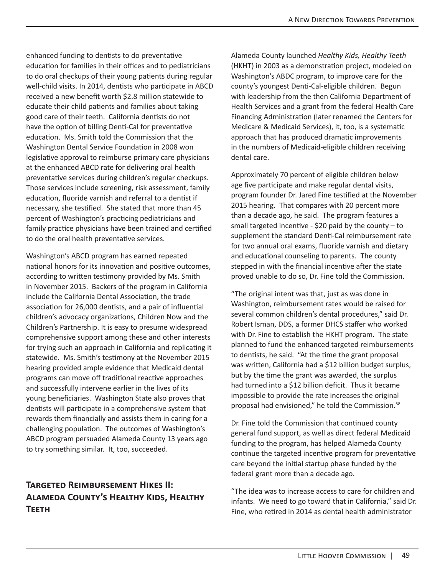enhanced funding to dentists to do preventative education for families in their offices and to pediatricians to do oral checkups of their young patients during regular well-child visits. In 2014, dentists who participate in ABCD received a new benefit worth \$2.8 million statewide to educate their child patients and families about taking good care of their teeth. California dentists do not have the option of billing Denti-Cal for preventative education. Ms. Smith told the Commission that the Washington Dental Service Foundation in 2008 won legislative approval to reimburse primary care physicians at the enhanced ABCD rate for delivering oral health preventative services during children's regular checkups. Those services include screening, risk assessment, family education, fluoride varnish and referral to a dentist if necessary, she testified. She stated that more than 45 percent of Washington's practicing pediatricians and family practice physicians have been trained and certified to do the oral health preventative services.

Washington's ABCD program has earned repeated national honors for its innovation and positive outcomes, according to written testimony provided by Ms. Smith in November 2015. Backers of the program in California include the California Dental Association, the trade association for 26,000 dentists, and a pair of influential children's advocacy organizations, Children Now and the Children's Partnership. It is easy to presume widespread comprehensive support among these and other interests for trying such an approach in California and replicating it statewide. Ms. Smith's testimony at the November 2015 hearing provided ample evidence that Medicaid dental programs can move off traditional reactive approaches and successfully intervene earlier in the lives of its young beneficiaries. Washington State also proves that dentists will participate in a comprehensive system that rewards them financially and assists them in caring for a challenging population. The outcomes of Washington's ABCD program persuaded Alameda County 13 years ago to try something similar. It, too, succeeded.

# **Targeted Reimbursement Hikes II: Alameda County's Healthy Kids, Healthy Teeth**

Alameda County launched *Healthy Kids, Healthy Teeth*  (HKHT) in 2003 as a demonstration project, modeled on Washington's ABDC program, to improve care for the county's youngest Denti-Cal-eligible children. Begun with leadership from the then California Department of Health Services and a grant from the federal Health Care Financing Administration (later renamed the Centers for Medicare & Medicaid Services), it, too, is a systematic approach that has produced dramatic improvements in the numbers of Medicaid-eligible children receiving dental care.

Approximately 70 percent of eligible children below age five participate and make regular dental visits, program founder Dr. Jared Fine testified at the November 2015 hearing. That compares with 20 percent more than a decade ago, he said. The program features a small targeted incentive  $-$  \$20 paid by the county  $-$  to supplement the standard Denti-Cal reimbursement rate for two annual oral exams, fluoride varnish and dietary and educational counseling to parents. The county stepped in with the financial incentive after the state proved unable to do so, Dr. Fine told the Commission.

"The original intent was that, just as was done in Washington, reimbursement rates would be raised for several common children's dental procedures," said Dr. Robert Isman, DDS, a former DHCS staffer who worked with Dr. Fine to establish the HKHT program. The state planned to fund the enhanced targeted reimbursements to dentists, he said. "At the time the grant proposal was written, California had a \$12 billion budget surplus, but by the time the grant was awarded, the surplus had turned into a \$12 billion deficit. Thus it became impossible to provide the rate increases the original proposal had envisioned," he told the Commission.58

Dr. Fine told the Commission that continued county general fund support, as well as direct federal Medicaid funding to the program, has helped Alameda County continue the targeted incentive program for preventative care beyond the initial startup phase funded by the federal grant more than a decade ago.

"The idea was to increase access to care for children and infants. We need to go toward that in California," said Dr. Fine, who retired in 2014 as dental health administrator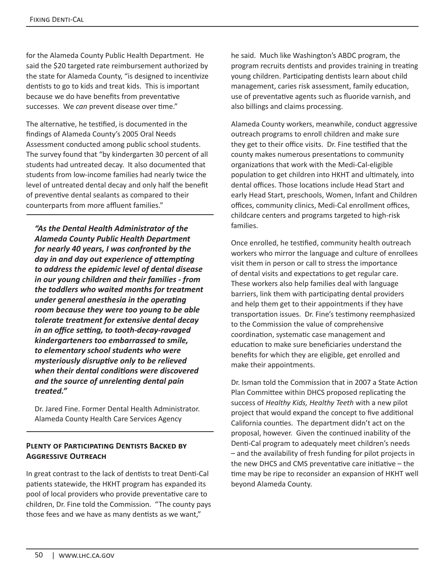for the Alameda County Public Health Department. He said the \$20 targeted rate reimbursement authorized by the state for Alameda County, "is designed to incentivize dentists to go to kids and treat kids. This is important because we do have benefits from preventative successes. We *can* prevent disease over time."

The alternative, he testified, is documented in the findings of Alameda County's 2005 Oral Needs Assessment conducted among public school students. The survey found that "by kindergarten 30 percent of all students had untreated decay. It also documented that students from low-income families had nearly twice the level of untreated dental decay and only half the benefit of preventive dental sealants as compared to their counterparts from more affluent families."

*"As the Dental Health Administrator of the Alameda County Public Health Department for nearly 40 years, I was confronted by the day in and day out experience of attempting to address the epidemic level of dental disease in our young children and their families - from the toddlers who waited months for treatment under general anesthesia in the operating room because they were too young to be able tolerate treatment for extensive dental decay in an office setting, to tooth-decay-ravaged kindergarteners too embarrassed to smile, to elementary school students who were mysteriously disruptive only to be relieved when their dental conditions were discovered and the source of unrelenting dental pain treated."* 

Dr. Jared Fine. Former Dental Health Administrator. Alameda County Health Care Services Agency

#### **Plenty of Participating Dentists Backed by Aggressive Outreach**

In great contrast to the lack of dentists to treat Denti-Cal patients statewide, the HKHT program has expanded its pool of local providers who provide preventative care to children, Dr. Fine told the Commission. "The county pays those fees and we have as many dentists as we want,"

he said. Much like Washington's ABDC program, the program recruits dentists and provides training in treating young children. Participating dentists learn about child management, caries risk assessment, family education, use of preventative agents such as fluoride varnish, and also billings and claims processing.

Alameda County workers, meanwhile, conduct aggressive outreach programs to enroll children and make sure they get to their office visits. Dr. Fine testified that the county makes numerous presentations to community organizations that work with the Medi-Cal-eligible population to get children into HKHT and ultimately, into dental offices. Those locations include Head Start and early Head Start, preschools, Women, Infant and Children offices, community clinics, Medi-Cal enrollment offices, childcare centers and programs targeted to high-risk families.

Once enrolled, he testified, community health outreach workers who mirror the language and culture of enrollees visit them in person or call to stress the importance of dental visits and expectations to get regular care. These workers also help families deal with language barriers, link them with participating dental providers and help them get to their appointments if they have transportation issues. Dr. Fine's testimony reemphasized to the Commission the value of comprehensive coordination, systematic case management and education to make sure beneficiaries understand the benefits for which they are eligible, get enrolled and make their appointments.

Dr. Isman told the Commission that in 2007 a State Action Plan Committee within DHCS proposed replicating the success of *Healthy Kids, Healthy Teeth* with a new pilot project that would expand the concept to five additional California counties. The department didn't act on the proposal, however. Given the continued inability of the Denti-Cal program to adequately meet children's needs – and the availability of fresh funding for pilot projects in the new DHCS and CMS preventative care initiative – the time may be ripe to reconsider an expansion of HKHT well beyond Alameda County.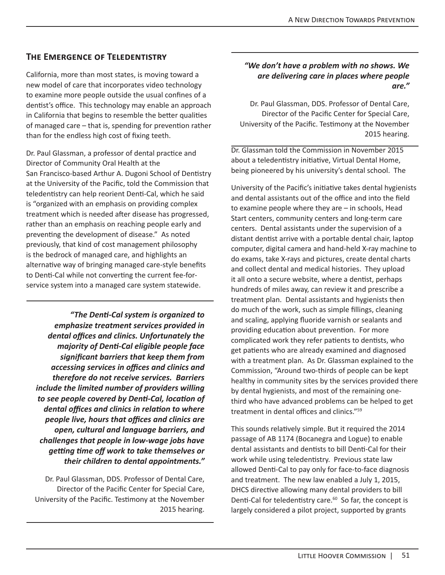# **The Emergence of Teledentistry**

California, more than most states, is moving toward a new model of care that incorporates video technology to examine more people outside the usual confines of a dentist's office. This technology may enable an approach in California that begins to resemble the better qualities of managed care – that is, spending for prevention rather than for the endless high cost of fixing teeth.

Dr. Paul Glassman, a professor of dental practice and Director of Community Oral Health at the San Francisco-based Arthur A. Dugoni School of Dentistry at the University of the Pacific, told the Commission that teledentistry can help reorient Denti-Cal, which he said is "organized with an emphasis on providing complex treatment which is needed after disease has progressed, rather than an emphasis on reaching people early and preventing the development of disease." As noted previously, that kind of cost management philosophy is the bedrock of managed care, and highlights an alternative way of bringing managed care-style benefits to Denti-Cal while not converting the current fee-forservice system into a managed care system statewide.

*"The Denti‐Cal system is organized to emphasize treatment services provided in dental offices and clinics. Unfortunately the majority of Denti‐Cal eligible people face significant barriers that keep them from accessing services in offices and clinics and therefore do not receive services. Barriers include the limited number of providers willing to see people covered by Denti‐Cal, location of dental offices and clinics in relation to where people live, hours that offices and clinics are open, cultural and language barriers, and challenges that people in low‐wage jobs have getting time off work to take themselves or their children to dental appointments."*

Dr. Paul Glassman, DDS. Professor of Dental Care, Director of the Pacific Center for Special Care, University of the Pacific. Testimony at the November 2015 hearing.

#### *"We don't have a problem with no shows. We are delivering care in places where people are."*

Dr. Paul Glassman, DDS. Professor of Dental Care, Director of the Pacific Center for Special Care, University of the Pacific. Testimony at the November 2015 hearing.

Dr. Glassman told the Commission in November 2015 about a teledentistry initiative, Virtual Dental Home, being pioneered by his university's dental school. The

University of the Pacific's initiative takes dental hygienists and dental assistants out of the office and into the field to examine people where they are – in schools, Head Start centers, community centers and long-term care centers. Dental assistants under the supervision of a distant dentist arrive with a portable dental chair, laptop computer, digital camera and hand-held X-ray machine to do exams, take X-rays and pictures, create dental charts and collect dental and medical histories. They upload it all onto a secure website, where a dentist, perhaps hundreds of miles away, can review it and prescribe a treatment plan. Dental assistants and hygienists then do much of the work, such as simple fillings, cleaning and scaling, applying fluoride varnish or sealants and providing education about prevention. For more complicated work they refer patients to dentists, who get patients who are already examined and diagnosed with a treatment plan. As Dr. Glassman explained to the Commission, "Around two-thirds of people can be kept healthy in community sites by the services provided there by dental hygienists, and most of the remaining onethird who have advanced problems can be helped to get treatment in dental offices and clinics."59

This sounds relatively simple. But it required the 2014 passage of AB 1174 (Bocanegra and Logue) to enable dental assistants and dentists to bill Denti-Cal for their work while using teledentistry. Previous state law allowed Denti-Cal to pay only for face-to-face diagnosis and treatment. The new law enabled a July 1, 2015, DHCS directive allowing many dental providers to bill Denti-Cal for teledentistry care.<sup>60</sup> So far, the concept is largely considered a pilot project, supported by grants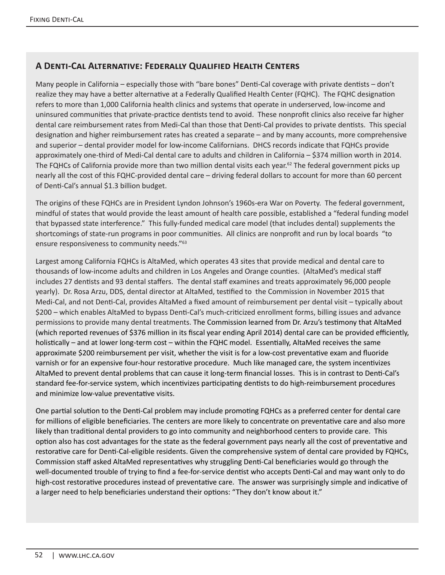## **A Denti-Cal Alternative: Federally Qualified Health Centers**

Many people in California – especially those with "bare bones" Denti-Cal coverage with private dentists – don't realize they may have a better alternative at a Federally Qualified Health Center (FQHC). The FQHC designation refers to more than 1,000 California health clinics and systems that operate in underserved, low-income and uninsured communities that private-practice dentists tend to avoid. These nonprofit clinics also receive far higher dental care reimbursement rates from Medi-Cal than those that Denti-Cal provides to private dentists. This special designation and higher reimbursement rates has created a separate – and by many accounts, more comprehensive and superior – dental provider model for low-income Californians. DHCS records indicate that FQHCs provide approximately one-third of Medi-Cal dental care to adults and children in California – \$374 million worth in 2014. The FQHCs of California provide more than two million dental visits each year.<sup>62</sup> The federal government picks up nearly all the cost of this FQHC-provided dental care – driving federal dollars to account for more than 60 percent of Denti-Cal's annual \$1.3 billion budget.

The origins of these FQHCs are in President Lyndon Johnson's 1960s-era War on Poverty. The federal government, mindful of states that would provide the least amount of health care possible, established a "federal funding model that bypassed state interference." This fully-funded medical care model (that includes dental) supplements the shortcomings of state-run programs in poor communities. All clinics are nonprofit and run by local boards "to ensure responsiveness to community needs."<sup>63</sup>

Largest among California FQHCs is AltaMed, which operates 43 sites that provide medical and dental care to thousands of low-income adults and children in Los Angeles and Orange counties. (AltaMed's medical staff includes 27 dentists and 93 dental staffers. The dental staff examines and treats approximately 96,000 people yearly). Dr. Rosa Arzu, DDS, dental director at AltaMed, testified to the Commission in November 2015 that Medi-Cal, and not Denti-Cal, provides AltaMed a fixed amount of reimbursement per dental visit – typically about \$200 – which enables AltaMed to bypass Denti-Cal's much-criticized enrollment forms, billing issues and advance permissions to provide many dental treatments. The Commission learned from Dr. Arzu's testimony that AltaMed (which reported revenues of \$376 million in its fiscal year ending April 2014) dental care can be provided efficiently, holistically – and at lower long-term cost – within the FQHC model. Essentially, AltaMed receives the same approximate \$200 reimbursement per visit, whether the visit is for a low-cost preventative exam and fluoride varnish or for an expensive four-hour restorative procedure. Much like managed care, the system incentivizes AltaMed to prevent dental problems that can cause it long-term financial losses. This is in contrast to Denti-Cal's standard fee-for-service system, which incentivizes participating dentists to do high-reimbursement procedures and minimize low-value preventative visits.

One partial solution to the Denti-Cal problem may include promoting FQHCs as a preferred center for dental care for millions of eligible beneficiaries. The centers are more likely to concentrate on preventative care and also more likely than traditional dental providers to go into community and neighborhood centers to provide care. This option also has cost advantages for the state as the federal government pays nearly all the cost of preventative and restorative care for Denti-Cal-eligible residents. Given the comprehensive system of dental care provided by FQHCs, Commission staff asked AltaMed representatives why struggling Denti-Cal beneficiaries would go through the well-documented trouble of trying to find a fee-for-service dentist who accepts Denti-Cal and may want only to do high-cost restorative procedures instead of preventative care. The answer was surprisingly simple and indicative of a larger need to help beneficiaries understand their options: "They don't know about it."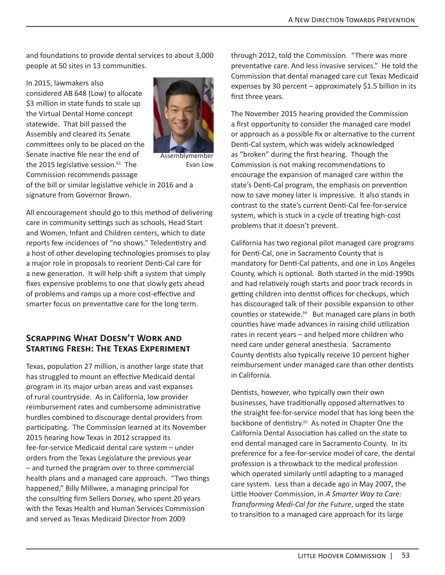and foundations to provide dental services to about 3,000 people at 50 sites in 13 communities.

In 2015, lawmakers also considered AB 648 (Low) to allocate \$3 million in state funds to scale up the Virtual Dental Home concept statewide. That bill passed the Assembly and cleared its Senate committees only to be placed on the Senate inactive file near the end of the 2015 legislative session. $61$  The Commission recommends passage



Assemblymember Evan Low

of the bill or similar legislative vehicle in 2016 and a signature from Governor Brown.

All encouragement should go to this method of delivering care in community settings such as schools, Head Start and Women, Infant and Children centers, which to date reports few incidences of "no shows." Teledentistry and a host of other developing technologies promises to play a major role in proposals to reorient Denti-Cal care for a new generation. It will help shift a system that simply fixes expensive problems to one that slowly gets ahead of problems and ramps up a more cost-effective and smarter focus on preventative care for the long term.

## **Scrapping What Doesn't Work and Starting Fresh: The Texas Experiment**

Texas, population 27 million, is another large state that has struggled to mount an effective Medicaid dental program in its major urban areas and vast expanses of rural countryside. As in California, low provider reimbursement rates and cumbersome administrative hurdles combined to discourage dental providers from participating. The Commission learned at its November 2015 hearing how Texas in 2012 scrapped its fee-for-service Medicaid dental care system – under orders from the Texas Legislature the previous year – and turned the program over to three commercial health plans and a managed care approach. "Two things happened," Billy Millwee, a managing principal for the consulting firm Sellers Dorsey, who spent 20 years with the Texas Health and Human Services Commission and served as Texas Medicaid Director from 2009

through 2012, told the Commission. "There was more preventative care. And less invasive services." He told the Commission that dental managed care cut Texas Medicaid expenses by 30 percent  $-$  approximately \$1.5 billion in its first three years.

The November 2015 hearing provided the Commission a first opportunity to consider the managed care model or approach as a possible fix or alternative to the current Denti-Cal system, which was widely acknowledged as "broken" during the first hearing. Though the Commission is not making recommendations to encourage the expansion of managed care within the state's Denti-Cal program, the emphasis on prevention now to save money later is impressive. It also stands in contrast to the state's current Denti-Cal fee-for-service system, which is stuck in a cycle of treating high-cost problems that it doesn't prevent.

California has two regional pilot managed care programs for Denti-Cal, one in Sacramento County that is mandatory for Denti-Cal patients, and one in Los Angeles County, which is optional. Both started in the mid-1990s and had relatively rough starts and poor track records in getting children into dentist offices for checkups, which has discouraged talk of their possible expansion to other counties or statewide.<sup>64</sup> But managed care plans in both counties have made advances in raising child utilization rates in recent years – and helped more children who need care under general anesthesia. Sacramento County dentists also typically receive 10 percent higher reimbursement under managed care than other dentists in California.

Dentists, however, who typically own their own businesses, have traditionally opposed alternatives to the straight fee-for-service model that has long been the backbone of dentistry.<sup>65</sup> As noted in Chapter One the California Dental Association has called on the state to end dental managed care in Sacramento County. In its preference for a fee-for-service model of care, the dental profession is a throwback to the medical profession which operated similarly until adapting to a managed care system. Less than a decade ago in May 2007, the Little Hoover Commission, in *A Smarter Way to Care: Transforming Medi-Cal for the Future*, urged the state to transition to a managed care approach for its large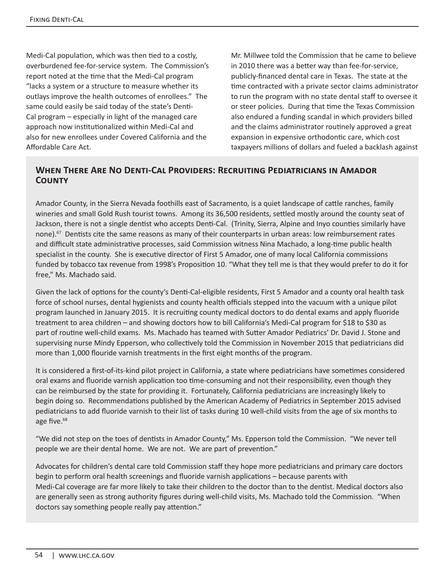Medi-Cal population, which was then tied to a costly, overburdened fee-for-service system. The Commission's report noted at the time that the Medi-Cal program "lacks a system or a structure to measure whether its outlays improve the health outcomes of enrollees." The same could easily be said today of the state's Denti-Cal program – especially in light of the managed care approach now institutionalized within Medi-Cal and also for new enrollees under Covered California and the Affordable Care Act.

Mr. Millwee told the Commission that he came to believe in 2010 there was a better way than fee-for-service, publicly-financed dental care in Texas. The state at the time contracted with a private sector claims administrator to run the program with no state dental staff to oversee it or steer policies. During that time the Texas Commission also endured a funding scandal in which providers billed and the claims administrator routinely approved a great expansion in expensive orthodontic care, which cost taxpayers millions of dollars and fueled a backlash against

#### **When There Are No Denti-Cal Providers: Recruiting Pediatricians in Amador County**

Amador County, in the Sierra Nevada foothills east of Sacramento, is a quiet landscape of cattle ranches, family wineries and small Gold Rush tourist towns. Among its 36,500 residents, settled mostly around the county seat of Jackson, there is not a single dentist who accepts Denti-Cal. (Trinity, Sierra, Alpine and Inyo counties similarly have none).<sup>67</sup> Dentists cite the same reasons as many of their counterparts in urban areas: low reimbursement rates and difficult state administrative processes, said Commission witness Nina Machado, a long-time public health specialist in the county. She is executive director of First 5 Amador, one of many local California commissions funded by tobacco tax revenue from 1998's Proposition 10. "What they tell me is that they would prefer to do it for free," Ms. Machado said.

Given the lack of options for the county's Denti-Cal-eligible residents, First 5 Amador and a county oral health task force of school nurses, dental hygienists and county health officials stepped into the vacuum with a unique pilot program launched in January 2015. It is recruiting county medical doctors to do dental exams and apply fluoride treatment to area children – and showing doctors how to bill California's Medi-Cal program for \$18 to \$30 as part of routine well-child exams. Ms. Machado has teamed with Sutter Amador Pediatrics' Dr. David J. Stone and supervising nurse Mindy Epperson, who collectively told the Commission in November 2015 that pediatricians did more than 1,000 flouride varnish treatments in the first eight months of the program.

It is considered a first-of-its-kind pilot project in California, a state where pediatricians have sometimes considered oral exams and fluoride varnish application too time-consuming and not their responsibility, even though they can be reimbursed by the state for providing it. Fortunately, California pediatricians are increasingly likely to begin doing so. Recommendations published by the American Academy of Pediatrics in September 2015 advised pediatricians to add fluoride varnish to their list of tasks during 10 well-child visits from the age of six months to age five.<sup>68</sup>

"We did not step on the toes of dentists in Amador County," Ms. Epperson told the Commission. "We never tell people we are their dental home. We are not. We are part of prevention."

Advocates for children's dental care told Commission staff they hope more pediatricians and primary care doctors begin to perform oral health screenings and fluoride varnish applications – because parents with Medi-Cal coverage are far more likely to take their children to the doctor than to the dentist. Medical doctors also are generally seen as strong authority figures during well-child visits, Ms. Machado told the Commission. "When doctors say something people really pay attention."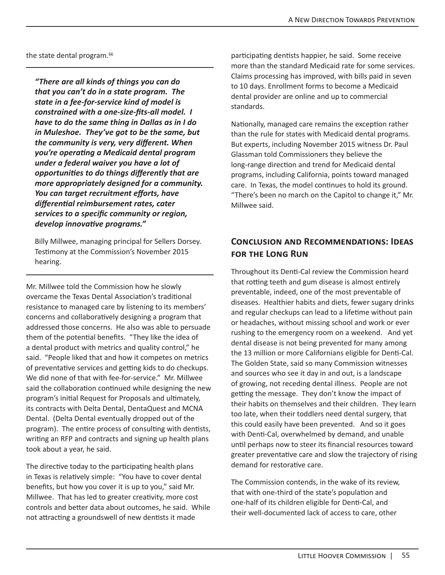the state dental program.<sup>66</sup>

*"There are all kinds of things you can do that you can't do in a state program. The state in a fee-for-service kind of model is constrained with a one-size-fits-all model. I have to do the same thing in Dallas as in I do in Muleshoe. They've got to be the same, but the community is very, very different. When you're operating a Medicaid dental program under a federal waiver you have a lot of opportunities to do things differently that are more appropriately designed for a community. You can target recruitment efforts, have differential reimbursement rates, cater services to a specific community or region, develop innovative programs."* 

Billy Millwee, managing principal for Sellers Dorsey. Testimony at the Commission's November 2015 hearing.

Mr. Millwee told the Commission how he slowly overcame the Texas Dental Association's traditional resistance to managed care by listening to its members' concerns and collaboratively designing a program that addressed those concerns. He also was able to persuade them of the potential benefits. "They like the idea of a dental product with metrics and quality control," he said. "People liked that and how it competes on metrics of preventative services and getting kids to do checkups. We did none of that with fee-for-service." Mr. Millwee said the collaboration continued while designing the new program's initial Request for Proposals and ultimately, its contracts with Delta Dental, DentaQuest and MCNA Dental. (Delta Dental eventually dropped out of the program). The entire process of consulting with dentists, writing an RFP and contracts and signing up health plans took about a year, he said.

The directive today to the participating health plans in Texas is relatively simple: "You have to cover dental benefits, but how you cover it is up to you," said Mr. Millwee. That has led to greater creativity, more cost controls and better data about outcomes, he said. While not attracting a groundswell of new dentists it made

participating dentists happier, he said. Some receive more than the standard Medicaid rate for some services. Claims processing has improved, with bills paid in seven to 10 days. Enrollment forms to become a Medicaid dental provider are online and up to commercial standards.

Nationally, managed care remains the exception rather than the rule for states with Medicaid dental programs. But experts, including November 2015 witness Dr. Paul Glassman told Commissioners they believe the long-range direction and trend for Medicaid dental programs, including California, points toward managed care. In Texas, the model continues to hold its ground. "There's been no march on the Capitol to change it," Mr. Millwee said.

# **Conclusion and Recommendations: Ideas for the Long Run**

Throughout its Denti-Cal review the Commission heard that rotting teeth and gum disease is almost entirely preventable, indeed, one of the most preventable of diseases. Healthier habits and diets, fewer sugary drinks and regular checkups can lead to a lifetime without pain or headaches, without missing school and work or ever rushing to the emergency room on a weekend. And yet dental disease is not being prevented for many among the 13 million or more Californians eligible for Denti-Cal. The Golden State, said so many Commission witnesses and sources who see it day in and out, is a landscape of growing, not receding dental illness. People are not getting the message. They don't know the impact of their habits on themselves and their children. They learn too late, when their toddlers need dental surgery, that this could easily have been prevented. And so it goes with Denti-Cal, overwhelmed by demand, and unable until perhaps now to steer its financial resources toward greater preventative care and slow the trajectory of rising demand for restorative care.

The Commission contends, in the wake of its review, that with one-third of the state's population and one-half of its children eligible for Denti-Cal, and their well-documented lack of access to care, other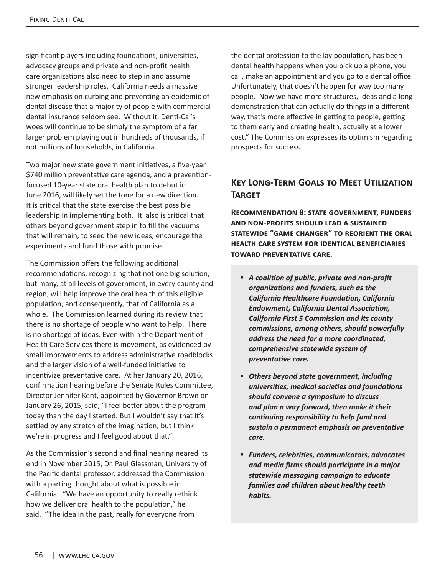significant players including foundations, universities, advocacy groups and private and non-profit health care organizations also need to step in and assume stronger leadership roles. California needs a massive new emphasis on curbing and preventing an epidemic of dental disease that a majority of people with commercial dental insurance seldom see. Without it, Denti-Cal's woes will continue to be simply the symptom of a far larger problem playing out in hundreds of thousands, if not millions of households, in California.

Two major new state government initiatives, a five-year \$740 million preventative care agenda, and a preventionfocused 10-year state oral health plan to debut in June 2016, will likely set the tone for a new direction. It is critical that the state exercise the best possible leadership in implementing both. It also is critical that others beyond government step in to fill the vacuums that will remain, to seed the new ideas, encourage the experiments and fund those with promise.

The Commission offers the following additional recommendations, recognizing that not one big solution, but many, at all levels of government, in every county and region, will help improve the oral health of this eligible population, and consequently, that of California as a whole. The Commission learned during its review that there is no shortage of people who want to help. There is no shortage of ideas. Even within the Department of Health Care Services there is movement, as evidenced by small improvements to address administrative roadblocks and the larger vision of a well-funded initiative to incentivize preventative care. At her January 20, 2016, confirmation hearing before the Senate Rules Committee, Director Jennifer Kent, appointed by Governor Brown on January 26, 2015, said, "I feel better about the program today than the day I started. But I wouldn't say that it's settled by any stretch of the imagination, but I think we're in progress and I feel good about that."

As the Commission's second and final hearing neared its end in November 2015, Dr. Paul Glassman, University of the Pacific dental professor, addressed the Commission with a parting thought about what is possible in California. "We have an opportunity to really rethink how we deliver oral health to the population," he said. "The idea in the past, really for everyone from

the dental profession to the lay population, has been dental health happens when you pick up a phone, you call, make an appointment and you go to a dental office. Unfortunately, that doesn't happen for way too many people. Now we have more structures, ideas and a long demonstration that can actually do things in a different way, that's more effective in getting to people, getting to them early and creating health, actually at a lower cost." The Commission expresses its optimism regarding prospects for success.

# **Key Long-Term Goals to Meet Utilization Target**

**Recommendation 8: state government, funders and non-profits should lead a sustained statewide "game changer" to reorient the oral health care system for identical beneficiaries toward preventative care.**

- *A coalition of public, private and non-profit organizations and funders, such as the California Healthcare Foundation, California Endowment, California Dental Association, California First 5 Commission and its county commissions, among others, should powerfully address the need for a more coordinated, comprehensive statewide system of preventative care.*
- *Others beyond state government, including universities, medical societies and foundations should convene a symposium to discuss and plan a way forward, then make it their continuing responsibility to help fund and sustain a permanent emphasis on preventative care.*
- *Funders, celebrities, communicators, advocates and media firms should participate in a major statewide messaging campaign to educate families and children about healthy teeth habits.*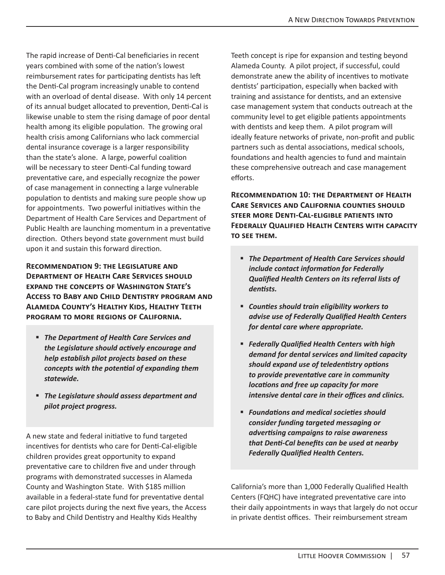The rapid increase of Denti-Cal beneficiaries in recent years combined with some of the nation's lowest reimbursement rates for participating dentists has left the Denti-Cal program increasingly unable to contend with an overload of dental disease. With only 14 percent of its annual budget allocated to prevention, Denti-Cal is likewise unable to stem the rising damage of poor dental health among its eligible population. The growing oral health crisis among Californians who lack commercial dental insurance coverage is a larger responsibility than the state's alone. A large, powerful coalition will be necessary to steer Denti-Cal funding toward preventative care, and especially recognize the power of case management in connecting a large vulnerable population to dentists and making sure people show up for appointments. Two powerful initiatives within the Department of Health Care Services and Department of Public Health are launching momentum in a preventative direction. Others beyond state government must build upon it and sustain this forward direction.

**Recommendation 9: the Legislature and Department of Health Care Services should expand the concepts of Washington State's Access to Baby and Child Dentistry program and Alameda County's Healthy Kids, Healthy Teeth program to more regions of California.**

- *The Department of Health Care Services and the Legislature should actively encourage and help establish pilot projects based on these concepts with the potential of expanding them statewide.*
- *The Legislature should assess department and pilot project progress.*

A new state and federal initiative to fund targeted incentives for dentists who care for Denti-Cal-eligible children provides great opportunity to expand preventative care to children five and under through programs with demonstrated successes in Alameda County and Washington State. With \$185 million available in a federal-state fund for preventative dental care pilot projects during the next five years, the Access to Baby and Child Dentistry and Healthy Kids Healthy

Teeth concept is ripe for expansion and testing beyond Alameda County. A pilot project, if successful, could demonstrate anew the ability of incentives to motivate dentists' participation, especially when backed with training and assistance for dentists, and an extensive case management system that conducts outreach at the community level to get eligible patients appointments with dentists and keep them. A pilot program will ideally feature networks of private, non-profit and public partners such as dental associations, medical schools, foundations and health agencies to fund and maintain these comprehensive outreach and case management efforts.

**Recommendation 10: the Department of Health Care Services and California counties should steer more Denti-Cal-eligible patients into Federally Qualified Health Centers with capacity to see them.** 

- *The Department of Health Care Services should include contact information for Federally Qualified Health Centers on its referral lists of dentists.*
- *Counties should train eligibility workers to advise use of Federally Qualified Health Centers for dental care where appropriate.*
- *Federally Qualified Health Centers with high demand for dental services and limited capacity should expand use of teledentistry options to provide preventative care in community locations and free up capacity for more intensive dental care in their offices and clinics.*
- *Foundations and medical societies should consider funding targeted messaging or advertising campaigns to raise awareness that Denti-Cal benefits can be used at nearby Federally Qualified Health Centers.*

California's more than 1,000 Federally Qualified Health Centers (FQHC) have integrated preventative care into their daily appointments in ways that largely do not occur in private dentist offices. Their reimbursement stream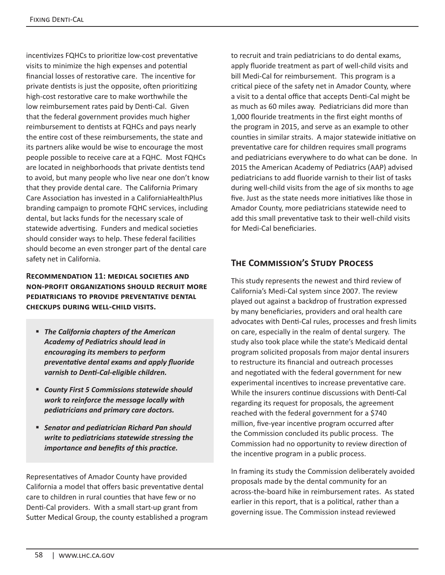incentivizes FQHCs to prioritize low-cost preventative visits to minimize the high expenses and potential financial losses of restorative care. The incentive for private dentists is just the opposite, often prioritizing high-cost restorative care to make worthwhile the low reimbursement rates paid by Denti-Cal. Given that the federal government provides much higher reimbursement to dentists at FQHCs and pays nearly the entire cost of these reimbursements, the state and its partners alike would be wise to encourage the most people possible to receive care at a FQHC. Most FQHCs are located in neighborhoods that private dentists tend to avoid, but many people who live near one don't know that they provide dental care. The California Primary Care Association has invested in a CaliforniaHealthPlus branding campaign to promote FQHC services, including dental, but lacks funds for the necessary scale of statewide advertising. Funders and medical societies should consider ways to help. These federal facilities should become an even stronger part of the dental care safety net in California.

#### **Recommendation 11: medical societies and non-profit organizations should recruit more pediatricians to provide preventative dental checkups during well-child visits.**

- *The California chapters of the American Academy of Pediatrics should lead in encouraging its members to perform preventative dental exams and apply fluoride varnish to Denti-Cal-eligible children.*
- *County First 5 Commissions statewide should work to reinforce the message locally with pediatricians and primary care doctors.*
- *Senator and pediatrician Richard Pan should write to pediatricians statewide stressing the importance and benefits of this practice.*

Representatives of Amador County have provided California a model that offers basic preventative dental care to children in rural counties that have few or no Denti-Cal providers. With a small start-up grant from Sutter Medical Group, the county established a program to recruit and train pediatricians to do dental exams, apply fluoride treatment as part of well-child visits and bill Medi-Cal for reimbursement. This program is a critical piece of the safety net in Amador County, where a visit to a dental office that accepts Denti-Cal might be as much as 60 miles away. Pediatricians did more than 1,000 flouride treatments in the first eight months of the program in 2015, and serve as an example to other counties in similar straits. A major statewide initiative on preventative care for children requires small programs and pediatricians everywhere to do what can be done. In 2015 the American Academy of Pediatrics (AAP) advised pediatricians to add fluoride varnish to their list of tasks during well-child visits from the age of six months to age five. Just as the state needs more initiatives like those in Amador County, more pediatricians statewide need to add this small preventative task to their well-child visits for Medi-Cal beneficiaries.

# **The Commission's Study Process**

This study represents the newest and third review of California's Medi-Cal system since 2007. The review played out against a backdrop of frustration expressed by many beneficiaries, providers and oral health care advocates with Denti-Cal rules, processes and fresh limits on care, especially in the realm of dental surgery. The study also took place while the state's Medicaid dental program solicited proposals from major dental insurers to restructure its financial and outreach processes and negotiated with the federal government for new experimental incentives to increase preventative care. While the insurers continue discussions with Denti-Cal regarding its request for proposals, the agreement reached with the federal government for a \$740 million, five-year incentive program occurred after the Commission concluded its public process. The Commission had no opportunity to review direction of the incentive program in a public process.

In framing its study the Commission deliberately avoided proposals made by the dental community for an across-the-board hike in reimbursement rates. As stated earlier in this report, that is a political, rather than a governing issue. The Commission instead reviewed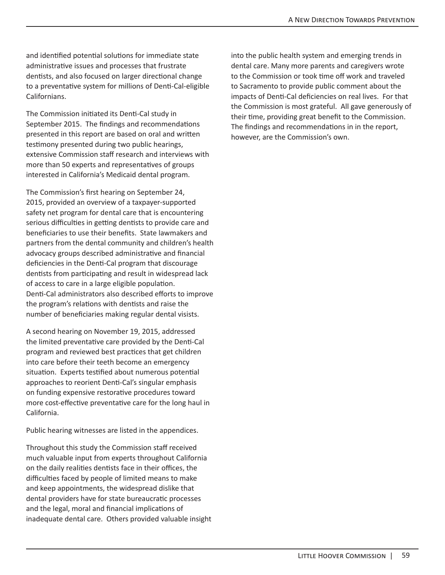and identified potential solutions for immediate state administrative issues and processes that frustrate dentists, and also focused on larger directional change to a preventative system for millions of Denti-Cal-eligible Californians.

The Commission initiated its Denti-Cal study in September 2015. The findings and recommendations presented in this report are based on oral and written testimony presented during two public hearings, extensive Commission staff research and interviews with more than 50 experts and representatives of groups interested in California's Medicaid dental program.

The Commission's first hearing on September 24, 2015, provided an overview of a taxpayer-supported safety net program for dental care that is encountering serious difficulties in getting dentists to provide care and beneficiaries to use their benefits. State lawmakers and partners from the dental community and children's health advocacy groups described administrative and financial deficiencies in the Denti-Cal program that discourage dentists from participating and result in widespread lack of access to care in a large eligible population. Denti-Cal administrators also described efforts to improve the program's relations with dentists and raise the number of beneficiaries making regular dental visists.

A second hearing on November 19, 2015, addressed the limited preventative care provided by the Denti-Cal program and reviewed best practices that get children into care before their teeth become an emergency situation. Experts testified about numerous potential approaches to reorient Denti-Cal's singular emphasis on funding expensive restorative procedures toward more cost-effective preventative care for the long haul in California.

Public hearing witnesses are listed in the appendices.

Throughout this study the Commission staff received much valuable input from experts throughout California on the daily realities dentists face in their offices, the difficulties faced by people of limited means to make and keep appointments, the widespread dislike that dental providers have for state bureaucratic processes and the legal, moral and financial implications of inadequate dental care. Others provided valuable insight into the public health system and emerging trends in dental care. Many more parents and caregivers wrote to the Commission or took time off work and traveled to Sacramento to provide public comment about the impacts of Denti-Cal deficiencies on real lives. For that the Commission is most grateful. All gave generously of their time, providing great benefit to the Commission. The findings and recommendations in in the report, however, are the Commission's own.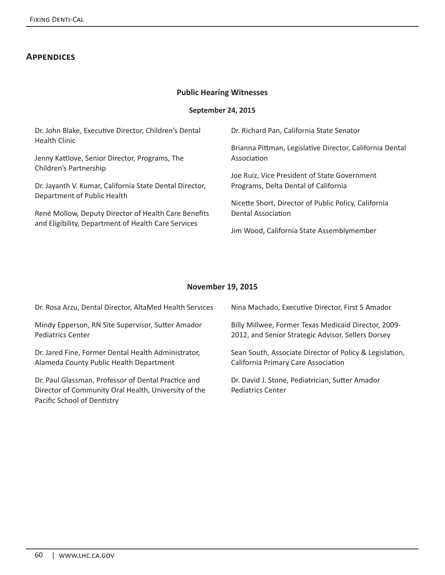## **Appendices**

#### **Public Hearing Witnesses**

#### **September 24, 2015**

| Dr. John Blake, Executive Director, Children's Dental   | Dr. Richard Pan, California State Senator                |  |  |  |
|---------------------------------------------------------|----------------------------------------------------------|--|--|--|
| <b>Health Clinic</b>                                    | Brianna Pittman, Legislative Director, California Dental |  |  |  |
| Jenny Kattlove, Senior Director, Programs, The          | Association                                              |  |  |  |
| Children's Partnership                                  | Joe Ruiz, Vice President of State Government             |  |  |  |
| Dr. Jayanth V. Kumar, California State Dental Director, | Programs, Delta Dental of California                     |  |  |  |
| Department of Public Health                             | Nicette Short, Director of Public Policy, California     |  |  |  |
| René Mollow, Deputy Director of Health Care Benefits    | Dental Association                                       |  |  |  |
| and Eligibility, Department of Health Care Services     | Jim Wood, California State Assemblymember                |  |  |  |

#### **November 19, 2015**

| Dr. Rosa Arzu, Dental Director, AltaMed Health Services                                                                                    | Nina Machado, Executive Director, First 5 Amador                     |
|--------------------------------------------------------------------------------------------------------------------------------------------|----------------------------------------------------------------------|
| Mindy Epperson, RN Site Supervisor, Sutter Amador                                                                                          | Billy Millwee, Former Texas Medicaid Director, 2009-                 |
| <b>Pediatrics Center</b>                                                                                                                   | 2012, and Senior Strategic Advisor, Sellers Dorsey                   |
| Dr. Jared Fine, Former Dental Health Administrator,                                                                                        | Sean South, Associate Director of Policy & Legislation,              |
| Alameda County Public Health Department                                                                                                    | California Primary Care Association                                  |
| Dr. Paul Glassman, Professor of Dental Practice and<br>Director of Community Oral Health, University of the<br>Pacific School of Dentistry | Dr. David J. Stone, Pediatrician, Sutter Amador<br>Pediatrics Center |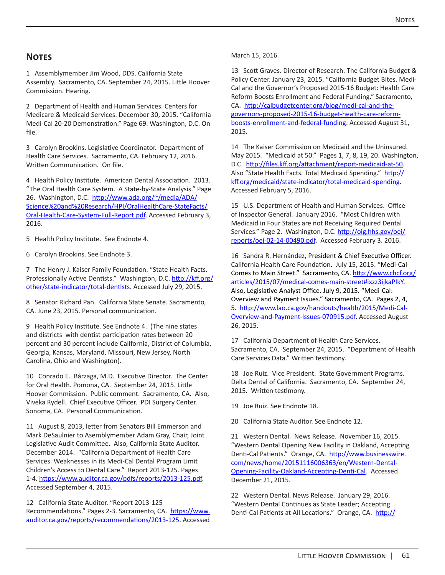#### **Notes**

1 Assemblymember Jim Wood, DDS. California State Assembly. Sacramento, CA. September 24, 2015. Little Hoover Commission. Hearing.

2 Department of Health and Human Services. Centers for Medicare & Medicaid Services. December 30, 2015. "California Medi-Cal 20-20 Demonstration." Page 69. Washington, D.C. On file.

3 Carolyn Brookins. Legislative Coordinator. Department of Health Care Services. Sacramento, CA. February 12, 2016. Written Communication. On file.

4 Health Policy Institute. American Dental Association. 2013. "The Oral Health Care System. A State-by-State Analysis." Page 26. Washington, D.C. http://www.ada.org/~/media/ADA/ Science%20and%20Research/HPI/OralHealthCare-StateFacts/ Oral-Health-Care-System-Full-Report.pdf. Accessed February 3, 2016.

5 Health Policy Institute. See Endnote 4.

6 Carolyn Brookins. See Endnote 3.

7 The Henry J. Kaiser Family Foundation. "State Health Facts. Professionally Active Dentists." Washington, D.C. http://kff.org/ other/state-indicator/total-dentists. Accessed July 29, 2015.

8 Senator Richard Pan. California State Senate. Sacramento, CA. June 23, 2015. Personal communication.

9 Health Policy Institute. See Endnote 4. (The nine states and districts with dentist participation rates between 20 percent and 30 percent include California, District of Columbia, Georgia, Kansas, Maryland, Missouri, New Jersey, North Carolina, Ohio and Washington).

10 Conrado E. Bárzaga, M.D. Executive Director. The Center for Oral Health. Pomona, CA. September 24, 2015. Little Hoover Commission. Public comment. Sacramento, CA. Also, Viveka Rydell. Chief Executive Officer. PDI Surgery Center. Sonoma, CA. Personal Communication.

11 August 8, 2013, letter from Senators Bill Emmerson and Mark DeSaulnier to Asemblymember Adam Gray, Chair, Joint Legislative Audit Committee. Also, California State Auditor. December 2014. "California Department of Health Care Services. Weaknesses in its Medi-Cal Dental Program Limit Children's Access to Dental Care." Report 2013-125. Pages 1-4. https://www.auditor.ca.gov/pdfs/reports/2013-125.pdf. Accessed September 4, 2015.

12 California State Auditor. "Report 2013-125 Recommendations." Pages 2-3. Sacramento, CA. https://www. auditor.ca.gov/reports/recommendations/2013-125. Accessed March 15, 2016.

13 Scott Graves. Director of Research. The California Budget & Policy Center. January 23, 2015. "California Budget Bites. Medi-Cal and the Governor's Proposed 2015-16 Budget: Health Care Reform Boosts Enrollment and Federal Funding." Sacramento, CA. http://calbudgetcenter.org/blog/medi-cal-and-thegovernors-proposed-2015-16-budget-health-care-reformboosts-enrollment-and-federal-funding. Accessed August 31, 2015.

14 The Kaiser Commission on Medicaid and the Uninsured. May 2015. "Medicaid at 50." Pages 1, 7, 8, 19, 20. Washington, D.C. http://files.kff.org/attachment/report-medicaid-at-50. Also "State Health Facts. Total Medicaid Spending." http:// kff.org/medicaid/state-indicator/total-medicaid-spending. Accessed February 5, 2016.

15 U.S. Department of Health and Human Services. Office of Inspector General. January 2016. "Most Children with Medicaid in Four States are not Receiving Required Dental Services." Page 2. Washington, D.C. http://oig.hhs.gov/oei/ reports/oei-02-14-00490.pdf. Accessed February 3. 2016.

16 Sandra R. Hernández, President & Chief Executive Officer. California Health Care Foundation. July 15, 2015. "Medi-Cal Comes to Main Street." Sacramento, CA. http://www.chcf.org/ articles/2015/07/medical-comes-main-street#ixzz3ijkaPIkY. Also, Legislative Analyst Office. July 9, 2015. "Medi-Cal: Overview and Payment Issues." Sacramento, CA. Pages 2, 4, 5. http://www.lao.ca.gov/handouts/health/2015/Medi-Cal-Overview-and-Payment-Issues-070915.pdf. Accessed August 26, 2015.

17 California Department of Health Care Services. Sacramento, CA. September 24, 2015. "Department of Health Care Services Data." Written testimony.

18 Joe Ruiz. Vice President. State Government Programs. Delta Dental of California. Sacramento, CA. September 24, 2015. Written testimony.

- 19 Joe Ruiz. See Endnote 18.
- 20 California State Auditor. See Endnote 12.

21 Western Dental. News Release. November 16, 2015. "Western Dental Opening New Facility in Oakland, Accepting Denti-Cal Patients." Orange, CA. http://www.businesswire. com/news/home/20151116006363/en/Western-Dental-Opening-Facility-Oakland-Accepting-Denti-Cal. Accessed December 21, 2015.

22 Western Dental. News Release. January 29, 2016. "Western Dental Continues as State Leader; Accepting Denti-Cal Patients at All Locations." Orange, CA. http://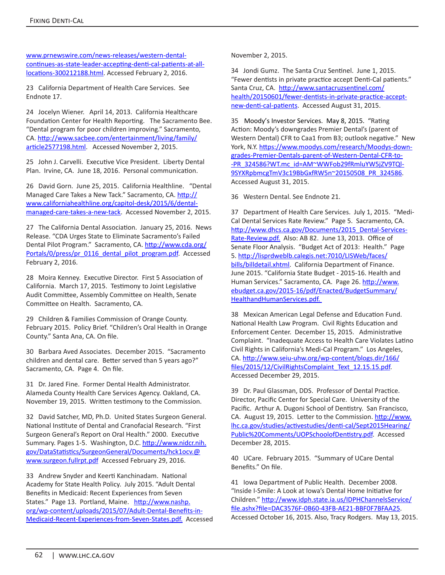www.prnewswire.com/news-releases/western-dentalcontinues-as-state-leader-accepting-denti-cal-patients-at-alllocations-300212188.html. Accessed February 2, 2016.

23 California Department of Health Care Services. See Endnote 17.

24 Jocelyn Wiener. April 14, 2013. California Healthcare Foundation Center for Health Reporting. The Sacramento Bee. "Dental program for poor children improving." Sacramento, CA. http://www.sacbee.com/entertainment/living/family/ article2577198.html. Accessed November 2, 2015.

25 John J. Carvelli. Executive Vice President. Liberty Dental Plan. Irvine, CA. June 18, 2016. Personal communication.

26 David Gorn. June 25, 2015. California Healthline. "Dental Managed Care Takes a New Tack." Sacramento, CA. http:// www.californiahealthline.org/capitol-desk/2015/6/dentalmanaged-care-takes-a-new-tack. Accessed November 2, 2015.

27 The California Dental Association. January 25, 2016. News Release. "CDA Urges State to Eliminate Sacramento's Failed Dental Pilot Program." Sacramento, CA. http://www.cda.org/ Portals/0/press/pr\_0116\_dental\_pilot\_program.pdf. Accessed February 2, 2016.

28 Moira Kenney. Executive Director. First 5 Association of California. March 17, 2015. Testimony to Joint Legislative Audit Committee, Assembly Committee on Health, Senate Committee on Health. Sacramento, CA.

29 Children & Families Commission of Orange County. February 2015. Policy Brief. "Children's Oral Health in Orange County." Santa Ana, CA. On file.

30 Barbara Aved Associates. December 2015. "Sacramento children and dental care. Better served than 5 years ago?" Sacramento, CA. Page 4. On file.

31 Dr. Jared Fine. Former Dental Health Administrator. Alameda County Health Care Services Agency. Oakland, CA. November 19, 2015. Written testimony to the Commission.

32 David Satcher, MD, Ph.D. United States Surgeon General. National Institute of Dental and Cranofacial Research. "First Surgeon General's Report on Oral Health." 2000. Executive Summary. Pages 1-5. Washington, D.C. http://www.nidcr.nih. gov/DataStatistics/SurgeonGeneral/Documents/hck1ocv.@ www.surgeon.fullrpt.pdf Accessed February 29, 2016.

33 Andrew Snyder and Keerti Kanchinadam. National Academy for State Health Policy. July 2015. "Adult Dental Benefits in Medicaid: Recent Experiences from Seven States." Page 13. Portland, Maine. http://www.nashp. org/wp-content/uploads/2015/07/Adult-Dental-Benefits-in-Medicaid-Recent-Experiences-from-Seven-States.pdf. Accessed November 2, 2015.

34 Jondi Gumz. The Santa Cruz Sentinel. June 1, 2015. "Fewer dentists in private practice accept Denti-Cal patients." Santa Cruz, CA. http://www.santacruzsentinel.com/ health/20150601/fewer-dentists-in-private-practice-acceptnew-denti-cal-patients</u>. Accessed August 31, 2015.

35 Moody's Investor Services. May 8, 2015. "Rating Action: Moody's downgrades Premier Dental's (parent of Western Dental) CFR to Caa1 from B3; outlook negative." New York, N.Y. https://www.moodys.com/research/Moodys-downgrades-Premier-Dentals-parent-of-Western-Dental-CFR-to- -PR\_324586?WT.mc\_id=AM~WWFob29fRmluYW5jZV9TQl-9SYXRpbmcgTmV3c19BbGxfRW5n~20150508\_PR\_324586. Accessed August 31, 2015.

36 Western Dental. See Endnote 21.

37 Department of Health Care Services. July 1, 2015. "Medi-Cal Dental Services Rate Review." Page 5. Sacramento, CA. http://www.dhcs.ca.gov/Documents/2015\_Dental-Services-Rate-Review.pdf. Also: AB 82. June 13, 2013. Office of Senate Floor Analysis. "Budget Act of 2013: Health." Page 5. http://lisprdweblb.calegis.net:7010/LISWeb/faces/ bills/billdetail.xhtml. California Department of Finance. June 2015. "California State Budget - 2015-16. Health and Human Services." Sacramento, CA. Page 26. http://www. ebudget.ca.gov/2015-16/pdf/Enacted/BudgetSummary/ HealthandHumanServices.pdf.

38 Mexican American Legal Defense and Education Fund. National Health Law Program. Civil Rights Education and Enforcement Center. December 15, 2015. Administrative Complaint. "Inadequate Access to Health Care Violates Latino Civil Rights in California's Medi-Cal Program." Los Angeles, CA. http://www.seiu-uhw.org/wp-content/blogs.dir/166/ files/2015/12/CivilRightsComplaint\_Text\_12.15.15.pdf. Accessed December 29, 2015.

39 Dr. Paul Glassman, DDS. Professor of Dental Practice. Director, Pacific Center for Special Care. University of the Pacific. Arthur A. Dugoni School of Dentistry. San Francisco, CA. August 19, 2015. Letter to the Commission. http://www. lhc.ca.gov/studies/activestudies/denti-cal/Sept2015Hearing/ Public%20Comments/UOPSchoolofDentistry.pdf. Accessed December 28, 2015.

40 UCare. February 2015. "Summary of UCare Dental Benefits." On file.

41 Iowa Department of Public Health. December 2008. "Inside I-Smile: A Look at Iowa's Dental Home Initiative for Children." http://www.idph.state.ia.us/IDPHChannelsService/ file.ashx?file=DAC3576F-0B60-43FB-AE21-BBF0F7BFAA25. Accessed October 16, 2015. Also, Tracy Rodgers. May 13, 2015.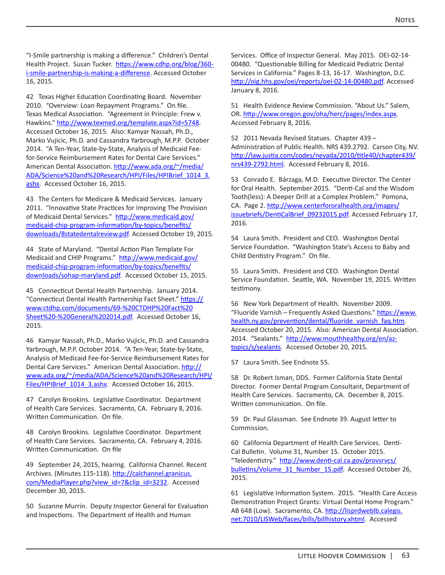"I-Smile partnership is making a difference." Children's Dental Health Project. Susan Tucker. https://www.cdhp.org/blog/360i-smile-partnership-is-making-a-difference. Accessed October 16, 2015.

42 Texas Higher Education Coordinating Board. November 2010. "Overview: Loan Repayment Programs." On file. Texas Medical Association. "Agreement in Principle: Frew v. Hawkins." http://www.texmed.org/template.aspx?id=5748. Accessed October 16, 2015. Also: Kamyar Nassah, Ph.D., Marko Vujicic, Ph.D. and Cassandra Yarbrough, M.P.P. October 2014. "A Ten-Year, State-by-State, Analysis of Medicaid Feefor-Service Reimbursement Rates for Dental Care Services." American Dental Association. http://www.ada.org/~/media/ ADA/Science%20and%20Research/HPI/Files/HPIBrief\_1014\_3. ashx. Accessed October 16, 2015.

43 The Centers for Medicare & Medicaid Services. January 2011. "Innovative State Practices for Improving The Provision of Medicaid Dental Services." http://www.medicaid.gov/ medicaid-chip-program-information/by-topics/benefits/ downloads/8statedentalreview.pdf. Accessed October 19, 2015.

44 State of Maryland. "Dental Action Plan Template For Medicaid and CHIP Programs." http://www.medicaid.gov/ medicaid-chip-program-information/by-topics/benefits/ downloads/sohap-maryland.pdf. Accessed October 15, 2015.

45 Connecticut Dental Health Partnership. January 2014. "Connecticut Dental Health Partnership Fact Sheet." https:// www.ctdhp.com/documents/69-%20CTDHP%20Fact%20 Sheet%20-%20General%202014.pdf. Accessed October 16, 2015.

46 Kamyar Nassah, Ph.D., Marko Vujicic, Ph.D. and Cassandra Yarbrough, M.P.P. October 2014. "A Ten-Year, State-by-State, Analysis of Medicaid Fee-for-Service Reimbursement Rates for Dental Care Services." American Dental Association. http:// www.ada.org/~/media/ADA/Science%20and%20Research/HPI/ Files/HPIBrief 1014 3.ashx. Accessed October 16, 2015.

47 Carolyn Brookins. Legislative Coordinator. Department of Health Care Services. Sacramento, CA. February 8, 2016. Written Communication. On file.

48 Carolyn Brookins. Legislative Coordinator. Department of Health Care Services. Sacramento, CA. February 4, 2016. Written Communication. On file

49 September 24, 2015, hearing. California Channel. Recent Archives. (Minutes 115-118). http://calchannel.granicus. com/MediaPlayer.php?view\_id=7&clip\_id=3232. Accessed December 30, 2015.

50 Suzanne Murrin. Deputy Inspector General for Evaluation and Inspections. The Department of Health and Human

Services. Office of Inspector General. May 2015. OEI-02-14- 00480. "Questionable Billing for Medicaid Pediatric Dental Services in California." Pages 8-13, 16-17. Washington, D.C. http://oig.hhs.gov/oei/reports/oei-02-14-00480.pdf. Accessed January 8, 2016.

51 Health Evidence Review Commission. "About Us." Salem, OR. http://www.oregon.gov/oha/herc/pages/index.aspx. Accessed February 8, 2016.

52 2011 Nevada Revised Statues. Chapter 439 – Administration of Public Health. NRS 439.2792. Carson City, NV. http://law.justia.com/codes/nevada/2010/title40/chapter439/ nrs439-2792.html. Accessed February 8, 2016.

53 Conrado E. Bárzaga, M.D. Executive Director. The Center for Oral Health. September 2015. "Denti-Cal and the Wisdom Tooth(less): A Deeper Drill at a Complex Problem." Pomona, CA. Page 2. http://www.centerfororalhealth.org/images/ issuebriefs/DentiCalBrief 09232015.pdf. Accessed February 17, 2016.

54 Laura Smith. President and CEO. Washington Dental Service Foundation. "Washington State's Access to Baby and Child Dentistry Program." On file.

55 Laura Smith. President and CEO. Washington Dental Service Foundation. Seattle, WA. November 19, 2015. Written testimony.

56 New York Department of Health. November 2009. "Fluoride Varnish – Frequently Asked Questions." https://www. health.ny.gov/prevention/dental/fluoride\_varnish\_faq.htm. Accessed October 20, 2015. Also: American Dental Association. 2014. "Sealants." http://www.mouthhealthy.org/en/aztopics/s/sealants</u>. Accessed October 20, 2015.

57 Laura Smith. See Endnote 55.

58 Dr. Robert Isman, DDS. Former California State Dental Director. Former Dental Program Consultant, Department of Health Care Services. Sacramento, CA. December 8, 2015. Written communication. On file.

59 Dr. Paul Glassman. See Endnote 39. August letter to Commission.

60 California Department of Health Care Services. Denti-Cal Bulletin. Volume 31, Number 15. October 2015. "Teledentistry." http://www.denti-cal.ca.gov/provsrvcs/ bulletins/Volume\_31\_Number\_15.pdf. Accessed October 26, 2015.

61 Legislative Information System. 2015. "Health Care Access Demonstration Project Grants: Virtual Dental Home Program." AB 648 (Low). Sacramento, CA. http://lisprdweblb.calegis. net:7010/LISWeb/faces/bills/billhistory.xhtml. Accessed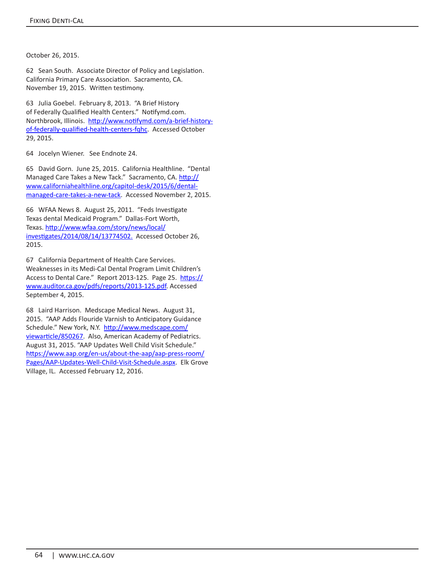October 26, 2015.

62 Sean South. Associate Director of Policy and Legislation. California Primary Care Association. Sacramento, CA. November 19, 2015. Written testimony.

63 Julia Goebel. February 8, 2013. "A Brief History of Federally Qualified Health Centers." Notifymd.com. Northbrook, Illinois. http://www.notifymd.com/a-brief-historyof-federally-qualified-health-centers-fqhc. Accessed October 29, 2015.

64 Jocelyn Wiener. See Endnote 24.

65 David Gorn. June 25, 2015. California Healthline. "Dental Managed Care Takes a New Tack." Sacramento, CA. http:// www.californiahealthline.org/capitol-desk/2015/6/dentalmanaged-care-takes-a-new-tack. Accessed November 2, 2015.

66 WFAA News 8. August 25, 2011. "Feds Investigate Texas dental Medicaid Program." Dallas-Fort Worth, Texas. http://www.wfaa.com/story/news/local/ investigates/2014/08/14/13774502. Accessed October 26, 2015.

67 California Department of Health Care Services. Weaknesses in its Medi-Cal Dental Program Limit Children's Access to Dental Care." Report 2013-125. Page 25. https:// www.auditor.ca.gov/pdfs/reports/2013-125.pdf. Accessed September 4, 2015.

68 Laird Harrison. Medscape Medical News. August 31, 2015. "AAP Adds Flouride Varnish to Anticipatory Guidance Schedule." New York, N.Y. http://www.medscape.com/ viewarticle/850267. Also, American Academy of Pediatrics. August 31, 2015. "AAP Updates Well Child Visit Schedule." https://www.aap.org/en-us/about-the-aap/aap-press-room/ Pages/AAP-Updates-Well-Child-Visit-Schedule.aspx. Elk Grove Village, IL. Accessed February 12, 2016.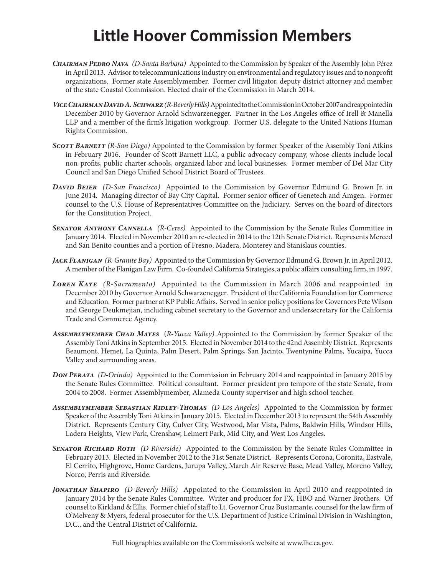# **Little Hoover Commission Members**

- *Chairman Pedro Nava (D-Santa Barbara)* Appointed to the Commission by Speaker of the Assembly John Pérez in April 2013. Advisor to telecommunications industry on environmental and regulatory issues and to nonprofit organizations. Former state Assemblymember. Former civil litigator, deputy district attorney and member of the state Coastal Commission. Elected chair of the Commission in March 2014.
- *Vice Chairman David A. Schwarz (R-Beverly Hills)* Appointed to the Commission in October 2007 and reappointed in December 2010 by Governor Arnold Schwarzenegger. Partner in the Los Angeles office of Irell & Manella LLP and a member of the firm's litigation workgroup. Former U.S. delegate to the United Nations Human Rights Commission.
- *Scott Barnett (R-San Diego)* Appointed to the Commission by former Speaker of the Assembly Toni Atkins in February 2016. Founder of Scott Barnett LLC, a public advocacy company, whose clients include local non-profits, public charter schools, organized labor and local businesses. Former member of Del Mar City Council and San Diego Unified School District Board of Trustees.
- *David Beier (D-San Francisco)* Appointed to the Commission by Governor Edmund G. Brown Jr. in June 2014. Managing director of Bay City Capital. Former senior officer of Genetech and Amgen. Former counsel to the U.S. House of Representatives Committee on the Judiciary. Serves on the board of directors for the Constitution Project.
- *Senator Anthony Cannella (R-Ceres)* Appointed to the Commission by the Senate Rules Committee in January 2014. Elected in November 2010 an re-elected in 2014 to the 12th Senate District. Represents Merced and San Benito counties and a portion of Fresno, Madera, Monterey and Stanislaus counties.
- *Jack Flanigan (R-Granite Bay)* Appointed to the Commission by Governor Edmund G. Brown Jr. in April 2012. A member of the Flanigan Law Firm. Co-founded California Strategies, a public affairs consulting firm, in 1997.
- *Loren Kaye (R-Sacramento)* Appointed to the Commission in March 2006 and reappointed in December 2010 by Governor Arnold Schwarzenegger. President of the California Foundation for Commerce and Education. Former partner at KP Public Affairs. Served in senior policy positions for Governors Pete Wilson and George Deukmejian, including cabinet secretary to the Governor and undersecretary for the California Trade and Commerce Agency.
- *Assemblymember Chad Mayes* (*R-Yucca Valley)* Appointed to the Commission by former Speaker of the Assembly Toni Atkins in September 2015. Elected in November 2014 to the 42nd Assembly District. Represents Beaumont, Hemet, La Quinta, Palm Desert, Palm Springs, San Jacinto, Twentynine Palms, Yucaipa, Yucca Valley and surrounding areas.
- *Don Perata (D-Orinda)* Appointed to the Commission in February 2014 and reappointed in January 2015 by the Senate Rules Committee. Political consultant. Former president pro tempore of the state Senate, from 2004 to 2008. Former Assemblymember, Alameda County supervisor and high school teacher.
- *Assemblymember Sebastian Ridley-Thomas (D-Los Angeles)* Appointed to the Commission by former Speaker of the Assembly Toni Atkins in January 2015. Elected in December 2013 to represent the 54th Assembly District. Represents Century City, Culver City, Westwood, Mar Vista, Palms, Baldwin Hills, Windsor Hills, Ladera Heights, View Park, Crenshaw, Leimert Park, Mid City, and West Los Angeles.
- *Senator Richard Roth (D-Riverside)* Appointed to the Commission by the Senate Rules Committee in February 2013. Elected in November 2012 to the 31st Senate District. Represents Corona, Coronita, Eastvale, El Cerrito, Highgrove, Home Gardens, Jurupa Valley, March Air Reserve Base, Mead Valley, Moreno Valley, Norco, Perris and Riverside.
- *Jonathan Shapiro (D-Beverly Hills)* Appointed to the Commission in April 2010 and reappointed in January 2014 by the Senate Rules Committee. Writer and producer for FX, HBO and Warner Brothers. Of counsel to Kirkland & Ellis. Former chief of staff to Lt. Governor Cruz Bustamante, counsel for the law firm of O'Melveny & Myers, federal prosecutor for the U.S. Department of Justice Criminal Division in Washington, D.C., and the Central District of California.

Full biographies available on the Commission's website at www.lhc.ca.gov.